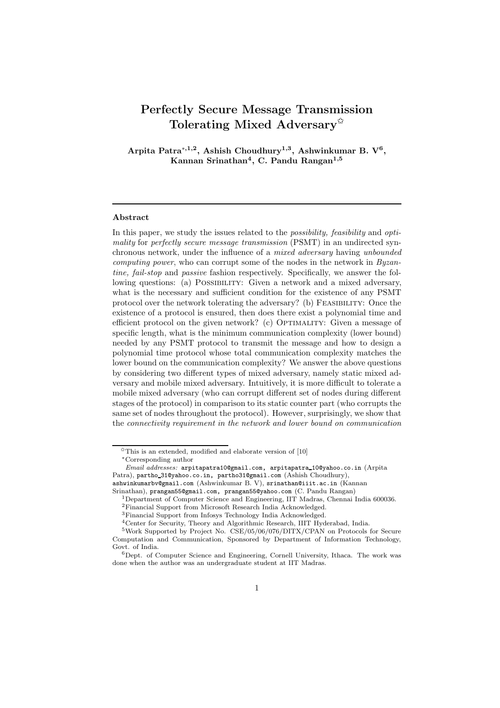# Perfectly Secure Message Transmission Tolerating Mixed Adversary<sup> $\hat{\mathbf{x}}$ </sup>

Arpita Patra<sup>\*,1,2</sup>, Ashish Choudhury<sup>1,3</sup>, Ashwinkumar B. V<sup>6</sup>, Kannan Srinathan $^4$ , C. Pandu Rangan $^{1,5}$ 

#### Abstract

In this paper, we study the issues related to the *possibility, feasibility* and *optimality* for *perfectly secure message transmission* (PSMT) in an undirected synchronous network, under the influence of a *mixed adversary* having *unbounded computing power*, who can corrupt some of the nodes in the network in *Byzantine, fail-stop* and *passive* fashion respectively. Specifically, we answer the following questions: (a) Possibility: Given a network and a mixed adversary, what is the necessary and sufficient condition for the existence of any PSMT protocol over the network tolerating the adversary? (b) FEASIBILITY: Once the existence of a protocol is ensured, then does there exist a polynomial time and efficient protocol on the given network? (c) OPTIMALITY: Given a message of specific length, what is the minimum communication complexity (lower bound) needed by any PSMT protocol to transmit the message and how to design a polynomial time protocol whose total communication complexity matches the lower bound on the communication complexity? We answer the above questions by considering two different types of mixed adversary, namely static mixed adversary and mobile mixed adversary. Intuitively, it is more difficult to tolerate a mobile mixed adversary (who can corrupt different set of nodes during different stages of the protocol) in comparison to its static counter part (who corrupts the same set of nodes throughout the protocol). However, surprisingly, we show that the *connectivity requirement in the network and lower bound on communication*

 $\sqrt[4]{\times}$  This is an extended, modified and elaborate version of  $[10]$ <sup>∗</sup>Corresponding author

Email addresses: arpitapatra10@gmail.com, arpitapatra 10@yahoo.co.in (Arpita Patra), partho 31@yahoo.co.in, partho31@gmail.com (Ashish Choudhury),

ashwinkumarbv@gmail.com (Ashwinkumar B. V), srinathan@iiit.ac.in (Kannan

Srinathan), prangan55@gmail.com, prangan55@yahoo.com (C. Pandu Rangan)

<sup>1</sup>Department of Computer Science and Engineering, IIT Madras, Chennai India 600036. <sup>2</sup>Financial Support from Microsoft Research India Acknowledged.

<sup>3</sup>Financial Support from Infosys Technology India Acknowledged.

<sup>4</sup>Center for Security, Theory and Algorithmic Research, IIIT Hyderabad, India.

<sup>5</sup>Work Supported by Project No. CSE/05/06/076/DITX/CPAN on Protocols for Secure Computation and Communication, Sponsored by Department of Information Technology, Govt. of India.

<sup>6</sup>Dept. of Computer Science and Engineering, Cornell University, Ithaca. The work was done when the author was an undergraduate student at IIT Madras.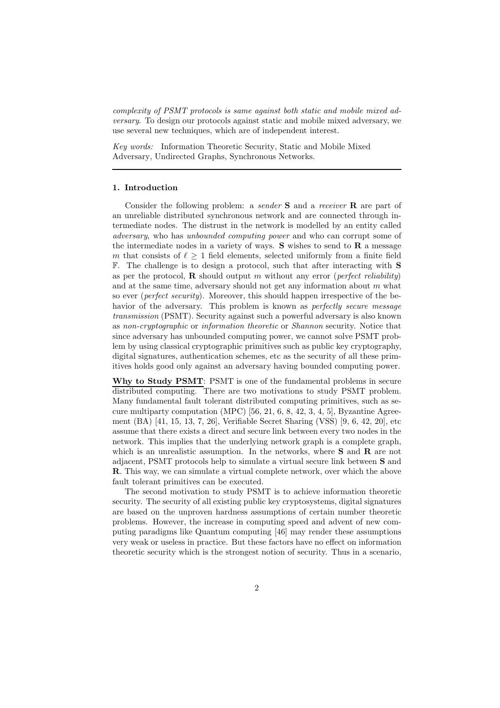*complexity of PSMT protocols is same against both static and mobile mixed adversary*. To design our protocols against static and mobile mixed adversary, we use several new techniques, which are of independent interest.

*Key words:* Information Theoretic Security, Static and Mobile Mixed Adversary, Undirected Graphs, Synchronous Networks.

#### 1. Introduction

Consider the following problem: a *sender* S and a *receiver* R are part of an unreliable distributed synchronous network and are connected through intermediate nodes. The distrust in the network is modelled by an entity called *adversary*, who has *unbounded computing power* and who can corrupt some of the intermediate nodes in a variety of ways.  $S$  wishes to send to  $R$  a message m that consists of  $\ell \geq 1$  field elements, selected uniformly from a finite field F. The challenge is to design a protocol, such that after interacting with S as per the protocol, R should output m without any error (*perfect reliability*) and at the same time, adversary should not get any information about  $m$  what so ever (*perfect security*). Moreover, this should happen irrespective of the behavior of the adversary. This problem is known as *perfectly secure message transmission* (PSMT). Security against such a powerful adversary is also known as *non-cryptographic* or *information theoretic* or *Shannon* security. Notice that since adversary has unbounded computing power, we cannot solve PSMT problem by using classical cryptographic primitives such as public key cryptography, digital signatures, authentication schemes, etc as the security of all these primitives holds good only against an adversary having bounded computing power.

Why to Study PSMT: PSMT is one of the fundamental problems in secure distributed computing. There are two motivations to study PSMT problem. Many fundamental fault tolerant distributed computing primitives, such as secure multiparty computation (MPC) [56, 21, 6, 8, 42, 3, 4, 5], Byzantine Agreement (BA) [41, 15, 13, 7, 26], Verifiable Secret Sharing (VSS) [9, 6, 42, 20], etc assume that there exists a direct and secure link between every two nodes in the network. This implies that the underlying network graph is a complete graph, which is an unrealistic assumption. In the networks, where  $S$  and  $R$  are not adjacent, PSMT protocols help to simulate a virtual secure link between S and R. This way, we can simulate a virtual complete network, over which the above fault tolerant primitives can be executed.

The second motivation to study PSMT is to achieve information theoretic security. The security of all existing public key cryptosystems, digital signatures are based on the unproven hardness assumptions of certain number theoretic problems. However, the increase in computing speed and advent of new computing paradigms like Quantum computing [46] may render these assumptions very weak or useless in practice. But these factors have no effect on information theoretic security which is the strongest notion of security. Thus in a scenario,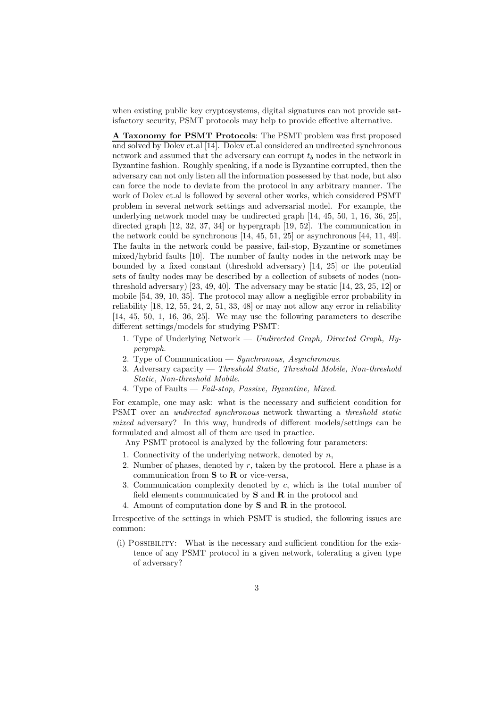when existing public key cryptosystems, digital signatures can not provide satisfactory security, PSMT protocols may help to provide effective alternative.

A Taxonomy for PSMT Protocols: The PSMT problem was first proposed and solved by Dolev et.al [14]. Dolev et.al considered an undirected synchronous network and assumed that the adversary can corrupt  $t<sub>b</sub>$  nodes in the network in Byzantine fashion. Roughly speaking, if a node is Byzantine corrupted, then the adversary can not only listen all the information possessed by that node, but also can force the node to deviate from the protocol in any arbitrary manner. The work of Dolev et.al is followed by several other works, which considered PSMT problem in several network settings and adversarial model. For example, the underlying network model may be undirected graph [14, 45, 50, 1, 16, 36, 25], directed graph [12, 32, 37, 34] or hypergraph [19, 52]. The communication in the network could be synchronous [14, 45, 51, 25] or asynchronous [44, 11, 49]. The faults in the network could be passive, fail-stop, Byzantine or sometimes mixed/hybrid faults [10]. The number of faulty nodes in the network may be bounded by a fixed constant (threshold adversary) [14, 25] or the potential sets of faulty nodes may be described by a collection of subsets of nodes (nonthreshold adversary) [23, 49, 40]. The adversary may be static [14, 23, 25, 12] or mobile [54, 39, 10, 35]. The protocol may allow a negligible error probability in reliability [18, 12, 55, 24, 2, 51, 33, 48] or may not allow any error in reliability [14, 45, 50, 1, 16, 36, 25]. We may use the following parameters to describe different settings/models for studying PSMT:

- 1. Type of Underlying Network *Undirected Graph, Directed Graph, Hypergraph*.
- 2. Type of Communication *Synchronous, Asynchronous*.
- 3. Adversary capacity *Threshold Static, Threshold Mobile, Non-threshold Static, Non-threshold Mobile*.
- 4. Type of Faults *Fail-stop, Passive, Byzantine, Mixed*.

For example, one may ask: what is the necessary and sufficient condition for PSMT over an *undirected synchronous* network thwarting a *threshold static mixed* adversary? In this way, hundreds of different models/settings can be formulated and almost all of them are used in practice.

Any PSMT protocol is analyzed by the following four parameters:

- 1. Connectivity of the underlying network, denoted by  $n$ ,
- 2. Number of phases, denoted by  $r$ , taken by the protocol. Here a phase is a communication from  $S$  to  $R$  or vice-versa,
- 3. Communication complexity denoted by c, which is the total number of field elements communicated by  $S$  and  $R$  in the protocol and
- 4. Amount of computation done by S and R in the protocol.

Irrespective of the settings in which PSMT is studied, the following issues are common:

(i) Possibility: What is the necessary and sufficient condition for the existence of any PSMT protocol in a given network, tolerating a given type of adversary?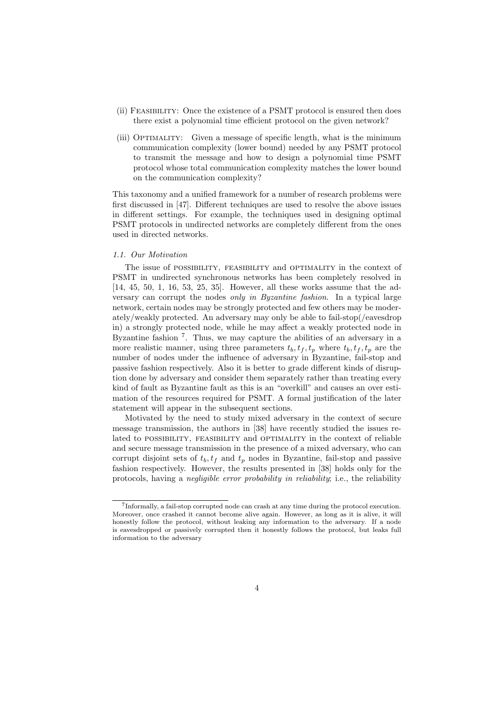- (ii) Feasibility: Once the existence of a PSMT protocol is ensured then does there exist a polynomial time efficient protocol on the given network?
- (iii) Optimality: Given a message of specific length, what is the minimum communication complexity (lower bound) needed by any PSMT protocol to transmit the message and how to design a polynomial time PSMT protocol whose total communication complexity matches the lower bound on the communication complexity?

This taxonomy and a unified framework for a number of research problems were first discussed in [47]. Different techniques are used to resolve the above issues in different settings. For example, the techniques used in designing optimal PSMT protocols in undirected networks are completely different from the ones used in directed networks.

#### *1.1. Our Motivation*

The issue of POSSIBILITY, FEASIBILITY and OPTIMALITY in the context of PSMT in undirected synchronous networks has been completely resolved in [14, 45, 50, 1, 16, 53, 25, 35]. However, all these works assume that the adversary can corrupt the nodes *only in Byzantine fashion*. In a typical large network, certain nodes may be strongly protected and few others may be moderately/weakly protected. An adversary may only be able to fail-stop(/eavesdrop in) a strongly protected node, while he may affect a weakly protected node in Byzantine fashion<sup>7</sup>. Thus, we may capture the abilities of an adversary in a more realistic manner, using three parameters  $t_b, t_f, t_p$  where  $t_b, t_f, t_p$  are the number of nodes under the influence of adversary in Byzantine, fail-stop and passive fashion respectively. Also it is better to grade different kinds of disruption done by adversary and consider them separately rather than treating every kind of fault as Byzantine fault as this is an "overkill" and causes an over estimation of the resources required for PSMT. A formal justification of the later statement will appear in the subsequent sections.

Motivated by the need to study mixed adversary in the context of secure message transmission, the authors in [38] have recently studied the issues related to POSSIBILITY, FEASIBILITY and OPTIMALITY in the context of reliable and secure message transmission in the presence of a mixed adversary, who can corrupt disjoint sets of  $t_b, t_f$  and  $t_p$  nodes in Byzantine, fail-stop and passive fashion respectively. However, the results presented in [38] holds only for the protocols, having a *negligible error probability in reliability*; i.e., the reliability

<sup>7</sup> Informally, a fail-stop corrupted node can crash at any time during the protocol execution. Moreover, once crashed it cannot become alive again. However, as long as it is alive, it will honestly follow the protocol, without leaking any information to the adversary. If a node is eavesdropped or passively corrupted then it honestly follows the protocol, but leaks full information to the adversary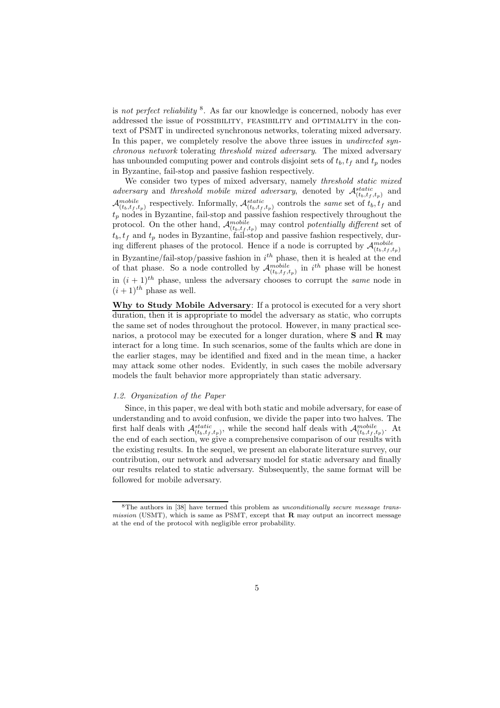is *not perfect reliability* <sup>8</sup> . As far our knowledge is concerned, nobody has ever addressed the issue of POSSIBILITY, FEASIBILITY and OPTIMALITY in the context of PSMT in undirected synchronous networks, tolerating mixed adversary. In this paper, we completely resolve the above three issues in *undirected synchronous network* tolerating *threshold mixed adversary*. The mixed adversary has unbounded computing power and controls disjoint sets of  $t_b$ ,  $t_f$  and  $t_p$  nodes in Byzantine, fail-stop and passive fashion respectively.

We consider two types of mixed adversary, namely *threshold static mixed adversary* and *threshold mobile mixed adversary*, denoted by  $\mathcal{A}_{(t_b,t_f,t_p)}^{static}$  and  $\mathcal{A}_{(t_b,t_f,t_p)}^{mobile}$  respectively. Informally,  $\mathcal{A}_{(t_b,t_f,t_p)}^{static}$  controls the *same* set of  $t_b, t_f$  and  $t_p$  nodes in Byzantine, fail-stop and passive fashion respectively throughout the protocol. On the other hand,  $\mathcal{A}_{(t_b,t_f,t_p)}^{mobile}$  may control *potentially different* set of  $t_b, t_f$  and  $t_p$  nodes in Byzantine, fail-stop and passive fashion respectively, during different phases of the protocol. Hence if a node is corrupted by  $\mathcal{A}_{(t_b,t_f,t_p)}^{mobile}$ in Byzantine/fail-stop/passive fashion in  $i<sup>th</sup>$  phase, then it is healed at the end of that phase. So a node controlled by  $\mathcal{A}_{(t_b,t_f,t_p)}^{mobile}$  in  $i^{th}$  phase will be honest in  $(i + 1)^{th}$  phase, unless the adversary chooses to corrupt the *same* node in  $(i+1)^{th}$  phase as well.

Why to Study Mobile Adversary: If a protocol is executed for a very short duration, then it is appropriate to model the adversary as static, who corrupts the same set of nodes throughout the protocol. However, in many practical scenarios, a protocol may be executed for a longer duration, where  $S$  and  $R$  may interact for a long time. In such scenarios, some of the faults which are done in the earlier stages, may be identified and fixed and in the mean time, a hacker may attack some other nodes. Evidently, in such cases the mobile adversary models the fault behavior more appropriately than static adversary.

#### *1.2. Organization of the Paper*

Since, in this paper, we deal with both static and mobile adversary, for ease of understanding and to avoid confusion, we divide the paper into two halves. The first half deals with  $\mathcal{A}_{(t_b,t_f,t_p)}^{static}$ , while the second half deals with  $\mathcal{A}_{(t_b,t_f,t_p)}^{mobile}$ . At the end of each section, we give a comprehensive comparison of our results with the existing results. In the sequel, we present an elaborate literature survey, our contribution, our network and adversary model for static adversary and finally our results related to static adversary. Subsequently, the same format will be followed for mobile adversary.

<sup>8</sup>The authors in [38] have termed this problem as unconditionally secure message transmission (USMT), which is same as PSMT, except that  **may output an incorrect message** at the end of the protocol with negligible error probability.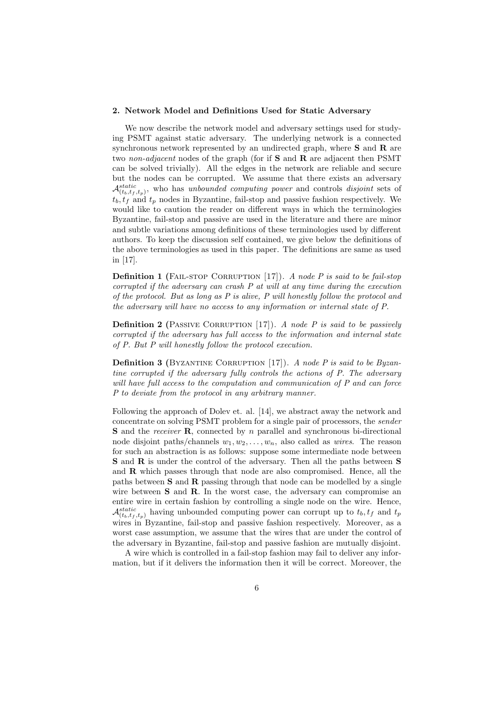#### 2. Network Model and Definitions Used for Static Adversary

We now describe the network model and adversary settings used for studying PSMT against static adversary. The underlying network is a connected synchronous network represented by an undirected graph, where  $S$  and  $R$  are two *non-adjacent* nodes of the graph (for if S and R are adjacent then PSMT can be solved trivially). All the edges in the network are reliable and secure but the nodes can be corrupted. We assume that there exists an adversary  $\mathcal{A}_{(t_b,t_f,t_p)}^{static}$ , who has *unbounded computing power* and controls *disjoint* sets of  $t_b, t_f$  and  $t_p$  nodes in Byzantine, fail-stop and passive fashion respectively. We would like to caution the reader on different ways in which the terminologies Byzantine, fail-stop and passive are used in the literature and there are minor and subtle variations among definitions of these terminologies used by different authors. To keep the discussion self contained, we give below the definitions of the above terminologies as used in this paper. The definitions are same as used in [17].

**Definition 1** (FAIL-STOP CORRUPTION [17]). *A node P is said to be fail-stop corrupted if the adversary can crash P at will at any time during the execution of the protocol. But as long as P is alive, P will honestly follow the protocol and the adversary will have no access to any information or internal state of P.*

**Definition 2** (PASSIVE CORRUPTION [17]). *A node P is said to be passively corrupted if the adversary has full access to the information and internal state of P. But P will honestly follow the protocol execution.*

**Definition 3** (BYZANTINE CORRUPTION [17]). *A node P is said to be Byzantine corrupted if the adversary fully controls the actions of P. The adversary will have full access to the computation and communication of P and can force P to deviate from the protocol in any arbitrary manner.*

Following the approach of Dolev et. al. [14], we abstract away the network and concentrate on solving PSMT problem for a single pair of processors, the *sender* S and the *receiver* R, connected by n parallel and synchronous bi-directional node disjoint paths/channels  $w_1, w_2, \ldots, w_n$ , also called as *wires*. The reason for such an abstraction is as follows: suppose some intermediate node between S and R is under the control of the adversary. Then all the paths between S and R which passes through that node are also compromised. Hence, all the paths between S and R passing through that node can be modelled by a single wire between **S** and **R**. In the worst case, the adversary can compromise an entire wire in certain fashion by controlling a single node on the wire. Hence,  $\mathcal{A}_{(t_b,t_f,t_p)}^{static}$  having unbounded computing power can corrupt up to  $t_b, t_f$  and  $t_p$ wires in Byzantine, fail-stop and passive fashion respectively. Moreover, as a worst case assumption, we assume that the wires that are under the control of the adversary in Byzantine, fail-stop and passive fashion are mutually disjoint.

A wire which is controlled in a fail-stop fashion may fail to deliver any information, but if it delivers the information then it will be correct. Moreover, the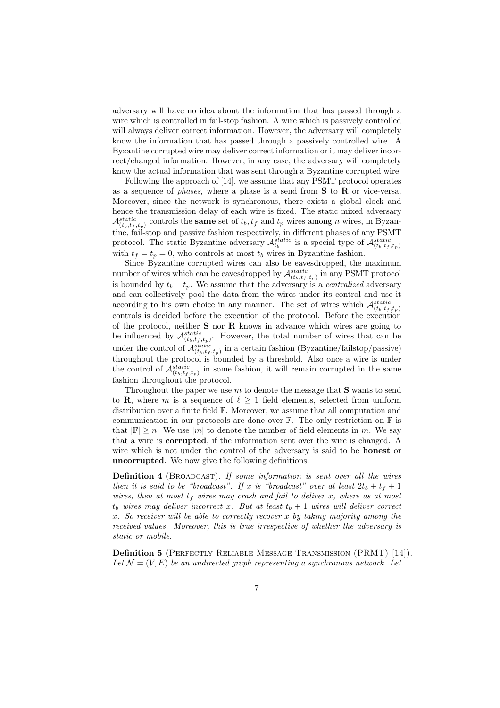adversary will have no idea about the information that has passed through a wire which is controlled in fail-stop fashion. A wire which is passively controlled will always deliver correct information. However, the adversary will completely know the information that has passed through a passively controlled wire. A Byzantine corrupted wire may deliver correct information or it may deliver incorrect/changed information. However, in any case, the adversary will completely know the actual information that was sent through a Byzantine corrupted wire.

Following the approach of [14], we assume that any PSMT protocol operates as a sequence of *phases*, where a phase is a send from S to R or vice-versa. Moreover, since the network is synchronous, there exists a global clock and hence the transmission delay of each wire is fixed. The static mixed adversary  $\mathcal{A}_{(t_b,t_f,t_p)}^{static}$  controls the **same** set of  $t_b, t_f$  and  $t_p$  wires among n wires, in Byzantine, fail-stop and passive fashion respectively, in different phases of any PSMT protocol. The static Byzantine adversary  $\mathcal{A}_{t_b}^{static}$  is a special type of  $\mathcal{A}_{(t_b,t_f,t_p)}^{static}$ with  $t_f = t_p = 0$ , who controls at most  $t_b$  wires in Byzantine fashion.

Since Byzantine corrupted wires can also be eavesdropped, the maximum number of wires which can be eavesdropped by  $\mathcal{A}^{static}_{(t_b,t_f,t_p)}$  in any PSMT protocol is bounded by  $t_b + t_p$ . We assume that the adversary is a *centralized* adversary and can collectively pool the data from the wires under its control and use it according to his own choice in any manner. The set of wires which  $\mathcal{A}_{(t_b,t_f,t_p)}^{static}$ controls is decided before the execution of the protocol. Before the execution of the protocol, neither S nor R knows in advance which wires are going to be influenced by  $\mathcal{A}_{(t_b,t_f,t_p)}^{static}$ . However, the total number of wires that can be under the control of  $\mathcal{A}_{(t_b,t_f,t_p)}^{static}$  in a certain fashion (Byzantine/failstop/passive) throughout the protocol is bounded by a threshold. Also once a wire is under the control of  $\mathcal{A}_{(t_b,t_f,t_p)}^{static}$  in some fashion, it will remain corrupted in the same fashion throughout the protocol.

Throughout the paper we use  $m$  to denote the message that  $S$  wants to send to **R**, where m is a sequence of  $\ell \geq 1$  field elements, selected from uniform distribution over a finite field F. Moreover, we assume that all computation and communication in our protocols are done over  $\mathbb{F}$ . The only restriction on  $\mathbb{F}$  is that  $|\mathbb{F}| \geq n$ . We use  $|m|$  to denote the number of field elements in m. We say that a wire is corrupted, if the information sent over the wire is changed. A wire which is not under the control of the adversary is said to be **honest** or uncorrupted. We now give the following definitions:

Definition 4 (Broadcast). *If some information is sent over all the wires then it is said to be "broadcast". If* x *is "broadcast" over at least*  $2t_b + t_f + 1$ *wires, then at most*  $t_f$  *wires may crash and fail to deliver* x, *where as at most*  $t_b$  wires may deliver incorrect x. But at least  $t_b + 1$  wires will deliver correct x*. So receiver will be able to correctly recover* x *by taking majority among the received values. Moreover, this is true irrespective of whether the adversary is static or mobile.*

Definition 5 (PERFECTLY RELIABLE MESSAGE TRANSMISSION (PRMT) [14]). Let  $\mathcal{N} = (V, E)$  *be an undirected graph representing a synchronous network.* Let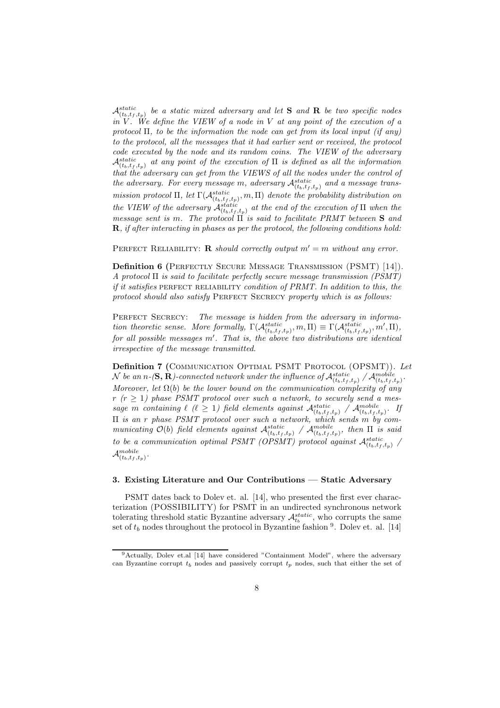$\mathcal{A}_{(t_b,t_f,t_p)}^{static}$  be a static mixed adversary and let **S** and **R** be two specific nodes *in* V *. We define the VIEW of a node in* V *at any point of the execution of a protocol* Π*, to be the information the node can get from its local input (if any) to the protocol, all the messages that it had earlier sent or received, the protocol code executed by the node and its random coins. The VIEW of the adversary*  $\mathcal{A}_{(t_b,t_f,t_p)}^{static}$  at any point of the execution of  $\Pi$  is defined as all the information *that the adversary can get from the VIEWS of all the nodes under the control of* the adversary. For every message m, adversary  $\mathcal{A}_{(t_b,t_f,t_p)}^{static}$  and a message trans*mission protocol*  $\Pi$ , *let*  $\Gamma(\mathcal{A}_{(t_b,t_f,t_p)}^{static},m,\Pi)$  *denote the probability distribution on the VIEW of the adversary*  $\mathcal{A}_{(t_b,t_f,t_p)}^{static}$  *at the end of the execution of*  $\Pi$  *when the message sent is* m*. The protocol* Π *is said to facilitate PRMT between* S *and* R*, if after interacting in phases as per the protocol, the following conditions hold:*

PERFECT RELIABILITY: **R** *should correctly output*  $m' = m$  *without any error.* 

Definition 6 (Perfectly Secure Message Transmission (PSMT) [14]). *A protocol* Π *is said to facilitate perfectly secure message transmission (PSMT) if it satisfies* PERFECT RELIABILITY *condition of PRMT. In addition to this, the protocol should also satisfy* Perfect Secrecy *property which is as follows:*

PERFECT SECRECY: The message is hidden from the adversary in informa*tion theoretic sense. More formally,*  $\Gamma(\mathcal{A}_{(t_b,t_f,t_p)}^{static},m,\Pi) \equiv \Gamma(\mathcal{A}_{(t_b,t_f,t_p)}^{static},m',\Pi),$ *for all possible messages* m′ *. That is, the above two distributions are identical irrespective of the message transmitted.*

Definition 7 (COMMUNICATION OPTIMAL PSMT PROTOCOL (OPSMT)). Let  $\cal N$  be an n-(**S**,  ${\bf R}$ )-connected network under the influence of  ${\cal A}_{(t_b,t_f,t_p)}^{static}$  /  ${\cal A}_{(t_b,t_f,t_p)}^{mobile}$ . *Moreover, let* Ω(b) *be the lower bound on the communication complexity of any*  $r (r \geq 1)$  phase PSMT protocol over such a network, to securely send a mes*sage m containing*  $\ell$  ( $\ell \geq 1$ ) field elements against  $\mathcal{A}_{(t_b,t_f,t_p)}^{static}$  /  $\mathcal{A}_{(t_b,t_f,t_p)}^{mobile}$ . If Π *is an* r *phase PSMT protocol over such a network, which sends* m *by com* $minicating$   $\mathcal{O}(b)$  *field elements against*  $\mathcal{A}_{(t_b,t_f,t_p)}^{static}$  /  $\mathcal{A}_{(t_b,t_f,t_p)}^{mobile}$ , then  $\Pi$  *is said to be a communication optimal PSMT (OPSMT) protocol against*  $\mathcal{A}_{(t_b,t_f,t_p)}^{static}$  /  $\mathcal{A}_{(t_b,t_f,t_p)}^{mobile}$ .

#### 3. Existing Literature and Our Contributions — Static Adversary

PSMT dates back to Dolev et. al. [14], who presented the first ever characterization (POSSIBILITY) for PSMT in an undirected synchronous network tolerating threshold static Byzantine adversary  $\mathcal{A}^{static}_{t_b}$ , who corrupts the same set of  $t_b$  nodes throughout the protocol in Byzantine fashion  $9$ . Dolev et. al. [14]

<sup>9</sup>Actually, Dolev et.al [14] have considered "Containment Model", where the adversary can Byzantine corrupt  $t_b$  nodes and passively corrupt  $t_p$  nodes, such that either the set of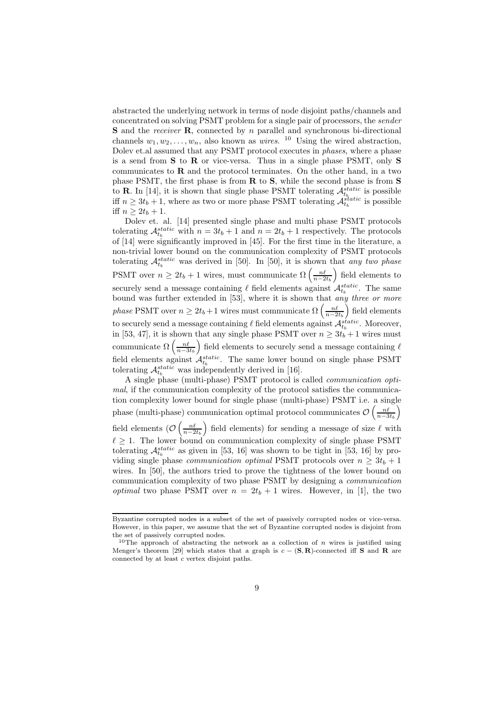abstracted the underlying network in terms of node disjoint paths/channels and concentrated on solving PSMT problem for a single pair of processors, the *sender* S and the *receiver* R, connected by n parallel and synchronous bi-directional channels  $w_1, w_2, \ldots, w_n$ , also known as *wires*. <sup>10</sup> Using the wired abstraction, Dolev et.al assumed that any PSMT protocol executes in *phases*, where a phase is a send from S to R or vice-versa. Thus in a single phase PSMT, only S communicates to  **and the protocol terminates. On the other hand, in a two** phase PSMT, the first phase is from R to S, while the second phase is from S to **R**. In [14], it is shown that single phase PSMT tolerating  $\mathcal{A}_{t_b}^{static}$  is possible iff  $n \geq 3t_b + 1$ , where as two or more phase PSMT tolerating  $\mathcal{A}_{t_b}^{static}$  is possible iff  $n > 2t_b + 1$ .

Dolev et. al. [14] presented single phase and multi phase PSMT protocols tolerating  $\mathcal{A}_{t_b}^{static}$  with  $n = 3t_b + 1$  and  $n = 2t_b + 1$  respectively. The protocols of [14] were significantly improved in [45]. For the first time in the literature, a non-trivial lower bound on the communication complexity of PSMT protocols tolerating  $\mathcal{A}_{t_b}^{static}$  was derived in [50]. In [50], it is shown that *any two phase* PSMT over  $n \geq 2t_b + 1$  wires, must communicate  $\Omega\left(\frac{n\ell}{n-2t_b}\right)$  field elements to securely send a message containing  $\ell$  field elements against  $\mathcal{A}_{t_b}^{static}$ . The same bound was further extended in [53], where it is shown that *any three or more phase* PSMT over  $n \geq 2t_b + 1$  wires must communicate  $\Omega\left(\frac{n\ell}{n-2t_b}\right)$  field elements to securely send a message containing  $\ell$  field elements against  $\mathcal{A}_{t_b}^{static}$ . Moreover, in [53, 47], it is shown that any single phase PSMT over  $n \geq 3t_b + 1$  wires must communicate  $\Omega\left(\frac{n\ell}{n-3t_b}\right)$  field elements to securely send a message containing  $\ell$ field elements against  $\mathcal{A}_{t_b}^{static}$ . The same lower bound on single phase PSMT tolerating  $\mathcal{A}_{t_b}^{static}$  was independently derived in [16].

A single phase (multi-phase) PSMT protocol is called *communication optimal*, if the communication complexity of the protocol satisfies the communication complexity lower bound for single phase (multi-phase) PSMT i.e. a single phase (multi-phase) communication optimal protocol communicates  $\mathcal{O}\left(\frac{n\ell}{n-3t_b}\right)$ field elements  $(\mathcal{O}\left(\frac{n\ell}{n-2t_b}\right)$  field elements) for sending a message of size  $\ell$  with  $\ell \geq 1$ . The lower bound on communication complexity of single phase PSMT tolerating  $\mathcal{A}_{t_b}^{static}$  as given in [53, 16] was shown to be tight in [53, 16] by providing single phase *communication optimal* PSMT protocols over  $n \geq 3t_b + 1$ wires. In [50], the authors tried to prove the tightness of the lower bound on communication complexity of two phase PSMT by designing a *communication optimal* two phase PSMT over  $n = 2t_b + 1$  wires. However, in [1], the two

Byzantine corrupted nodes is a subset of the set of passively corrupted nodes or vice-versa. However, in this paper, we assume that the set of Byzantine corrupted nodes is disjoint from the set of passively corrupted nodes.

<sup>&</sup>lt;sup>10</sup>The approach of abstracting the network as a collection of n wires is justified using Menger's theorem [29] which states that a graph is  $c - (\mathbf{S}, \mathbf{R})$ -connected iff **S** and **R** are connected by at least c vertex disjoint paths.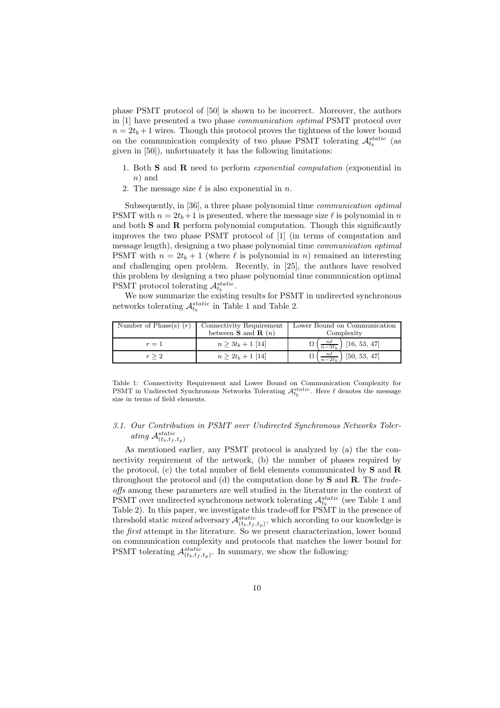phase PSMT protocol of [50] is shown to be incorrect. Moreover, the authors in [1] have presented a two phase *communication optimal* PSMT protocol over  $n = 2t_b + 1$  wires. Though this protocol proves the tightness of the lower bound on the communication complexity of two phase PSMT tolerating  $\mathcal{A}_{t_b}^{static}$  (as given in [50]), unfortunately it has the following limitations:

- 1. Both S and R need to perform *exponential computation* (exponential in n) and
- 2. The message size  $\ell$  is also exponential in n.

Subsequently, in [36], a three phase polynomial time *communication optimal* PSMT with  $n = 2t_b + 1$  is presented, where the message size  $\ell$  is polynomial in n and both S and R perform polynomial computation. Though this significantly improves the two phase PSMT protocol of [1] (in terms of computation and message length), designing a two phase polynomial time *communication optimal* PSMT with  $n = 2t_b + 1$  (where  $\ell$  is polynomial in n) remained an interesting and challenging open problem. Recently, in [25], the authors have resolved this problem by designing a two phase polynomial time communication optimal PSMT protocol tolerating  $\mathcal{A}_{t_b}^{static}$ .

We now summarize the existing results for PSMT in undirected synchronous networks tolerating  $\mathcal{A}_{t_b}^{static}$  in Table 1 and Table 2.

| Number of Phase(s) $(r)$ | Connectivity Requirement            | Lower Bound on Communication                           |  |
|--------------------------|-------------------------------------|--------------------------------------------------------|--|
|                          | between <b>S</b> and <b>R</b> $(n)$ | Complexity                                             |  |
| $r=1$                    | $n \geq 3t_b + 1$ [14]              | $\Omega\left(\frac{n\ell}{n-3t_b}\right)$ [16, 53, 47] |  |
| $r \geq 2$               | $n \geq 2t_b + 1$ [14]              | $\Omega\left(\frac{n\ell}{n-2t_b}\right)$ [50, 53, 47] |  |

Table 1: Connectivity Requirement and Lower Bound on Communication Complexity for PSMT in Undirected Synchronous Networks Tolerating  $\mathcal{A}_{t_b}^{static}$ . Here  $\ell$  denotes the message size in terms of field elements.

### *3.1. Our Contribution in PSMT over Undirected Synchronous Networks Toler*ating  $\mathcal{A}_{(t_b,t_f,t_p)}^{static}$

As mentioned earlier, any PSMT protocol is analyzed by (a) the the connectivity requirement of the network, (b) the number of phases required by the protocol, (c) the total number of field elements communicated by  $S$  and  $R$ throughout the protocol and (d) the computation done by S and R. The *tradeoffs* among these parameters are well studied in the literature in the context of PSMT over undirected synchronous network tolerating  $\mathcal{A}^{static}_{t_b}$  (see Table 1 and Table 2). In this paper, we investigate this trade-off for PSMT in the presence of threshold static *mixed* adversary  $\mathcal{A}_{(t_b,t_f,t_p)}^{static}$ , which according to our knowledge is the *first* attempt in the literature. So we present characterization, lower bound on communication complexity and protocols that matches the lower bound for PSMT tolerating  $\mathcal{A}_{(t_b,t_f,t_p)}^{static}$ . In summary, we show the following: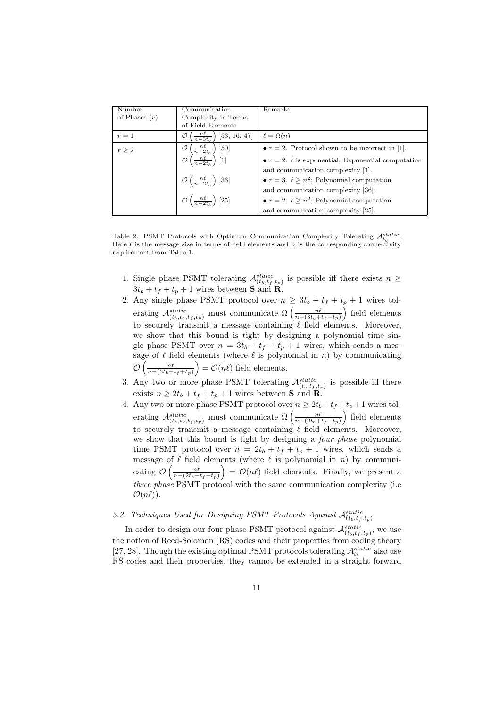| Number          | Communication                                                                                              | Remarks                                                    |
|-----------------|------------------------------------------------------------------------------------------------------------|------------------------------------------------------------|
| of Phases $(r)$ | Complexity in Terms                                                                                        |                                                            |
|                 |                                                                                                            |                                                            |
|                 | of Field Elements                                                                                          |                                                            |
| $r=1$           | $\frac{n\ell}{n-3t_h}$<br>[53, 16, 47]<br>Ω                                                                | $\ell = \Omega(n)$                                         |
| $r \geq 2$      | $\begin{pmatrix} \frac{n\ell}{n-2t_b} \\ h \end{pmatrix}$ [50]<br>$\left(\frac{n\ell}{n-2t_b}\right)$ [1]  | • $r = 2$ . Protocol shown to be incorrect in [1].         |
|                 |                                                                                                            | • $r = 2$ . $\ell$ is exponential; Exponential computation |
|                 |                                                                                                            | and communication complexity [1].                          |
|                 | $\mathcal{O}\left(\frac{n\ell}{n-2t_b}\right) [36]$<br>$\mathcal{O}\left(\frac{n\ell}{n-2t_b}\right) [25]$ | • $r = 3$ . $\ell \geq n^2$ ; Polynomial computation       |
|                 |                                                                                                            | and communication complexity [36].                         |
|                 |                                                                                                            | • $r = 2$ . $\ell \geq n^2$ ; Polynomial computation       |
|                 |                                                                                                            | and communication complexity [25].                         |

Table 2: PSMT Protocols with Optimum Communication Complexity Tolerating  $\mathcal{A}_{t_b}^{static}$ . Here  $\ell$  is the message size in terms of field elements and n is the corresponding connectivity requirement from Table 1.

- 1. Single phase PSMT tolerating  $\mathcal{A}_{(t_b,t_f,t_p)}^{static}$  is possible iff there exists  $n \geq$  $3t_b + t_f + t_p + 1$  wires between **S** and **R**.
- 2. Any single phase PSMT protocol over  $n \geq 3t_b + t_f + t_p + 1$  wires tolerating  $\mathcal{A}_{(t_b,t_o,t_f,t_p)}^{static}$  must communicate  $\Omega\left(\frac{n\ell}{n-(3t_b+t_f+t_p)}\right)$  field elements to securely transmit a message containing  $\ell$  field elements. Moreover, we show that this bound is tight by designing a polynomial time single phase PSMT over  $n = 3t_b + t_f + t_p + 1$  wires, which sends a message of  $\ell$  field elements (where  $\ell$  is polynomial in n) by communicating  $\mathcal{O}\left(\frac{n\ell}{n-(3t_b+t_f+t_p)}\right) = \mathcal{O}(n\ell)$  field elements.
- 3. Any two or more phase PSMT tolerating  $\mathcal{A}_{(t_b,t_f,t_p)}^{static}$  is possible iff there exists  $n \ge 2t_b + t_f + t_p + 1$  wires between **S** and **R**.
- 4. Any two or more phase PSMT protocol over  $n \ge 2t_b + t_f + t_p + 1$  wires tolerating  $\mathcal{A}_{(t_b,t_o,t_f,t_p)}^{static}$  must communicate  $\Omega\left(\frac{n\ell}{n-(2t_b+t_f+t_p)}\right)$  field elements to securely transmit a message containing  $\ell$  field elements. Moreover, we show that this bound is tight by designing a *four phase* polynomial time PSMT protocol over  $n = 2t_b + t_f + t_p + 1$  wires, which sends a message of  $\ell$  field elements (where  $\ell$  is polynomial in n) by communicating  $\mathcal{O}\left(\frac{n\ell}{n-(2t_b+t_f+t_p)}\right) = \mathcal{O}(n\ell)$  field elements. Finally, we present a *three phase* PSMT protocol with the same communication complexity (i.e  $\mathcal{O}(n\ell)$ ).

### 3.2. Techniques Used for Designing PSMT Protocols Against  $\mathcal{A}_{(t_b,t_f,t_p)}^{static}$

In order to design our four phase PSMT protocol against  $\mathcal{A}^{static}_{(t_b,t_f,t_p)}$ , we use the notion of Reed-Solomon (RS) codes and their properties from coding theory [27, 28]. Though the existing optimal PSMT protocols tolerating  $\mathcal{A}_{t_b}^{static}$  also use RS codes and their properties, they cannot be extended in a straight forward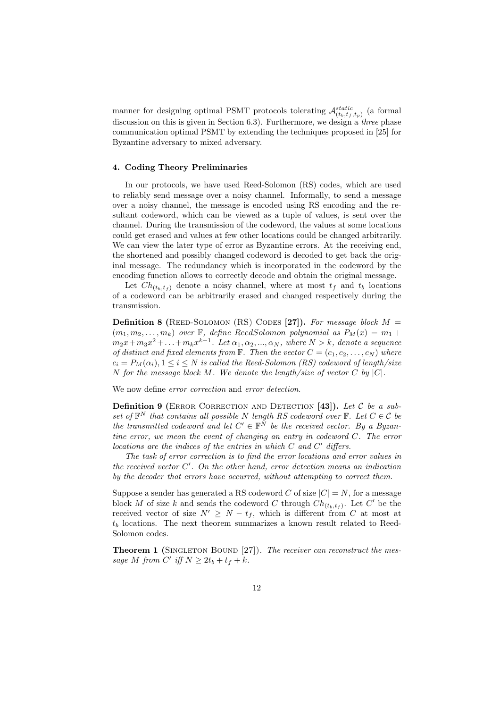manner for designing optimal PSMT protocols tolerating  $\mathcal{A}_{(t_b,t_f,t_p)}^{static}$  (a formal discussion on this is given in Section 6.3). Furthermore, we design a *three* phase communication optimal PSMT by extending the techniques proposed in [25] for Byzantine adversary to mixed adversary.

#### 4. Coding Theory Preliminaries

In our protocols, we have used Reed-Solomon (RS) codes, which are used to reliably send message over a noisy channel. Informally, to send a message over a noisy channel, the message is encoded using RS encoding and the resultant codeword, which can be viewed as a tuple of values, is sent over the channel. During the transmission of the codeword, the values at some locations could get erased and values at few other locations could be changed arbitrarily. We can view the later type of error as Byzantine errors. At the receiving end, the shortened and possibly changed codeword is decoded to get back the original message. The redundancy which is incorporated in the codeword by the encoding function allows to correctly decode and obtain the original message.

Let  $Ch_{(t_b,t_f)}$  denote a noisy channel, where at most  $t_f$  and  $t_b$  locations of a codeword can be arbitrarily erased and changed respectively during the transmission.

**Definition 8** (REED-SOLOMON (RS) CODES [27]). For message block  $M =$  $(m_1, m_2, \ldots, m_k)$  *over* **F**, define ReedSolomon *polynomial* as  $P_M(x) = m_1 +$  $m_2x + m_3x^2 + \ldots + m_kx^{k-1}$ . Let  $\alpha_1, \alpha_2, ..., \alpha_N$ , where  $N > k$ , denote a sequence *of distinct and fixed elements from*  $\mathbb{F}$ *. Then the vector*  $C = (c_1, c_2, \ldots, c_N)$  *where*  $c_i = P_M(\alpha_i), 1 \leq i \leq N$  *is called the Reed-Solomon (RS) codeword of length/size* N *for the message block* M*. We denote the length/size of vector* C *by* |C|*.*

We now define *error correction* and *error detection*.

Definition 9 (ERROR CORRECTION AND DETECTION [43]). Let C be a sub*set of*  $\mathbb{F}^N$  *that contains all possible* N *length RS codeword over*  $\mathbb{F}$ *. Let*  $C \in \mathcal{C}$  *be the transmitted codeword and let*  $C' \in \mathbb{F}^N$  *be the received vector. By a Byzantine error, we mean the event of changing an entry in codeword* C*. The error locations are the indices of the entries in which* C *and* C ′ *differs.*

*The task of error correction is to find the error locations and error values in the received vector* C ′ *. On the other hand, error detection means an indication by the decoder that errors have occurred, without attempting to correct them.*

Suppose a sender has generated a RS codeword C of size  $|C| = N$ , for a message block M of size k and sends the codeword C through  $Ch_{(t_b,t_f)}$ . Let C' be the received vector of size  $N' \geq N - t_f$ , which is different from C at most at  $t_b$  locations. The next theorem summarizes a known result related to Reed-Solomon codes.

**Theorem 1** (SINGLETON BOUND [27]). *The receiver can reconstruct the mes*sage M from C' iff  $N \geq 2t_b + t_f + k$ .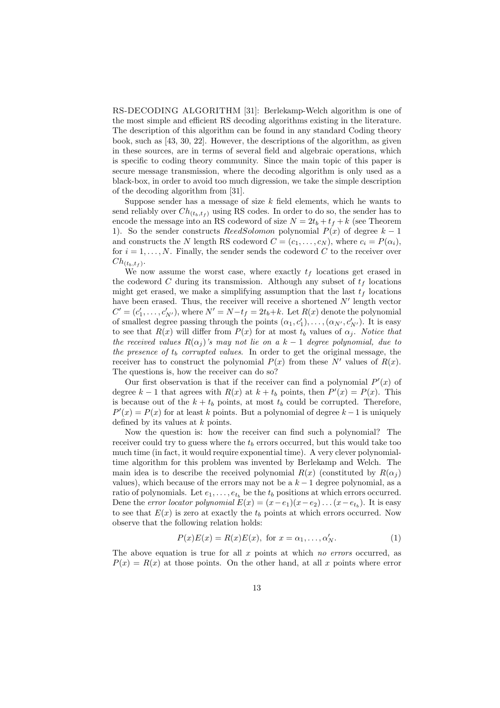RS-DECODING ALGORITHM [31]: Berlekamp-Welch algorithm is one of the most simple and efficient RS decoding algorithms existing in the literature. The description of this algorithm can be found in any standard Coding theory book, such as [43, 30, 22]. However, the descriptions of the algorithm, as given in these sources, are in terms of several field and algebraic operations, which is specific to coding theory community. Since the main topic of this paper is secure message transmission, where the decoding algorithm is only used as a black-box, in order to avoid too much digression, we take the simple description of the decoding algorithm from [31].

Suppose sender has a message of size  $k$  field elements, which he wants to send reliably over  $Ch_{(t_b,t_f)}$  using RS codes. In order to do so, the sender has to encode the message into an RS codeword of size  $N = 2t_b + t_f + k$  (see Theorem 1). So the sender constructs ReedSolomon polynomial  $P(x)$  of degree  $k-1$ and constructs the N length RS codeword  $C = (c_1, \ldots, c_N)$ , where  $c_i = P(\alpha_i)$ , for  $i = 1, \ldots, N$ . Finally, the sender sends the codeword C to the receiver over  $Ch_{(t_b,t_f)}.$ 

We now assume the worst case, where exactly  $t_f$  locations get erased in the codeword C during its transmission. Although any subset of  $t_f$  locations might get erased, we make a simplifying assumption that the last  $t_f$  locations have been erased. Thus, the receiver will receive a shortened  $N'$  length vector  $C' = (c'_1, \ldots, c'_{N'})$ , where  $N' = N - t_f = 2t_b + k$ . Let  $R(x)$  denote the polynomial of smallest degree passing through the points  $(\alpha_1, c'_1), \ldots, (\alpha_{N'}, c'_{N'})$ . It is easy to see that  $R(x)$  will differ from  $P(x)$  for at most  $t<sub>b</sub>$  values of  $\alpha<sub>i</sub>$ . *Notice that the received values*  $R(\alpha_i)$ 's may not lie on a k – 1 degree polynomial, due to *the presence of*  $t_b$  *corrupted values*. In order to get the original message, the receiver has to construct the polynomial  $P(x)$  from these N' values of  $R(x)$ . The questions is, how the receiver can do so?

Our first observation is that if the receiver can find a polynomial  $P'(x)$  of degree  $k-1$  that agrees with  $R(x)$  at  $k+t_b$  points, then  $P'(x) = P(x)$ . This is because out of the  $k + t_b$  points, at most  $t_b$  could be corrupted. Therefore,  $P'(x) = P(x)$  for at least k points. But a polynomial of degree  $k-1$  is uniquely defined by its values at  $k$  points.

Now the question is: how the receiver can find such a polynomial? The receiver could try to guess where the  $t<sub>b</sub>$  errors occurred, but this would take too much time (in fact, it would require exponential time). A very clever polynomialtime algorithm for this problem was invented by Berlekamp and Welch. The main idea is to describe the received polynomial  $R(x)$  (constituted by  $R(\alpha_i)$ ) values), which because of the errors may not be a  $k-1$  degree polynomial, as a ratio of polynomials. Let  $e_1, \ldots, e_{t_b}$  be the  $t_b$  positions at which errors occurred. Dene the *error locator polynomial*  $E(x) = (x - e_1)(x - e_2) \dots (x - e_{t_b})$ . It is easy to see that  $E(x)$  is zero at exactly the  $t<sub>b</sub>$  points at which errors occurred. Now observe that the following relation holds:

$$
P(x)E(x) = R(x)E(x), \text{ for } x = \alpha_1, \dots, \alpha'_N.
$$
 (1)

The above equation is true for all x points at which *no errors* occurred, as  $P(x) = R(x)$  at those points. On the other hand, at all x points where error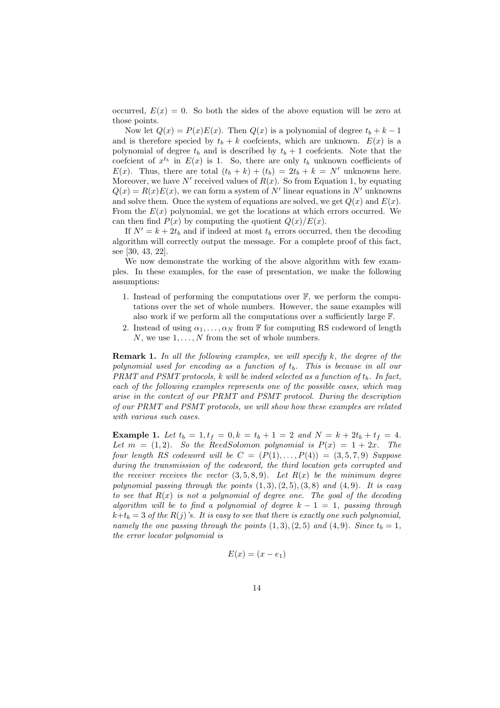occurred,  $E(x) = 0$ . So both the sides of the above equation will be zero at those points.

Now let  $Q(x) = P(x)E(x)$ . Then  $Q(x)$  is a polynomial of degree  $t_b + k - 1$ and is therefore specied by  $t_b + k$  coefcients, which are unknown.  $E(x)$  is a polynomial of degree  $t_b$  and is described by  $t_b + 1$  coefcients. Note that the coefcient of  $x^{t_b}$  in  $E(x)$  is 1. So, there are only  $t_b$  unknown coefficients of  $E(x)$ . Thus, there are total  $(t_b + k) + (t_b) = 2t_b + k = N'$  unknowns here. Moreover, we have  $N'$  received values of  $R(x)$ . So from Equation 1, by equating  $Q(x) = R(x)E(x)$ , we can form a system of N' linear equations in N' unknowns and solve them. Once the system of equations are solved, we get  $Q(x)$  and  $E(x)$ . From the  $E(x)$  polynomial, we get the locations at which errors occurred. We can then find  $P(x)$  by computing the quotient  $Q(x)/E(x)$ .

If  $N' = k + 2t_b$  and if indeed at most  $t_b$  errors occurred, then the decoding algorithm will correctly output the message. For a complete proof of this fact, see [30, 43, 22].

We now demonstrate the working of the above algorithm with few examples. In these examples, for the ease of presentation, we make the following assumptions:

- 1. Instead of performing the computations over  $\mathbb{F}$ , we perform the computations over the set of whole numbers. However, the same examples will also work if we perform all the computations over a sufficiently large F.
- 2. Instead of using  $\alpha_1, \ldots, \alpha_N$  from F for computing RS codeword of length N, we use  $1, \ldots, N$  from the set of whole numbers.

Remark 1. *In all the following examples, we will specify* k*, the degree of the polynomial used for encoding as a function of*  $t<sub>b</sub>$ *. This is because in all our PRMT and PSMT protocols, k will be indeed selected as a function of*  $t<sub>b</sub>$ *. In fact, each of the following examples represents one of the possible cases, which may arise in the context of our PRMT and PSMT protocol. During the description of our PRMT and PSMT protocols, we will show how these examples are related with various such cases.*

**Example 1.** Let  $t_b = 1$ ,  $t_f = 0$ ,  $k = t_b + 1 = 2$  and  $N = k + 2t_b + t_f = 4$ . Let  $m = (1, 2)$ *. So the ReedSolomon polynomial is*  $P(x) = 1 + 2x$ *. The four length RS codeword will be*  $C = (P(1), \ldots, P(4)) = (3, 5, 7, 9)$  *Suppose during the transmission of the codeword, the third location gets corrupted and the receiver receives the vector*  $(3, 5, 8, 9)$ *. Let*  $R(x)$  *be the minimum degree* polynomial passing through the points  $(1, 3), (2, 5), (3, 8)$  and  $(4, 9)$ *. It is easy to see that* R(x) *is not a polynomial of degree one. The goal of the decoding algorithm will be to find a polynomial of degree*  $k - 1 = 1$ *, passing through*  $k+t_b = 3$  of the  $R(j)$ 's. It is easy to see that there is exactly one such polynomial, *namely the one passing through the points*  $(1, 3), (2, 5)$  *and*  $(4, 9)$ *. Since*  $t_b = 1$ *, the error locator polynomial is*

$$
E(x) = (x - e_1)
$$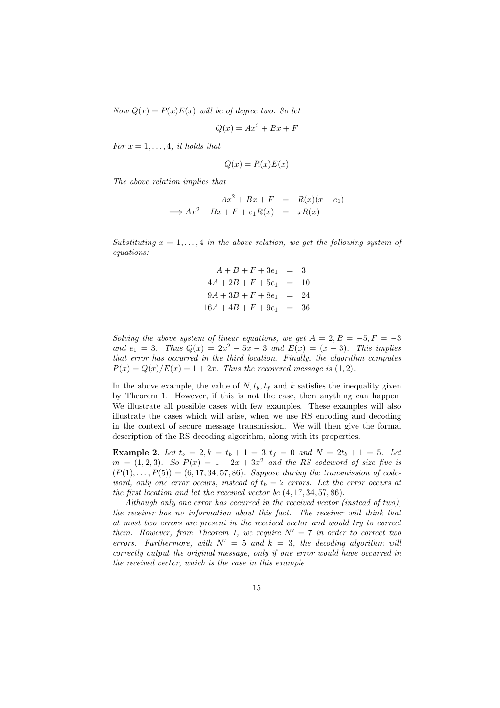*Now*  $Q(x) = P(x)E(x)$  *will be of degree two. So let* 

$$
Q(x) = Ax^2 + Bx + F
$$

*For*  $x = 1, \ldots, 4$ *, it holds that* 

$$
Q(x) = R(x)E(x)
$$

*The above relation implies that*

$$
Ax2 + Bx + F = R(x)(x - e1)
$$
  
\n
$$
\implies Ax2 + Bx + F + e1R(x) = xR(x)
$$

*Substituting*  $x = 1, \ldots, 4$  *in the above relation, we get the following system of equations:*

$$
A + B + F + 3e1 = 3
$$
  
\n
$$
4A + 2B + F + 5e1 = 10
$$
  
\n
$$
9A + 3B + F + 8e1 = 24
$$
  
\n
$$
16A + 4B + F + 9e1 = 36
$$

*Solving the above system of linear equations, we get*  $A = 2, B = -5, F = -3$ *and*  $e_1 = 3$ *. Thus*  $Q(x) = 2x^2 - 5x - 3$  *and*  $E(x) = (x - 3)$ *. This implies that error has occurred in the third location. Finally, the algorithm computes*  $P(x) = Q(x)/E(x) = 1 + 2x$ . Thus the recovered message is (1, 2).

In the above example, the value of  $N, t_b, t_f$  and k satisfies the inequality given by Theorem 1. However, if this is not the case, then anything can happen. We illustrate all possible cases with few examples. These examples will also illustrate the cases which will arise, when we use RS encoding and decoding in the context of secure message transmission. We will then give the formal description of the RS decoding algorithm, along with its properties.

**Example 2.** Let  $t_b = 2$ ,  $k = t_b + 1 = 3$ ,  $t_f = 0$  and  $N = 2t_b + 1 = 5$ . Let  $m = (1, 2, 3)$ *. So*  $P(x) = 1 + 2x + 3x^2$  and the RS codeword of size five is  $(P(1),..., P(5)) = (6, 17, 34, 57, 86)$ *. Suppose during the transmission of codeword, only one error occurs, instead of*  $t_b = 2$  *errors. Let the error occurs at the first location and let the received vector be* (4, 17, 34, 57, 86)*.*

*Although only one error has occurred in the received vector (instead of two), the receiver has no information about this fact. The receiver will think that at most two errors are present in the received vector and would try to correct them. However, from Theorem 1, we require*  $N' = 7$  *in order to correct two errors.* Furthermore, with  $N' = 5$  and  $k = 3$ , the decoding algorithm will *correctly output the original message, only if one error would have occurred in the received vector, which is the case in this example.*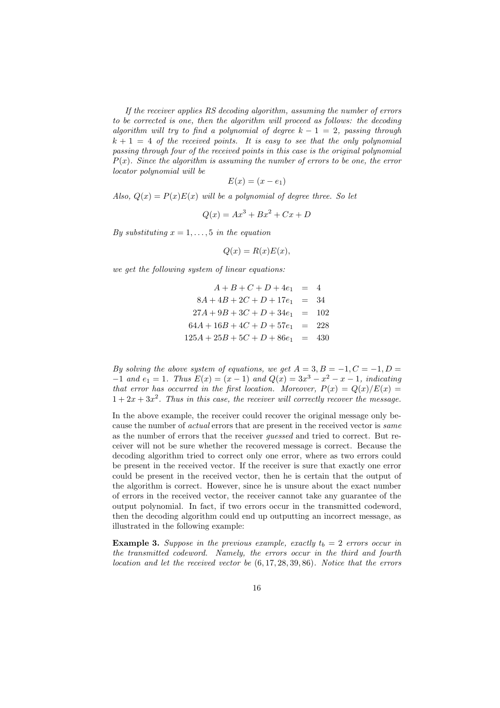*If the receiver applies RS decoding algorithm, assuming the number of errors to be corrected is one, then the algorithm will proceed as follows: the decoding algorithm will try to find a polynomial of degree*  $k - 1 = 2$ *, passing through*  $k + 1 = 4$  *of the received points. It is easy to see that the only polynomial passing through four of the received points in this case is the original polynomial*  $P(x)$ *. Since the algorithm is assuming the number of errors to be one, the error locator polynomial will be*

$$
E(x) = (x - e_1)
$$

*Also,*  $Q(x) = P(x)E(x)$  *will be a polynomial of degree three. So let* 

$$
Q(x) = Ax^3 + Bx^2 + Cx + D
$$

*By substituting*  $x = 1, \ldots, 5$  *in the equation* 

$$
Q(x) = R(x)E(x),
$$

*we get the following system of linear equations:*

$$
A + B + C + D + 4e1 = 4
$$
  
\n
$$
8A + 4B + 2C + D + 17e1 = 34
$$
  
\n
$$
27A + 9B + 3C + D + 34e1 = 102
$$
  
\n
$$
64A + 16B + 4C + D + 57e1 = 228
$$
  
\n
$$
125A + 25B + 5C + D + 86e1 = 430
$$

*By solving the above system of equations, we get*  $A = 3, B = -1, C = -1, D =$  $-1$  *and*  $e_1 = 1$ *. Thus*  $E(x) = (x - 1)$  *and*  $Q(x) = 3x^3 - x^2 - x - 1$ *, indicating that error has occurred in the first location. Moreover,*  $P(x) = Q(x)/E(x)$  $1 + 2x + 3x^2$ . Thus in this case, the receiver will correctly recover the message.

In the above example, the receiver could recover the original message only because the number of *actual* errors that are present in the received vector is *same* as the number of errors that the receiver *guessed* and tried to correct. But receiver will not be sure whether the recovered message is correct. Because the decoding algorithm tried to correct only one error, where as two errors could be present in the received vector. If the receiver is sure that exactly one error could be present in the received vector, then he is certain that the output of the algorithm is correct. However, since he is unsure about the exact number of errors in the received vector, the receiver cannot take any guarantee of the output polynomial. In fact, if two errors occur in the transmitted codeword, then the decoding algorithm could end up outputting an incorrect message, as illustrated in the following example:

**Example 3.** Suppose in the previous example, exactly  $t_b = 2$  errors occur in *the transmitted codeword. Namely, the errors occur in the third and fourth location and let the received vector be* (6, 17, 28, 39, 86)*. Notice that the errors*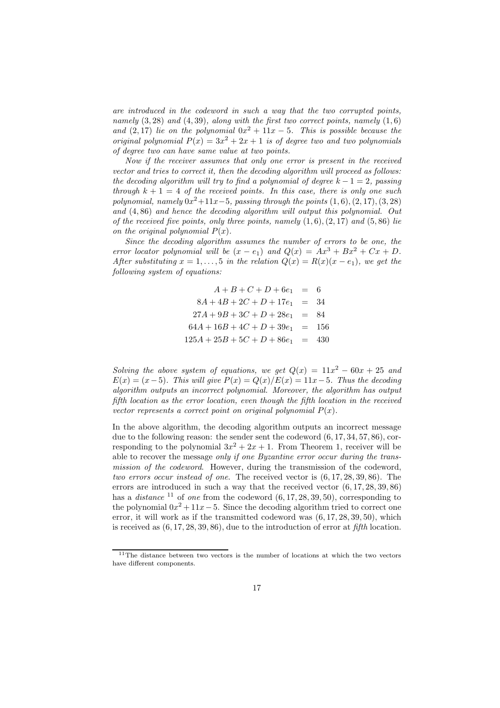*are introduced in the codeword in such a way that the two corrupted points, namely* (3, 28) *and* (4, 39)*, along with the first two correct points, namely* (1, 6) and  $(2, 17)$  *lie on the polynomial*  $0x^2 + 11x - 5$ *. This is possible because the original polynomial*  $P(x) = 3x^2 + 2x + 1$  *is of degree two and two polynomials of degree two can have same value at two points.*

*Now if the receiver assumes that only one error is present in the received vector and tries to correct it, then the decoding algorithm will proceed as follows: the decoding algorithm will try to find a polynomial of degree*  $k - 1 = 2$ *, passing through*  $k + 1 = 4$  *of the received points. In this case, there is only one such polynomial, namely*  $0x^2 + 11x - 5$ *, passing through the points*  $(1, 6)$ ,  $(2, 17)$ ,  $(3, 28)$ *and* (4, 86) *and hence the decoding algorithm will output this polynomial. Out of the received five points, only three points, namely* (1, 6),(2, 17) *and* (5, 86) *lie on the original polynomial*  $P(x)$ *.* 

*Since the decoding algorithm assumes the number of errors to be one, the error locator polynomial will be*  $(x - e_1)$  *and*  $Q(x) = Ax^3 + Bx^2 + Cx + D$ . *After substituting*  $x = 1, \ldots, 5$  *in the relation*  $Q(x) = R(x)(x - e_1)$ *, we get the following system of equations:*

$$
A + B + C + D + 6e1 = 6
$$
  
\n
$$
8A + 4B + 2C + D + 17e1 = 34
$$
  
\n
$$
27A + 9B + 3C + D + 28e1 = 84
$$
  
\n
$$
64A + 16B + 4C + D + 39e1 = 156
$$
  
\n
$$
125A + 25B + 5C + D + 86e1 = 430
$$

*Solving the above system of equations, we get*  $Q(x) = 11x^2 - 60x + 25$  and  $E(x) = (x-5)$ *. This will give*  $P(x) = Q(x)/E(x) = 11x-5$ *. Thus the decoding algorithm outputs an incorrect polynomial. Moreover, the algorithm has output fifth location as the error location, even though the fifth location in the received vector represents a correct point on original polynomial*  $P(x)$ .

In the above algorithm, the decoding algorithm outputs an incorrect message due to the following reason: the sender sent the codeword (6, 17, 34, 57, 86), corresponding to the polynomial  $3x^2 + 2x + 1$ . From Theorem 1, receiver will be able to recover the message *only if one Byzantine error occur during the transmission of the codeword*. However, during the transmission of the codeword, *two errors occur instead of one*. The received vector is (6, 17, 28, 39, 86). The errors are introduced in such a way that the received vector (6, 17, 28, 39, 86) has a *distance* <sup>11</sup> of *one* from the codeword  $(6, 17, 28, 39, 50)$ , corresponding to the polynomial  $0x^2 + 11x - 5$ . Since the decoding algorithm tried to correct one error, it will work as if the transmitted codeword was (6, 17, 28, 39, 50), which is received as (6, 17, 28, 39, 86), due to the introduction of error at *fifth* location.

 $11$ The distance between two vectors is the number of locations at which the two vectors have different components.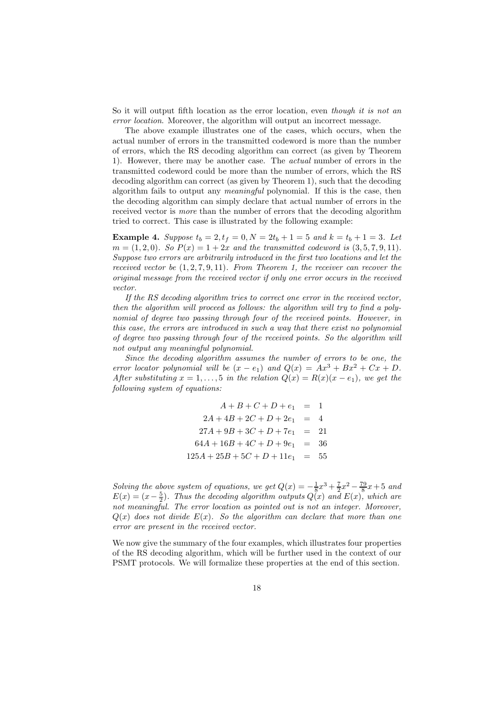So it will output fifth location as the error location, even *though it is not an error location*. Moreover, the algorithm will output an incorrect message.

The above example illustrates one of the cases, which occurs, when the actual number of errors in the transmitted codeword is more than the number of errors, which the RS decoding algorithm can correct (as given by Theorem 1). However, there may be another case. The *actual* number of errors in the transmitted codeword could be more than the number of errors, which the RS decoding algorithm can correct (as given by Theorem 1), such that the decoding algorithm fails to output any *meaningful* polynomial. If this is the case, then the decoding algorithm can simply declare that actual number of errors in the received vector is *more* than the number of errors that the decoding algorithm tried to correct. This case is illustrated by the following example:

**Example 4.** Suppose  $t_b = 2$ ,  $t_f = 0$ ,  $N = 2t_b + 1 = 5$  and  $k = t_b + 1 = 3$ . Let  $m = (1, 2, 0)$ *. So*  $P(x) = 1 + 2x$  *and the transmitted codeword is*  $(3, 5, 7, 9, 11)$ *. Suppose two errors are arbitrarily introduced in the first two locations and let the received vector be* (1, 2, 7, 9, 11)*. From Theorem 1, the receiver can recover the original message from the received vector if only one error occurs in the received vector.*

*If the RS decoding algorithm tries to correct one error in the received vector, then the algorithm will proceed as follows: the algorithm will try to find a polynomial of degree two passing through four of the received points. However, in this case, the errors are introduced in such a way that there exist no polynomial of degree two passing through four of the received points. So the algorithm will not output any meaningful polynomial.*

*Since the decoding algorithm assumes the number of errors to be one, the error locator polynomial will be*  $(x - e_1)$  *and*  $Q(x) = Ax^3 + Bx^2 + Cx + D$ . *After substituting*  $x = 1, \ldots, 5$  *in the relation*  $Q(x) = R(x)(x - e_1)$ *, we get the following system of equations:*

$$
A + B + C + D + e_1 = 1
$$
  
\n
$$
2A + 4B + 2C + D + 2e_1 = 4
$$
  
\n
$$
27A + 9B + 3C + D + 7e_1 = 21
$$
  
\n
$$
64A + 16B + 4C + D + 9e_1 = 36
$$
  
\n
$$
125A + 25B + 5C + D + 11e_1 = 55
$$

*Solving the above system of equations, we get*  $Q(x) = -\frac{1}{8}x^3 + \frac{7}{2}x^2 - \frac{79}{8}x + 5$  and  $E(x) = (x - \frac{5}{2})$ . Thus the decoding algorithm outputs  $Q(x)$  and  $E(x)$ , which are *not meaningful. The error location as pointed out is not an integer. Moreover,*  $Q(x)$  *does not divide*  $E(x)$ *. So the algorithm can declare that more than one error are present in the received vector.*

We now give the summary of the four examples, which illustrates four properties of the RS decoding algorithm, which will be further used in the context of our PSMT protocols. We will formalize these properties at the end of this section.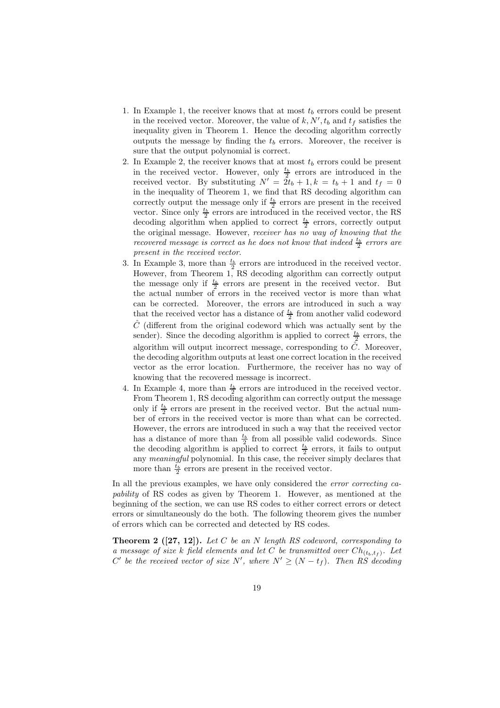- 1. In Example 1, the receiver knows that at most  $t<sub>b</sub>$  errors could be present in the received vector. Moreover, the value of  $k, N', t_b$  and  $t_f$  satisfies the inequality given in Theorem 1. Hence the decoding algorithm correctly outputs the message by finding the  $t_b$  errors. Moreover, the receiver is sure that the output polynomial is correct.
- 2. In Example 2, the receiver knows that at most  $t_b$  errors could be present in the received vector. However, only  $\frac{t_b}{2}$  errors are introduced in the received vector. By substituting  $N' = 2t_b + 1, k = t_b + 1$  and  $t_f = 0$ in the inequality of Theorem 1, we find that RS decoding algorithm can correctly output the message only if  $\frac{t_b}{2}$  errors are present in the received vector. Since only  $\frac{t_b}{2}$  errors are introduced in the received vector, the RS decoding algorithm when applied to correct  $\frac{t_b}{2}$  errors, correctly output the original message. However, *receiver has no way of knowing that the recovered message is correct as he does not know that indeed*  $\frac{t_b}{2}$  *errors are present in the received vector*.
- 3. In Example 3, more than  $\frac{t_b}{2}$  errors are introduced in the received vector. However, from Theorem 1, RS decoding algorithm can correctly output the message only if  $\frac{t_b}{2}$  errors are present in the received vector. But the actual number of errors in the received vector is more than what can be corrected. Moreover, the errors are introduced in such a way that the received vector has a distance of  $\frac{t_b}{2}$  from another valid codeword  $\hat{C}$  (different from the original codeword which was actually sent by the sender). Since the decoding algorithm is applied to correct  $\frac{t_b}{2}$  errors, the algorithm will output incorrect message, corresponding to  $\hat{C}$ . Moreover, the decoding algorithm outputs at least one correct location in the received vector as the error location. Furthermore, the receiver has no way of knowing that the recovered message is incorrect.
- 4. In Example 4, more than  $\frac{t_b}{2}$  errors are introduced in the received vector. From Theorem 1, RS decoding algorithm can correctly output the message only if  $\frac{t_b}{2}$  errors are present in the received vector. But the actual number of errors in the received vector is more than what can be corrected. However, the errors are introduced in such a way that the received vector has a distance of more than  $\frac{t_b}{2}$  from all possible valid codewords. Since the decoding algorithm is applied to correct  $\frac{t_b}{2}$  errors, it fails to output any *meaningful* polynomial. In this case, the receiver simply declares that more than  $\frac{t_b}{2}$  errors are present in the received vector.

In all the previous examples, we have only considered the *error correcting capability* of RS codes as given by Theorem 1. However, as mentioned at the beginning of the section, we can use RS codes to either correct errors or detect errors or simultaneously do the both. The following theorem gives the number of errors which can be corrected and detected by RS codes.

Theorem 2 ([27, 12]). *Let* C *be an* N *length RS codeword, corresponding to a* message of size k field elements and let C be transmitted over  $Ch_{(t_b,t_f)}$ . Let  $C'$  be the received vector of size  $N'$ , where  $N' \geq (N - t_f)$ . Then RS decoding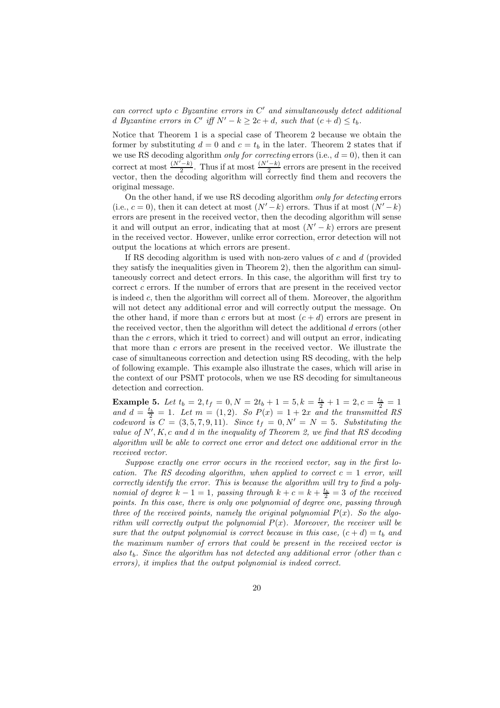*can correct upto* c *Byzantine errors in* C ′ *and simultaneously detect additional* d Byzantine errors in C' iff  $N' - k \geq 2c + d$ , such that  $(c + d) \leq t_b$ .

Notice that Theorem 1 is a special case of Theorem 2 because we obtain the former by substituting  $d = 0$  and  $c = t_b$  in the later. Theorem 2 states that if we use RS decoding algorithm *only for correcting* errors (i.e.,  $d = 0$ ), then it can correct at most  $\frac{(N'-k)}{2}$ . Thus if at most  $\frac{(N'-k)}{2}$  errors are present in the received vector, then the decoding algorithm will correctly find them and recovers the original message.

On the other hand, if we use RS decoding algorithm *only for detecting* errors (i.e.,  $c = 0$ ), then it can detect at most  $(N' - k)$  errors. Thus if at most  $(N' - k)$ errors are present in the received vector, then the decoding algorithm will sense it and will output an error, indicating that at most  $(N' - k)$  errors are present in the received vector. However, unlike error correction, error detection will not output the locations at which errors are present.

If RS decoding algorithm is used with non-zero values of  $c$  and  $d$  (provided they satisfy the inequalities given in Theorem 2), then the algorithm can simultaneously correct and detect errors. In this case, the algorithm will first try to correct  $c$  errors. If the number of errors that are present in the received vector is indeed c, then the algorithm will correct all of them. Moreover, the algorithm will not detect any additional error and will correctly output the message. On the other hand, if more than c errors but at most  $(c + d)$  errors are present in the received vector, then the algorithm will detect the additional d errors (other than the c errors, which it tried to correct) and will output an error, indicating that more than  $c$  errors are present in the received vector. We illustrate the case of simultaneous correction and detection using RS decoding, with the help of following example. This example also illustrate the cases, which will arise in the context of our PSMT protocols, when we use RS decoding for simultaneous detection and correction.

**Example 5.** Let  $t_b = 2, t_f = 0, N = 2t_b + 1 = 5, k = \frac{t_b}{2} + 1 = 2, c = \frac{t_b}{2} = 1$ and  $d = \frac{t_b}{2} = 1$ *. Let*  $m = (1, 2)$ *. So*  $P(x) = 1 + 2x$  *and the transmitted RS codeword is*  $C = (3, 5, 7, 9, 11)$ *. Since*  $t_f = 0, N' = N = 5$ *. Substituting the* value of  $N', K, c$  and  $d$  *in the inequality of Theorem 2, we find that RS decoding algorithm will be able to correct one error and detect one additional error in the received vector.*

*Suppose exactly one error occurs in the received vector, say in the first location.* The RS decoding algorithm, when applied to correct  $c = 1$  *error, will correctly identify the error. This is because the algorithm will try to find a polynomial of degree*  $k - 1 = 1$ , passing through  $k + c = k + \frac{t_b}{2} = 3$  of the received *points. In this case, there is only one polynomial of degree one, passing through three of the received points, namely the original polynomial*  $P(x)$ *. So the algorithm will correctly output the polynomial* P(x)*. Moreover, the receiver will be sure that the output polynomial is correct because in this case,*  $(c + d) = t_b$  *and the maximum number of errors that could be present in the received vector is also* tb*. Since the algorithm has not detected any additional error (other than* c *errors), it implies that the output polynomial is indeed correct.*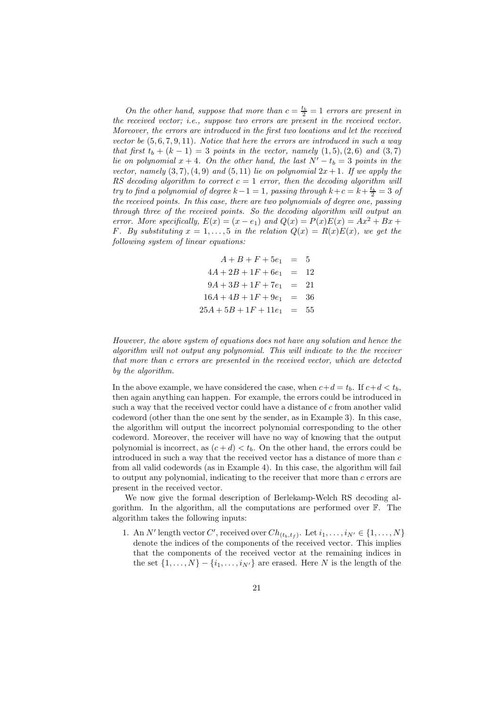*On the other hand, suppose that more than*  $c = \frac{t_b}{2} = 1$  *errors are present in the received vector; i.e., suppose two errors are present in the received vector. Moreover, the errors are introduced in the first two locations and let the received vector be* (5, 6, 7, 9, 11)*. Notice that here the errors are introduced in such a way that first*  $t_b + (k - 1) = 3$  *points in the vector, namely*  $(1,5), (2,6)$  *and*  $(3,7)$ *lie on polynomial*  $x + 4$ *. On the other hand, the last*  $N' - t_b = 3$  *points in the vector, namely*  $(3, 7), (4, 9)$  *and*  $(5, 11)$  *lie on polynomial*  $2x + 1$ *. If we apply the RS* decoding algorithm to correct  $c = 1$  *error, then the decoding algorithm will try to find a polynomial of degree*  $k-1=1$ , passing through  $k+c=k+\frac{t_b}{2}=3$  of *the received points. In this case, there are two polynomials of degree one, passing through three of the received points. So the decoding algorithm will output an error.* More specifically,  $E(x) = (x - e_1)$  and  $Q(x) = P(x)E(x) = Ax^2 + Bx + C$ F. By substituting  $x = 1, \ldots, 5$  in the relation  $Q(x) = R(x)E(x)$ , we get the *following system of linear equations:*

$$
A + B + F + 5e1 = 5
$$
  
\n
$$
4A + 2B + 1F + 6e1 = 12
$$
  
\n
$$
9A + 3B + 1F + 7e1 = 21
$$
  
\n
$$
16A + 4B + 1F + 9e1 = 36
$$
  
\n
$$
25A + 5B + 1F + 11e1 = 55
$$

*However, the above system of equations does not have any solution and hence the algorithm will not output any polynomial. This will indicate to the the receiver that more than* c *errors are presented in the received vector, which are detected by the algorithm.*

In the above example, we have considered the case, when  $c+d = t_b$ . If  $c+d < t_b$ , then again anything can happen. For example, the errors could be introduced in such a way that the received vector could have a distance of c from another valid codeword (other than the one sent by the sender, as in Example 3). In this case, the algorithm will output the incorrect polynomial corresponding to the other codeword. Moreover, the receiver will have no way of knowing that the output polynomial is incorrect, as  $(c + d) < t<sub>b</sub>$ . On the other hand, the errors could be introduced in such a way that the received vector has a distance of more than c from all valid codewords (as in Example 4). In this case, the algorithm will fail to output any polynomial, indicating to the receiver that more than c errors are present in the received vector.

We now give the formal description of Berlekamp-Welch RS decoding algorithm. In the algorithm, all the computations are performed over F. The algorithm takes the following inputs:

1. An N' length vector C', received over  $Ch_{(t_b,t_f)}$ . Let  $i_1,\ldots,i_{N'} \in \{1,\ldots,N\}$ denote the indices of the components of the received vector. This implies that the components of the received vector at the remaining indices in the set  $\{1, \ldots, N\} - \{i_1, \ldots, i_{N'}\}$  are erased. Here N is the length of the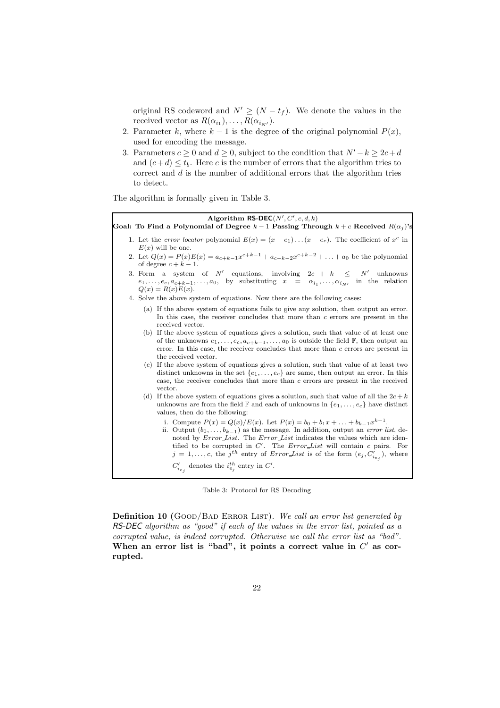original RS codeword and  $N' \geq (N - t_f)$ . We denote the values in the received vector as  $R(\alpha_{i_1}), \ldots, R(\alpha_{i_{N'}}).$ 

- 2. Parameter k, where  $k 1$  is the degree of the original polynomial  $P(x)$ , used for encoding the message.
- 3. Parameters  $c \ge 0$  and  $d \ge 0$ , subject to the condition that  $N'-k \ge 2c+d$ and  $(c+d) \leq t_b$ . Here c is the number of errors that the algorithm tries to correct and  $d$  is the number of additional errors that the algorithm tries to detect.

The algorithm is formally given in Table 3.

| Algorithm RS-DEC( $N', C', c, d, k$ )<br>Goal: To Find a Polynomial of Degree $k-1$ Passing Through $k+c$ Received $R(\alpha_i)$ 's                                                                                                                                                                                                                                                                                                                                                      |
|------------------------------------------------------------------------------------------------------------------------------------------------------------------------------------------------------------------------------------------------------------------------------------------------------------------------------------------------------------------------------------------------------------------------------------------------------------------------------------------|
| 1. Let the error locator polynomial $E(x) = (x - e_1) \dots (x - e_c)$ . The coefficient of $x^c$ in<br>$E(x)$ will be one.                                                                                                                                                                                                                                                                                                                                                              |
| 2. Let $Q(x) = P(x)E(x) = a_{c+k-1}x^{c+k-1} + a_{c+k-2}x^{c+k-2} + \ldots + a_0$ be the polynomial<br>of degree $c + k - 1$ .                                                                                                                                                                                                                                                                                                                                                           |
| 3. Form a system of N' equations, involving $2c + k \leq N'$ unknowns<br>$e_1, \ldots, e_c, a_{c+k-1}, \ldots, a_0$ , by substituting $x = \alpha_{i_1}, \ldots, \alpha_{i_{N'}}$ in the relation<br>$Q(x) = R(x)E(x).$                                                                                                                                                                                                                                                                  |
| 4. Solve the above system of equations. Now there are the following cases:                                                                                                                                                                                                                                                                                                                                                                                                               |
| (a) If the above system of equations fails to give any solution, then output an error.<br>In this case, the receiver concludes that more than $c$ errors are present in the<br>received vector.                                                                                                                                                                                                                                                                                          |
| (b) If the above system of equations gives a solution, such that value of at least one<br>of the unknowns $e_1, \ldots, e_c, a_{c+k-1}, \ldots, a_0$ is outside the field $\mathbb{F}$ , then output an<br>error. In this case, the receiver concludes that more than $c$ errors are present in<br>the received vector.                                                                                                                                                                  |
| If the above system of equations gives a solution, such that value of at least two<br>(c)<br>distinct unknowns in the set $\{e_1, \ldots, e_c\}$ are same, then output an error. In this<br>case, the receiver concludes that more than c errors are present in the received<br>vector.                                                                                                                                                                                                  |
| (d) If the above system of equations gives a solution, such that value of all the $2c + k$<br>unknowns are from the field F and each of unknowns in $\{e_1, \ldots, e_c\}$ have distinct<br>values, then do the following:                                                                                                                                                                                                                                                               |
| i. Compute $P(x) = Q(x)/E(x)$ . Let $P(x) = b_0 + b_1x +  + b_{k-1}x^{k-1}$ .<br>ii. Output $(b_0, \ldots, b_{k-1})$ as the message. In addition, output an <i>error list</i> , de-<br>noted by <i>Error_List</i> . The <i>Error_List</i> indicates the values which are iden-<br>tified to be corrupted in $C'$ . The <i>Error List</i> will contain $c$ pairs. For<br>$j = 1, \ldots, c$ , the j <sup>th</sup> entry of <i>Error List</i> is of the form $(e_j, C'_{i_{e_j}})$ , where |
| $C'_{i_{e_i}}$ denotes the $i_{e_j}^{th}$ entry in $C'.$                                                                                                                                                                                                                                                                                                                                                                                                                                 |

Table 3: Protocol for RS Decoding

Definition 10 (GOOD/BAD ERROR LIST). We call an error list generated by RS-DEC *algorithm as "good" if each of the values in the error list, pointed as a corrupted value, is indeed corrupted. Otherwise we call the error list as "bad".* When an error list is "bad", it points a correct value in  $C'$  as corrupted.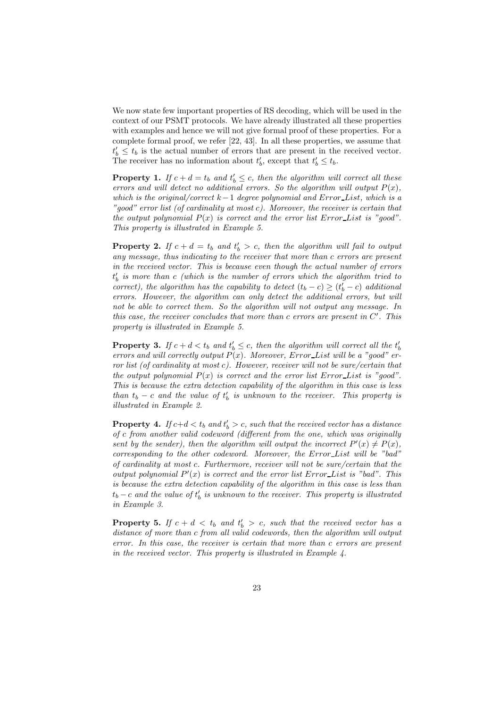We now state few important properties of RS decoding, which will be used in the context of our PSMT protocols. We have already illustrated all these properties with examples and hence we will not give formal proof of these properties. For a complete formal proof, we refer [22, 43]. In all these properties, we assume that  $t'_b \leq t_b$  is the actual number of errors that are present in the received vector. The receiver has no information about  $t'_b$ , except that  $t'_b \leq t_b$ .

**Property 1.** If  $c + d = t_b$  and  $t'_b \leq c$ , then the algorithm will correct all these *errors and will detect no additional errors. So the algorithm will output*  $P(x)$ , *which is the original/correct* k−1 *degree polynomial and* Error List*, which is a "good" error list (of cardinality at most* c*). Moreover, the receiver is certain that the output polynomial*  $P(x)$  *is correct and the error list* Error List *is "good"*. *This property is illustrated in Example 5.*

**Property 2.** If  $c + d = t_b$  and  $t'_b > c$ , then the algorithm will fail to output *any message, thus indicating to the receiver that more than* c *errors are present in the received vector. This is because even though the actual number of errors* t ′ b *is more than* c *(which is the number of errors which the algorithm tried to correct*), the algorithm has the capability to detect  $(t_b - c) \ge (t'_b - c)$  additional *errors. However, the algorithm can only detect the additional errors, but will not be able to correct them. So the algorithm will not output any message. In this case, the receiver concludes that more than* c *errors are present in* C ′ *. This property is illustrated in Example 5.*

**Property 3.** If  $c + d < t_b$  and  $t'_b \leq c$ , then the algorithm will correct all the  $t'_b$ *errors and will correctly output* P(x)*. Moreover,* Error List *will be a "good" error list (of cardinality at most* c*). However, receiver will not be sure/certain that the output polynomial*  $P(x)$  *is correct and the error list* Error-List *is "good"*. *This is because the extra detection capability of the algorithm in this case is less than*  $t_b - c$  *and the value of*  $t'_b$  *is unknown to the receiver. This property is illustrated in Example 2.*

**Property 4.** If  $c+d < t_b$  and  $t'_b > c$ , such that the received vector has a distance *of* c *from another valid codeword (different from the one, which was originally* sent by the sender), then the algorithm will output the incorrect  $P'(x) \neq P(x)$ , *corresponding to the other codeword. Moreover, the* Error List *will be "bad" of cardinality at most* c*. Furthermore, receiver will not be sure/certain that the output polynomial*  $P'(x)$  *is correct and the error list* Error List *is "bad". This is because the extra detection capability of the algorithm in this case is less than*  $t_b - c$  and the value of  $t'_b$  is unknown to the receiver. This property is illustrated *in Example 3.*

**Property 5.** If  $c + d < t_b$  and  $t'_b > c$ , such that the received vector has a *distance of more than* c *from all valid codewords, then the algorithm will output error. In this case, the receiver is certain that more than* c *errors are present in the received vector. This property is illustrated in Example 4.*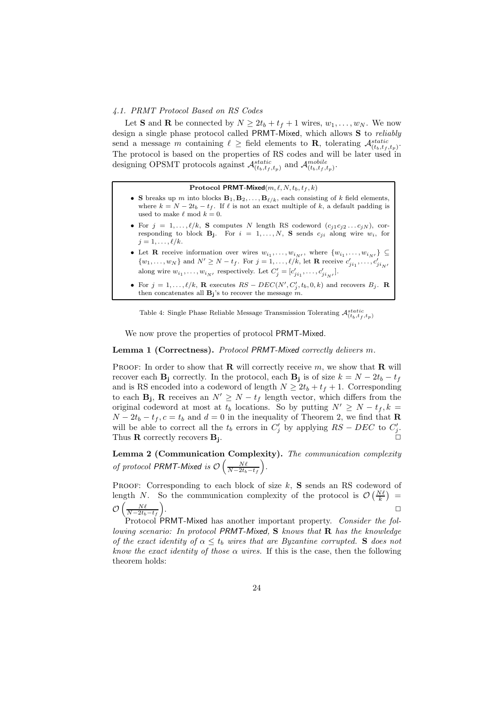#### *4.1. PRMT Protocol Based on RS Codes*

Let **S** and **R** be connected by  $N \ge 2t_b + t_f + 1$  wires,  $w_1, \ldots, w_N$ . We now design a single phase protocol called PRMT-Mixed, which allows S to *reliably* send a message m containing  $\ell \geq 1$  field elements to **R**, tolerating  $\mathcal{A}_{(t_b,t_f,t_p)}^{static}$ . The protocol is based on the properties of RS codes and will be later used in designing OPSMT protocols against  $\mathcal{A}_{(t_b,t_f,t_p)}^{static}$  and  $\mathcal{A}_{(t_b,t_f,t_p)}^{mobile}$ .

#### Protocol PRMT-Mixed $(m, \ell, N, t_b, t_f, k)$

- S breaks up m into blocks  $\mathbf{B}_1, \mathbf{B}_2, \ldots, \mathbf{B}_{\ell/k}$ , each consisting of k field elements, where  $k = N - 2t_b - t_f$ . If  $\ell$  is not an exact multiple of k, a default padding is used to make  $\ell$  mod  $k = 0$ .
- For  $j = 1, ..., \ell/k$ , S computes N length RS codeword  $(c_{j1}c_{j2}...c_{jN})$ , corresponding to block  $B_j$ . For  $i = 1, ..., N$ , S sends  $c_{ji}$  along wire  $w_i$ , for  $j = 1, \ldots, \ell/k$ .
- Let **R** receive information over wires  $w_{i_1}, \ldots, w_{i_{N'}}$ , where  $\{w_{i_1}, \ldots, w_{i_{N'}}\} \subseteq$  $\{w_1, \ldots, w_N\}$  and  $N' \ge N - t_f$ . For  $j = 1, \ldots, \ell/k$ , let **R** receive  $c'_{ji_1}, \ldots, c'_{ji_N}$ along wire  $w_{i_1}, \ldots, w_{i_{N'}}$  respectively. Let  $C'_j = [c'_{ji_1}, \ldots, c'_{ji_{N'}}]$ .
- For  $j = 1, ..., \ell/k$ , **R** executes  $RS DEC(N', C'_j, t_b, 0, k)$  and recovers  $B_j$ . **R** then concatenates all  $B_j$ 's to recover the message  $m$ .

Table 4: Single Phase Reliable Message Transmission Tolerating  $\mathcal{A}_{(t_b,t_f,t_p)}^{static}$ 

We now prove the properties of protocol PRMT-Mixed.

#### Lemma 1 (Correctness). *Protocol* PRMT-Mixed *correctly delivers* m*.*

PROOF: In order to show that **R** will correctly receive m, we show that **R** will recover each  $B_j$  correctly. In the protocol, each  $B_j$  is of size  $k = N - 2t_b - t_f$ and is RS encoded into a codeword of length  $N \ge 2t_b + t_f + 1$ . Corresponding to each  $\mathbf{B}_j$ , **R** receives an  $N' \geq N - t_f$  length vector, which differs from the original codeword at most at  $t_b$  locations. So by putting  $N' \ge N - t_f, k =$  $N - 2t_b - t_f$ ,  $c = t_b$  and  $d = 0$  in the inequality of Theorem 2, we find that **R** will be able to correct all the  $t_b$  errors in  $C'_j$  by applying  $RS - DEC$  to  $C'_j$ . Thus **R** correctly recovers  $B_i$ . . ✷

Lemma 2 (Communication Complexity). *The communication complexity of protocol PRMT-Mixed is*  $\mathcal{O}\left(\frac{N\ell}{N-2t_b-t_f}\right)$ .

PROOF: Corresponding to each block of size  $k$ , S sends an RS codeword of length N. So the communication complexity of the protocol is  $\mathcal{O}\left(\frac{N\ell}{k}\right)$  =  $\mathcal{O}\left(\frac{N\ell}{N-2t_b-t_f}\right)$ . ✷

Protocol PRMT-Mixed has another important property. *Consider the following scenario: In protocol* PRMT-Mixed*,* S *knows that* R *has the knowledge of the exact identity of*  $\alpha \leq t_b$  *wires that are Byzantine corrupted.* S *does not know the exact identity of those*  $\alpha$  *wires.* If this is the case, then the following theorem holds: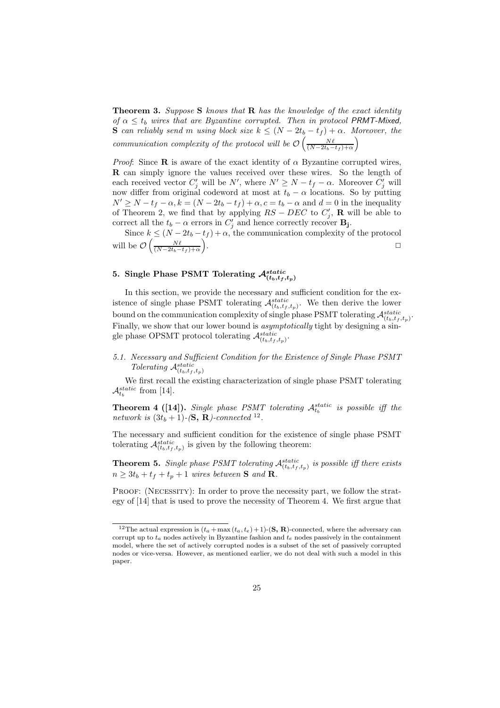Theorem 3. *Suppose* S *knows that* R *has the knowledge of the exact identity of*  $\alpha \le t_b$  *wires that are Byzantine corrupted. Then in protocol PRMT-Mixed,* S *can reliably send* m *using block size*  $k \leq (N - 2t_b - t_f) + \alpha$ *. Moreover, the communication complexity of the protocol will be*  $\mathcal{O}\left(\frac{N\ell}{(N-2t_b-t_f)+\alpha}\right)$ 

*Proof*: Since **R** is aware of the exact identity of  $\alpha$  Byzantine corrupted wires, R can simply ignore the values received over these wires. So the length of each received vector  $C'_j$  will be  $N'$ , where  $N' \ge N - t_f - \alpha$ . Moreover  $C'_j$  will now differ from original codeword at most at  $t_b - \alpha$  locations. So by putting  $N' \ge N - t_f - \alpha$ ,  $k = (N - 2t_b - t_f) + \alpha$ ,  $c = t_b - \alpha$  and  $d = 0$  in the inequality of Theorem 2, we find that by applying  $RS - DEC$  to  $C'_j$ , **R** will be able to correct all the  $t_b - \alpha$  errors in  $C'_j$  and hence correctly recover **B**<sub>j</sub>.

Since  $k \leq (N - 2t_b - t_f) + \alpha$ , the communication complexity of the protocol will be  $\mathcal{O}\left(\frac{N\ell}{(N-2t_b-t_f)+\alpha}\right)$ .

## 5. Single Phase PSMT Tolerating  $\mathcal{A}_{(t_b,t_f,t_p)}^{static}$

In this section, we provide the necessary and sufficient condition for the existence of single phase PSMT tolerating  $\mathcal{A}_{(t_b,t_f,t_p)}^{static}$ . We then derive the lower bound on the communication complexity of single phase PSMT tolerating  $\mathcal{A}^{static}_{(t_b,t_f,t_p)}$ . Finally, we show that our lower bound is *asymptotically* tight by designing a single phase OPSMT protocol tolerating  $\mathcal{A}_{(t_b,t_f,t_p)}^{static}$ .

### *5.1. Necessary and Sufficient Condition for the Existence of Single Phase PSMT Tolerating*  $\mathcal{A}_{(t_b,t_f,t_p)}^{static}$

We first recall the existing characterization of single phase PSMT tolerating  $\mathcal{A}_{t_b}^{static}$  from [14].

**Theorem 4 ([14]).** *Single phase PSMT tolerating*  $A_t^{static}$  is possible iff the *network is*  $(3t_b + 1)$ - $(\mathbf{S}, \mathbf{R})$ -connected <sup>12</sup>.

The necessary and sufficient condition for the existence of single phase PSMT tolerating  $\mathcal{A}_{(t_b,t_f,t_p)}^{static}$  is given by the following theorem:

**Theorem 5.** *Single phase PSMT tolerating*  $\mathcal{A}_{(t_b,t_f,t_p)}^{static}$  *is possible iff there exists*  $n \geq 3t_b + t_f + t_p + 1$  *wires between* **S** *and* **R**.

PROOF: (NECESSITY): In order to prove the necessity part, we follow the strategy of [14] that is used to prove the necessity of Theorem 4. We first argue that

<sup>&</sup>lt;sup>12</sup>The actual expression is  $(t_a + \max(t_a, t_e) + 1)$ -(**S**, **R**)-connected, where the adversary can corrupt up to  $t_a$  nodes actively in Byzantine fashion and  $t_e$  nodes passively in the containment model, where the set of actively corrupted nodes is a subset of the set of passively corrupted nodes or vice-versa. However, as mentioned earlier, we do not deal with such a model in this paper.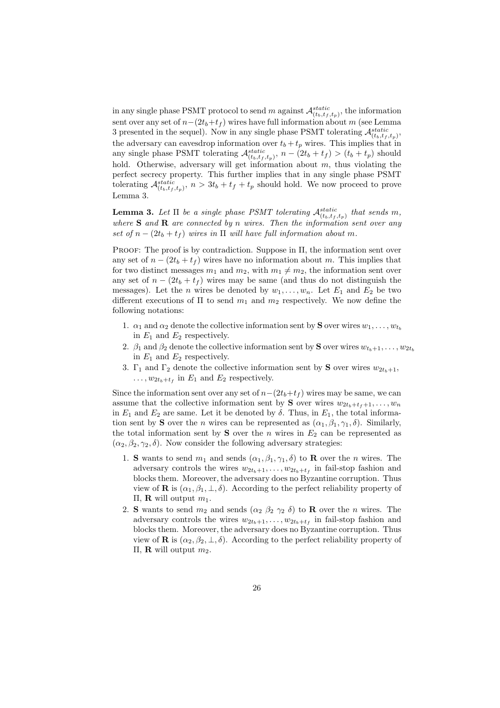in any single phase PSMT protocol to send m against  $\mathcal{A}_{(t_b,t_f,t_p)}^{static}$ , the information sent over any set of  $n-(2t_b+t_f)$  wires have full information about m (see Lemma 3 presented in the sequel). Now in any single phase PSMT tolerating  $\mathcal{A}_{(t_b,t_f,t_p)}^{static}$ , the adversary can eavesdrop information over  $t_b + t_p$  wires. This implies that in any single phase PSMT tolerating  $\mathcal{A}_{(t_b,t_f,t_p)}^{static}$ ,  $n - (2t_b + t_f) > (t_b + t_p)$  should hold. Otherwise, adversary will get information about  $m$ , thus violating the perfect secrecy property. This further implies that in any single phase PSMT tolerating  $\mathcal{A}_{(t_b,t_f,t_p)}^{static}$ ,  $n > 3t_b + t_f + t_p$  should hold. We now proceed to prove Lemma 3.

**Lemma 3.** Let  $\Pi$  be a single phase PSMT tolerating  $\mathcal{A}_{(t_b,t_f,t_p)}^{static}$  that sends m, *where* S *and* R *are connected by* n *wires. Then the information sent over any set of*  $n - (2t_b + t_f)$  *wires in*  $\Pi$  *will have full information about* m.

Proof: The proof is by contradiction. Suppose in Π, the information sent over any set of  $n - (2t_b + t_f)$  wires have no information about m. This implies that for two distinct messages  $m_1$  and  $m_2$ , with  $m_1 \neq m_2$ , the information sent over any set of  $n - (2t_b + t_f)$  wires may be same (and thus do not distinguish the messages). Let the *n* wires be denoted by  $w_1, \ldots, w_n$ . Let  $E_1$  and  $E_2$  be two different executions of  $\Pi$  to send  $m_1$  and  $m_2$  respectively. We now define the following notations:

- 1.  $\alpha_1$  and  $\alpha_2$  denote the collective information sent by **S** over wires  $w_1, \ldots, w_{t_b}$ in  $E_1$  and  $E_2$  respectively.
- 2.  $\beta_1$  and  $\beta_2$  denote the collective information sent by **S** over wires  $w_{t_{k+1}}, \ldots, w_{2t_k}$ in  $E_1$  and  $E_2$  respectively.
- 3.  $\Gamma_1$  and  $\Gamma_2$  denote the collective information sent by **S** over wires  $w_{2t_b+1}$ ,  $\dots, w_{2t_b+t_f}$  in  $E_1$  and  $E_2$  respectively.

Since the information sent over any set of  $n-(2t_b+t_f)$  wires may be same, we can assume that the collective information sent by S over wires  $w_{2t_b+t_f+1}, \ldots, w_n$ in  $E_1$  and  $E_2$  are same. Let it be denoted by  $\delta$ . Thus, in  $E_1$ , the total information sent by S over the *n* wires can be represented as  $(\alpha_1, \beta_1, \gamma_1, \delta)$ . Similarly, the total information sent by S over the n wires in  $E_2$  can be represented as  $(\alpha_2, \beta_2, \gamma_2, \delta)$ . Now consider the following adversary strategies:

- 1. S wants to send  $m_1$  and sends  $(\alpha_1, \beta_1, \gamma_1, \delta)$  to R over the *n* wires. The adversary controls the wires  $w_{2t_b+1}, \ldots, w_{2t_b+t_f}$  in fail-stop fashion and blocks them. Moreover, the adversary does no Byzantine corruption. Thus view of **R** is  $(\alpha_1, \beta_1, \bot, \delta)$ . According to the perfect reliability property of Π, **R** will output  $m_1$ .
- 2. S wants to send  $m_2$  and sends  $(\alpha_2 \beta_2 \gamma_2 \delta)$  to R over the *n* wires. The adversary controls the wires  $w_{2t_b+1}, \ldots, w_{2t_b+t_f}$  in fail-stop fashion and blocks them. Moreover, the adversary does no Byzantine corruption. Thus view of **R** is  $(\alpha_2, \beta_2, \perp, \delta)$ . According to the perfect reliability property of Π, **R** will output  $m_2$ .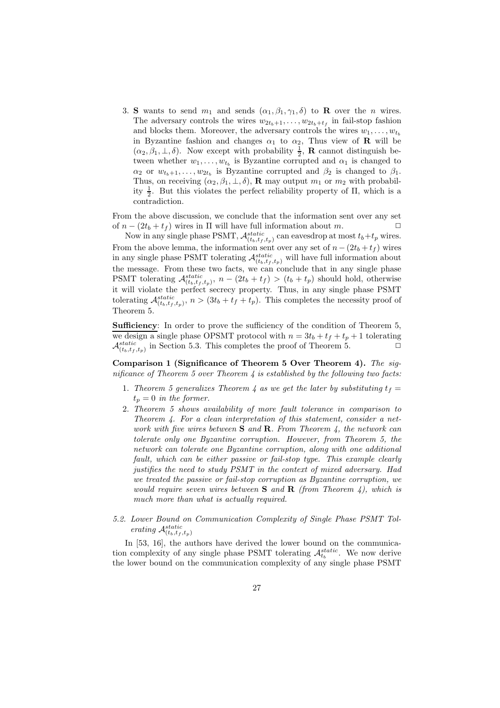3. S wants to send  $m_1$  and sends  $(\alpha_1, \beta_1, \gamma_1, \delta)$  to **R** over the *n* wires. The adversary controls the wires  $w_{2t_b+1}, \ldots, w_{2t_b+t_f}$  in fail-stop fashion and blocks them. Moreover, the adversary controls the wires  $w_1, \ldots, w_{t_h}$ in Byzantine fashion and changes  $\alpha_1$  to  $\alpha_2$ , Thus view of **R** will be  $(\alpha_2, \beta_1, \perp, \delta)$ . Now except with probability  $\frac{1}{2}$ , **R** cannot distinguish between whether  $w_1, \ldots, w_{t_b}$  is Byzantine corrupted and  $\alpha_1$  is changed to  $\alpha_2$  or  $w_{t_b+1}, \ldots, w_{2t_b}$  is Byzantine corrupted and  $\beta_2$  is changed to  $\beta_1$ . Thus, on receiving  $(\alpha_2, \beta_1, \perp, \delta)$ , **R** may output  $m_1$  or  $m_2$  with probability  $\frac{1}{2}$ . But this violates the perfect reliability property of  $\Pi$ , which is a contradiction.

From the above discussion, we conclude that the information sent over any set of  $n - (2t_b + t_f)$  wires in  $\Pi$  will have full information about m.

Now in any single phase PSMT,  $\mathcal{A}_{(t_b,t_f,t_p)}^{static}$  can eavesdrop at most  $t_b+t_p$  wires. From the above lemma, the information sent over any set of  $n - (2t_b + t_f)$  wires in any single phase PSMT tolerating  $\mathcal{A}^{static}_{(t_b,t_f,t_p)}$  will have full information about the message. From these two facts, we can conclude that in any single phase PSMT tolerating  $\mathcal{A}_{(t_b,t_f,t_p)}^{static}$ ,  $n - (2t_b + t_f) > (t_b + t_p)$  should hold, otherwise it will violate the perfect secrecy property. Thus, in any single phase PSMT tolerating  $\mathcal{A}_{(t_b,t_f,t_p)}^{static}$ ,  $n > (3t_b + t_f + t_p)$ . This completes the necessity proof of Theorem 5.

Sufficiency: In order to prove the sufficiency of the condition of Theorem 5, we design a single phase OPSMT protocol with  $n = 3t_b + t_f + t_p + 1$  tolerating  $\mathcal{A}_{(t_b,t_f,t_p)}^{static}$  in Section 5.3. This completes the proof of Theorem 5.

Comparison 1 (Significance of Theorem 5 Over Theorem 4). *The significance of Theorem 5 over Theorem 4 is established by the following two facts:*

- 1. Theorem 5 generalizes Theorem 4 as we get the later by substituting  $t_f =$  $t_p = 0$  *in the former.*
- 2. *Theorem 5 shows availability of more fault tolerance in comparison to Theorem 4. For a clean interpretation of this statement, consider a network with five wires between* S *and* R*. From Theorem 4, the network can tolerate only one Byzantine corruption. However, from Theorem 5, the network can tolerate one Byzantine corruption, along with one additional fault, which can be either passive or fail-stop type. This example clearly justifies the need to study PSMT in the context of mixed adversary. Had we treated the passive or fail-stop corruption as Byzantine corruption, we would require seven wires between* S *and* R *(from Theorem 4), which is much more than what is actually required.*
- *5.2. Lower Bound on Communication Complexity of Single Phase PSMT Tolerating*  $\mathcal{A}_{(t_b,t_f,t_p)}^{static}$

In [53, 16], the authors have derived the lower bound on the communication complexity of any single phase PSMT tolerating  $\mathcal{A}_{t_b}^{static}$ . We now derive the lower bound on the communication complexity of any single phase PSMT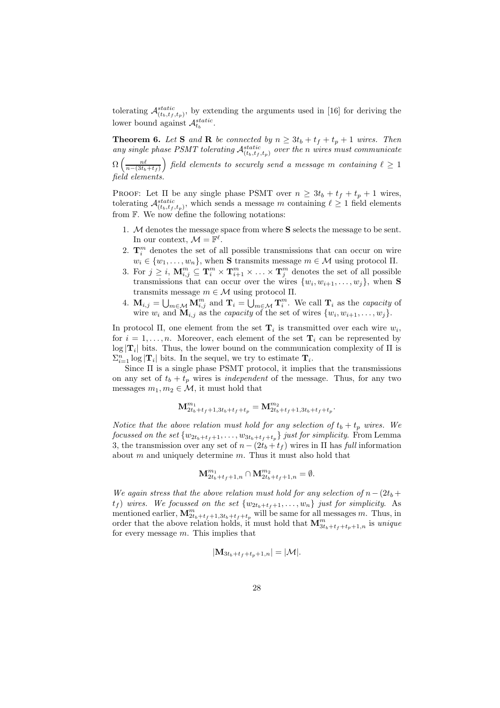tolerating  $\mathcal{A}_{(t_b,t_f,t_p)}^{static}$ , by extending the arguments used in [16] for deriving the lower bound against  $\mathcal{A}_{t_b}^{static}$ .

**Theorem 6.** Let **S** and **R** be connected by  $n \geq 3t_b + t_f + t_p + 1$  wires. Then any single phase PSMT tolerating  $\mathcal{A}_{(t_b,t_f,t_p)}^{static}$  over the *n* wires must communicate  $\Omega\left(\frac{n\ell}{n-(3t_b+t_f)}\right)$  field elements to securely send a message  $m$  containing  $\ell\geq 1$ 

*field elements.*

PROOF: Let  $\Pi$  be any single phase PSMT over  $n \geq 3t_b + t_f + t_p + 1$  wires, tolerating  $\mathcal{A}_{(t_b,t_f,t_p)}^{static}$ , which sends a message m containing  $\ell \geq 1$  field elements from  $\mathbb F$ . We now define the following notations:

- 1. M denotes the message space from where S selects the message to be sent. In our context,  $\mathcal{M} = \mathbb{F}^{\ell}$ .
- 2.  $\mathbf{T}_{i}^{m}$  denotes the set of all possible transmissions that can occur on wire  $w_i \in \{w_1, \ldots, w_n\}$ , when **S** transmits message  $m \in \mathcal{M}$  using protocol II.
- 3. For  $j \geq i$ ,  $\mathbf{M}_{i,j}^m \subseteq \mathbf{T}_i^m \times \mathbf{T}_{i+1}^m \times \ldots \times \mathbf{T}_j^m$  denotes the set of all possible transmissions that can occur over the wires  $\{w_i, w_{i+1}, \ldots, w_j\}$ , when **S** transmits message  $m \in \mathcal{M}$  using protocol  $\Pi$ .
- 4.  $\mathbf{M}_{i,j} = \bigcup_{m \in \mathcal{M}} \mathbf{M}_{i,j}^m$  and  $\mathbf{T}_i = \bigcup_{m \in \mathcal{M}} \mathbf{T}_i^m$ . We call  $\mathbf{T}_i$  as the *capacity* of wire  $w_i$  and  $\mathbf{M}_{i,j}$  as the *capacity* of the set of wires  $\{w_i, w_{i+1}, \ldots, w_j\}$ .

In protocol  $\Pi$ , one element from the set  $\mathbf{T}_i$  is transmitted over each wire  $w_i$ , for  $i = 1, \ldots, n$ . Moreover, each element of the set  $\mathbf{T}_i$  can be represented by  $\log |\mathbf{T}_i|$  bits. Thus, the lower bound on the communication complexity of  $\Pi$  is  $\sum_{i=1}^{n} \log |\mathbf{T}_i|$  bits. In the sequel, we try to estimate  $\mathbf{T}_i$ .

Since Π is a single phase PSMT protocol, it implies that the transmissions on any set of  $t_b + t_p$  wires is *independent* of the message. Thus, for any two messages  $m_1, m_2 \in \mathcal{M}$ , it must hold that

$$
\mathbf{M}^{m_1}_{2t_b+t_f+1,3t_b+t_f+t_p}=\mathbf{M}^{m_2}_{2t_b+t_f+1,3t_b+t_f+t_p}.
$$

*Notice that the above relation must hold for any selection of*  $t_b + t_p$  *wires.* We *focussed on the set*  $\{w_{2t_b+t_f+1}, \ldots, w_{3t_b+t_f+t_p}\}$  *just for simplicity*. From Lemma 3, the transmission over any set of  $n - (2t_b + t_f)$  wires in  $\Pi$  has *full* information about  $m$  and uniquely determine  $m$ . Thus it must also hold that

$$
\mathbf{M}^{m_1}_{2t_b+t_f+1,n} \cap \mathbf{M}^{m_2}_{2t_b+t_f+1,n} = \emptyset.
$$

*We again stress that the above relation must hold for any selection of*  $n-(2t_b +$  $t_f$ ) wires. We focussed on the set  $\{w_{2t_b+t_f+1}, \ldots, w_n\}$  just for simplicity. As mentioned earlier,  $\mathbf{M}_{2t_b+t_f+1,3t_b+t_f+t_p}^m$  will be same for all messages m. Thus, in order that the above relation holds, it must hold that  $\mathbf{M}_{3t_b+t_f+t_p+1,n}^m$  is *unique* for every message  $m$ . This implies that

$$
|\mathbf{M}_{3t_b+t_f+t_p+1,n}|=|\mathcal{M}|.
$$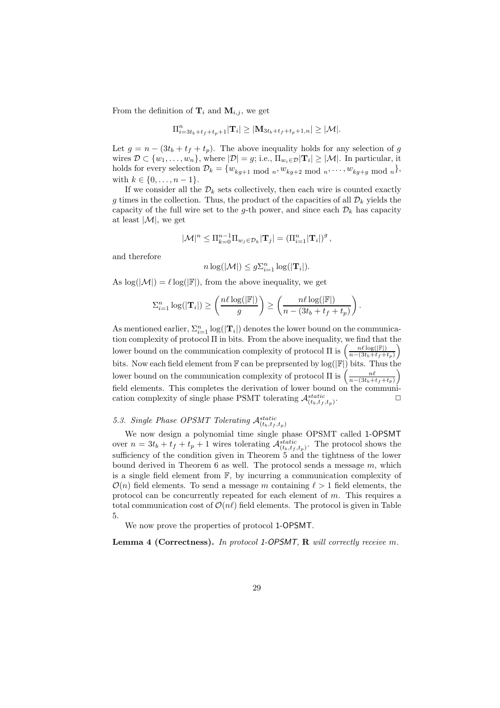From the definition of  $\mathbf{T}_i$  and  $\mathbf{M}_{i,j}$ , we get

$$
\Pi_{i=3t_b+t_f+t_p+1}^n |T_i| \geq |\mathbf{M}_{3t_b+t_f+t_p+1,n}| \geq |\mathcal{M}|.
$$

Let  $g = n - (3t_b + t_f + t_p)$ . The above inequality holds for any selection of g wires  $\mathcal{D} \subset \{w_1, \ldots, w_n\}$ , where  $|\mathcal{D}| = g$ ; i.e.,  $\Pi_{w_i \in \mathcal{D}} |\mathbf{T}_i| \geq |\mathcal{M}|$ . In particular, it holds for every selection  $\mathcal{D}_k = \{w_{kg+1} \text{ mod } n, w_{kg+2} \text{ mod } n, \dots, w_{kg+g} \text{ mod } n\},\$ with  $k \in \{0, \ldots, n-1\}$ .

If we consider all the  $\mathcal{D}_k$  sets collectively, then each wire is counted exactly g times in the collection. Thus, the product of the capacities of all  $\mathcal{D}_k$  yields the capacity of the full wire set to the g-th power, and since each  $\mathcal{D}_k$  has capacity at least  $|\mathcal{M}|$ , we get

$$
|\mathcal{M}|^n \leq \Pi_{k=0}^{n-1} \Pi_{w_j \in \mathcal{D}_k} |\mathbf{T}_j| = (\Pi_{i=1}^n |\mathbf{T}_i|)^g,
$$

and therefore

$$
n\log(|\mathcal{M}|) \leq g\Sigma_{i=1}^n\log(|\mathbf{T}_i|).
$$

As  $\log(|\mathcal{M}|) = \ell \log(|\mathbb{F}|)$ , from the above inequality, we get

$$
\sum_{i=1}^{n} \log(|\mathbf{T}_{i}|) \ge \left(\frac{n\ell \log(|\mathbb{F}|)}{g}\right) \ge \left(\frac{n\ell \log(|\mathbb{F}|)}{n - (3t_b + t_f + t_p)}\right)
$$

.

As mentioned earlier,  $\Sigma_{i=1}^n \log(|\mathbf{T}_i|)$  denotes the lower bound on the communication complexity of protocol Π in bits. From the above inequality, we find that the lower bound on the communication complexity of protocol  $\Pi$  is  $\left(\frac{n\ell \log(|\mathbb{F}|)}{n-(3t_1+t_2)}\right)$  $\frac{n\ell\log(|\mathbb{F}|)}{n-(3t_b+t_f+t_p)}$ bits. Now each field element from  $\mathbb F$  can be preprsented by  $\log(|\mathbb F|)$  bits. Thus the lower bound on the communication complexity of protocol  $\Pi$  is  $\left(\frac{n\ell}{n-(3t_b+t_f+t_p)}\right)$ field elements. This completes the derivation of lower bound on the communication complexity of single phase PSMT tolerating  $\mathcal{A}_{(t_b,t_f,t_p)}^{static}$  $\Box$ 

### 5.3. Single Phase OPSMT Tolerating  $\mathcal{A}_{(t_b,t_f,t_p)}^{static}$

We now design a polynomial time single phase OPSMT called 1-OPSMT over  $n = 3t_b + t_f + t_p + 1$  wires tolerating  $\mathcal{A}_{(t_b,t_f,t_p)}^{static}$ . The protocol shows the sufficiency of the condition given in Theorem 5 and the tightness of the lower bound derived in Theorem 6 as well. The protocol sends a message  $m$ , which is a single field element from F, by incurring a communication complexity of  $\mathcal{O}(n)$  field elements. To send a message m containing  $\ell > 1$  field elements, the protocol can be concurrently repeated for each element of  $m$ . This requires a total communication cost of  $\mathcal{O}(n\ell)$  field elements. The protocol is given in Table 5.

We now prove the properties of protocol 1-OPSMT.

Lemma 4 (Correctness). *In protocol* 1-OPSMT*,* R *will correctly receive* m*.*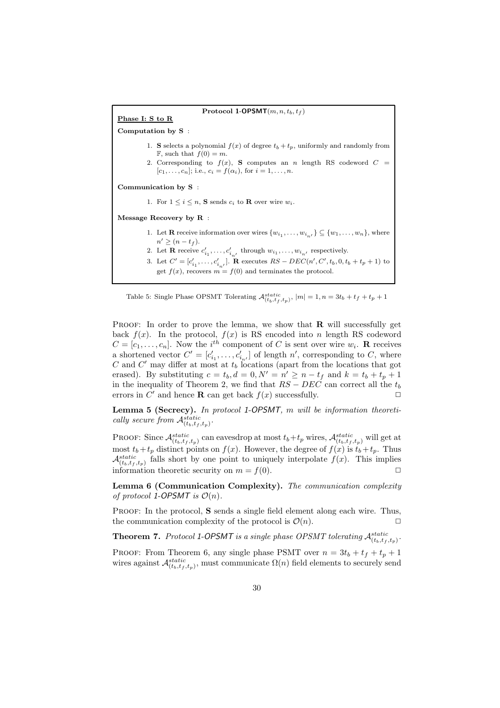

Table 5: Single Phase OPSMT Tolerating  $\mathcal{A}_{(t_b,t_f,t_p)}^{static},$   $|m|=1, n=3t_b+t_f+t_p+1$ 

**PROOF:** In order to prove the lemma, we show that  $\bf{R}$  will successfully get back  $f(x)$ . In the protocol,  $f(x)$  is RS encoded into n length RS codeword  $C = [c_1, \ldots, c_n]$ . Now the *i*<sup>th</sup> component of C is sent over wire  $w_i$ . **R** receives a shortened vector  $C' = [c'_{i_1}, \ldots, c'_{i_{n'}}]$  of length n', corresponding to C, where C and C' may differ at most at  $t_b$  locations (apart from the locations that got erased). By substituting  $c = t_b, d = 0, N' = n' \ge n - t_f$  and  $k = t_b + t_p + 1$ in the inequality of Theorem 2, we find that  $RS - DEC$  can correct all the  $t_b$ errors in C' and hence **R** can get back  $f(x)$  successfully.

Lemma 5 (Secrecy). *In protocol* 1-OPSMT*,* m *will be information theoretically secure from*  $\mathcal{A}_{(t_b,t_f,t_p)}^{static}$ .

PROOF: Since  $\mathcal{A}_{(t_b,t_f,t_p)}^{static}$  can eavesdrop at most  $t_b+t_p$  wires,  $\mathcal{A}_{(t_b,t_f,t_p)}^{static}$  will get at most  $t_b+t_p$  distinct points on  $f(x)$ . However, the degree of  $f(x)$  is  $t_b+t_p$ . Thus  $\mathcal{A}_{(t_b,t_f,t_p)}^{static}$  falls short by one point to uniquely interpolate  $f(x)$ . This implies information theoretic security on  $m = f(0)$ .

Lemma 6 (Communication Complexity). *The communication complexity of protocol* 1-OPSMT *is*  $\mathcal{O}(n)$ *.* 

PROOF: In the protocol, S sends a single field element along each wire. Thus, the communication complexity of the protocol is  $\mathcal{O}(n)$ .

**Theorem 7.** Protocol 1-OPSMT is a single phase OPSMT tolerating  $\mathcal{A}_{(t_b,t_f,t_p)}^{static}$ .

PROOF: From Theorem 6, any single phase PSMT over  $n = 3t_b + t_f + t_p + 1$ wires against  $\mathcal{A}_{(t_b,t_f,t_p)}^{static}$ , must communicate  $\Omega(n)$  field elements to securely send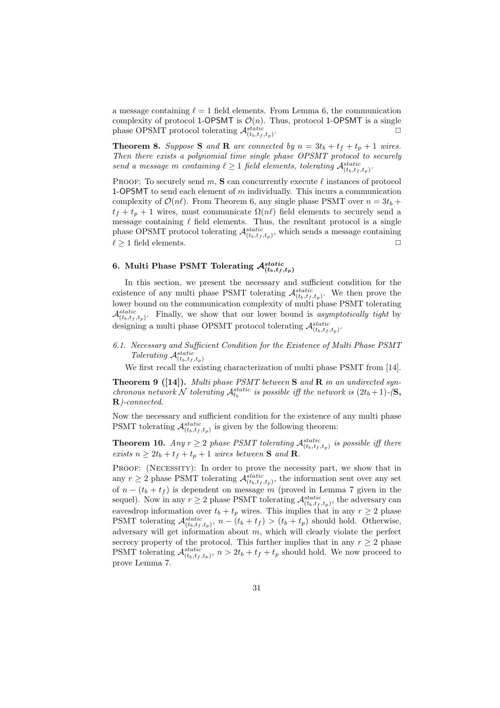a message containing  $\ell = 1$  field elements. From Lemma 6, the communication complexity of protocol 1-OPSMT is  $\mathcal{O}(n)$ . Thus, protocol 1-OPSMT is a single phase OPSMT protocol tolerating  $\mathcal{A}_{(t_b,t_f,t_p)}^{static}$ .  $\Box$ 

**Theorem 8.** *Suppose* **S** *and* **R** *are connected by*  $n = 3t_b + t_f + t_p + 1$  *wires. Then there exists a polynomial time single phase OPSMT protocol to securely send a message m containing*  $\ell \geq 1$  *field elements, tolerating*  $\mathcal{A}_{(t_b,t_f,t_p)}^{static}$ .

PROOF: To securely send m, S can concurrently execute  $\ell$  instances of protocol 1-OPSMT to send each element of m individually. This incurs a communication complexity of  $\mathcal{O}(n\ell)$ . From Theorem 6, any single phase PSMT over  $n = 3t_b +$  $t_f + t_p + 1$  wires, must communicate  $\Omega(n\ell)$  field elements to securely send a message containing  $\ell$  field elements. Thus, the resultant protocol is a single phase OPSMT protocol tolerating  $\mathcal{A}_{(t_b,t_f,t_p)}^{static}$ , which sends a message containing  $\ell \geq 1$  field elements.

## 6. Multi Phase PSMT Tolerating  $\mathcal{A}_{(t_b,t_f,t_p)}^{static}$

In this section, we present the necessary and sufficient condition for the existence of any multi phase PSMT tolerating  $\mathcal{A}_{(t_b,t_f,t_p)}^{static}$ . We then prove the lower bound on the communication complexity of multi phase PSMT tolerating  $\mathcal{A}_{(t_b,t_f,t_p)}^{static}$ . Finally, we show that our lower bound is *asymptotically tight* by designing a multi phase OPSMT protocol tolerating  $\mathcal{A}^{static}_{(t_b,t_f,t_p)}$ .

*6.1. Necessary and Sufficient Condition for the Existence of Multi Phase PSMT Tolerating*  $\mathcal{A}_{(t_b,t_f,t_p)}^{static}$ 

We first recall the existing characterization of multi phase PSMT from [14].

Theorem 9 ([14]). *Multi phase PSMT between* S *and* R *in an undirected synchronous network*  $\mathcal N$  *tolerating*  $\mathcal A_{t_b}^{static}$  *is possible iff the network is*  $(2t_b + 1)$ *-*( $\mathbf S$ *,* R*)-connected.*

Now the necessary and sufficient condition for the existence of any multi phase PSMT tolerating  $\mathcal{A}_{(t_b,t_f,t_p)}^{static}$  is given by the following theorem:

**Theorem 10.** Any  $r \geq 2$  phase PSMT tolerating  $\mathcal{A}_{(t_b,t_f,t_p)}^{static}$  is possible iff there *exists*  $n \geq 2t_b + t_f + t_p + 1$  *wires between* **S** *and* **R**.

PROOF: (NECESSITY): In order to prove the necessity part, we show that in any  $r \geq 2$  phase PSMT tolerating  $\mathcal{A}_{(t_b,t_f,t_p)}^{static}$ , the information sent over any set of  $n - (t_b + t_f)$  is dependent on message m (proved in Lemma 7 given in the sequel). Now in any  $r \geq 2$  phase PSMT tolerating  $\mathcal{A}_{(t_b,t_f,t_p)}^{static}$ , the adversary can eavesdrop information over  $t_b + t_p$  wires. This implies that in any  $r \geq 2$  phase PSMT tolerating  $\mathcal{A}_{(t_b,t_f,t_p)}^{static}$ ,  $n - (t_b + t_f) > (t_b + t_p)$  should hold. Otherwise, adversary will get information about  $m$ , which will clearly violate the perfect secrecy property of the protocol. This further implies that in any  $r \geq 2$  phase PSMT tolerating  $\mathcal{A}_{(t_b,t_f,t_p)}^{static}$ ,  $n > 2t_b + t_f + t_p$  should hold. We now proceed to prove Lemma 7.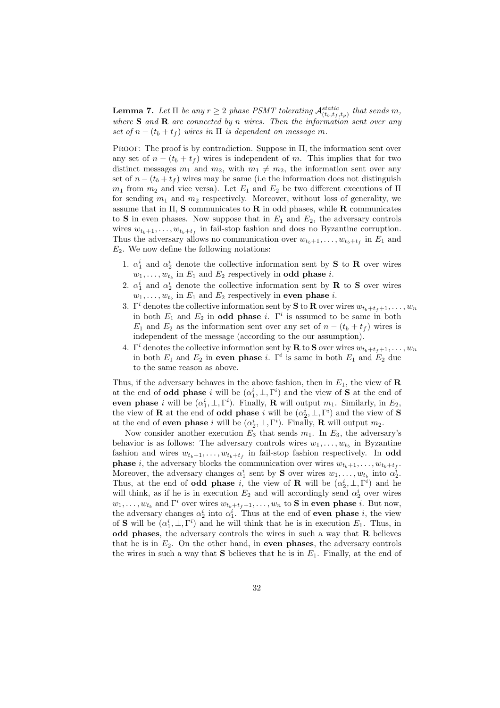**Lemma 7.** Let  $\Pi$  be any  $r \geq 2$  phase PSMT tolerating  $\mathcal{A}_{(t_b,t_f,t_p)}^{static}$  that sends m, *where* S *and* R *are connected by* n *wires. Then the information sent over any set of*  $n - (t_b + t_f)$  *wires in*  $\Pi$  *is dependent on message m*.

PROOF: The proof is by contradiction. Suppose in  $\Pi$ , the information sent over any set of  $n - (t_b + t_f)$  wires is independent of m. This implies that for two distinct messages  $m_1$  and  $m_2$ , with  $m_1 \neq m_2$ , the information sent over any set of  $n - (t_b + t_f)$  wires may be same (i.e the information does not distinguish  $m_1$  from  $m_2$  and vice versa). Let  $E_1$  and  $E_2$  be two different executions of  $\Pi$ for sending  $m_1$  and  $m_2$  respectively. Moreover, without loss of generality, we assume that in  $\Pi$ , **S** communicates to **R** in odd phases, while **R** communicates to S in even phases. Now suppose that in  $E_1$  and  $E_2$ , the adversary controls wires  $w_{t_b+1}, \ldots, w_{t_b+t_f}$  in fail-stop fashion and does no Byzantine corruption. Thus the adversary allows no communication over  $w_{t_b+1}, \ldots, w_{t_b+t_f}$  in  $E_1$  and  $E_2$ . We now define the following notations:

- 1.  $\alpha_1^i$  and  $\alpha_2^i$  denote the collective information sent by **S** to **R** over wires  $w_1, \ldots, w_{t_b}$  in  $E_1$  and  $E_2$  respectively in **odd phase** *i*.
- 2.  $\alpha_1^i$  and  $\alpha_2^i$  denote the collective information sent by **R** to **S** over wires  $w_1, \ldots, w_{t_b}$  in  $E_1$  and  $E_2$  respectively in **even phase** *i*.
- 3. Γ<sup>i</sup> denotes the collective information sent by **S** to **R** over wires  $w_{t_b+t_f+1}, \ldots, w_n$ in both  $E_1$  and  $E_2$  in **odd phase** i.  $\Gamma^i$  is assumed to be same in both  $E_1$  and  $E_2$  as the information sent over any set of  $n - (t_b + t_f)$  wires is independent of the message (according to the our assumption).
- 4. Γ<sup>i</sup> denotes the collective information sent by **R** to **S** over wires  $w_{t_h+t_f+1}, \ldots, w_n$ in both  $E_1$  and  $E_2$  in even phase i.  $\Gamma^i$  is same in both  $E_1$  and  $E_2$  due to the same reason as above.

Thus, if the adversary behaves in the above fashion, then in  $E_1$ , the view of **R** at the end of **odd phase** i will be  $(\alpha_1^i, \perp, \Gamma^i)$  and the view of **S** at the end of even phase *i* will be  $(\alpha_1^i, \perp, \Gamma^i)$ . Finally, **R** will output  $m_1$ . Similarly, in  $E_2$ , the view of **R** at the end of **odd phase** i will be  $(\alpha_2^i, \perp, \Gamma^i)$  and the view of **S** at the end of **even phase** i will be  $(\alpha_2^i, \perp, \Gamma^i)$ . Finally, **R** will output  $m_2$ .

Now consider another execution  $E_3$  that sends  $m_1$ . In  $E_3$ , the adversary's behavior is as follows: The adversary controls wires  $w_1, \ldots, w_{t_b}$  in Byzantine fashion and wires  $w_{t_b+1}, \ldots, w_{t_b+t_f}$  in fail-stop fashion respectively. In **odd phase** i, the adversary blocks the communication over wires  $w_{t_b+1}, \ldots, w_{t_b+t_f}$ . Moreover, the adversary changes  $\alpha_1^i$  sent by **S** over wires  $w_1, \ldots, w_{t_b}$  into  $\alpha_2^i$ . Thus, at the end of **odd phase** i, the view of **R** will be  $(\alpha_2^i, \perp, \Gamma^i)$  and he will think, as if he is in execution  $E_2$  and will accordingly send  $\alpha_2^i$  over wires  $w_1, \ldots, w_{t_b}$  and  $\Gamma^i$  over wires  $w_{t_b+t_f+1}, \ldots, w_n$  to **S** in even phase *i*. But now, the adversary changes  $\alpha_2^i$  into  $\alpha_1^i$ . Thus at the end of **even phase** i, the view of **S** will be  $(\alpha_1^i, \perp, \Gamma^i)$  and he will think that he is in execution  $E_1$ . Thus, in odd phases, the adversary controls the wires in such a way that R believes that he is in  $E_2$ . On the other hand, in **even phases**, the adversary controls the wires in such a way that **S** believes that he is in  $E_1$ . Finally, at the end of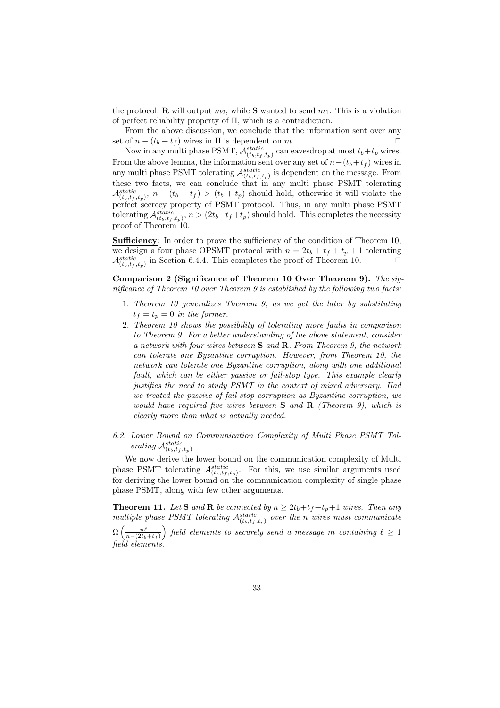the protocol, **R** will output  $m_2$ , while **S** wanted to send  $m_1$ . This is a violation of perfect reliability property of Π, which is a contradiction.

From the above discussion, we conclude that the information sent over any set of  $n - (t_b + t_f)$  wires in  $\Pi$  is dependent on m.

Now in any multi phase PSMT,  $\mathcal{A}_{(t_b,t_f,t_p)}^{static}$  can eavesdrop at most  $t_b+t_p$  wires. From the above lemma, the information sent over any set of  $n-(t_b+t_f)$  wires in any multi phase PSMT tolerating  $\mathcal{A}_{(t_b,t_f,t_p)}^{static}$  is dependent on the message. From these two facts, we can conclude that in any multi phase PSMT tolerating  $\mathcal{A}_{(t_b,t_f,t_p)}^{static}$ ,  $n - (t_b + t_f) > (t_b + t_p)$  should hold, otherwise it will violate the perfect secrecy property of PSMT protocol. Thus, in any multi phase PSMT tolerating  $\mathcal{A}_{(t_b,t_f,t_p)}^{static}$ ,  $n > (2t_b + t_f + t_p)$  should hold. This completes the necessity proof of Theorem 10.

Sufficiency: In order to prove the sufficiency of the condition of Theorem 10, we design a four phase OPSMT protocol with  $n = 2t_b + t_f + t_p + 1$  tolerating  $\mathcal{A}_{(t_b,t_f,t_p)}^{static}$  in Section 6.4.4. This completes the proof of Theorem 10.  $\Box$ 

Comparison 2 (Significance of Theorem 10 Over Theorem 9). *The significance of Theorem 10 over Theorem 9 is established by the following two facts:*

- 1. *Theorem 10 generalizes Theorem 9, as we get the later by substituting*  $t_f = t_p = 0$  *in the former.*
- 2. *Theorem 10 shows the possibility of tolerating more faults in comparison to Theorem 9. For a better understanding of the above statement, consider a network with four wires between* S *and* R*. From Theorem 9, the network can tolerate one Byzantine corruption. However, from Theorem 10, the network can tolerate one Byzantine corruption, along with one additional fault, which can be either passive or fail-stop type. This example clearly justifies the need to study PSMT in the context of mixed adversary. Had we treated the passive of fail-stop corruption as Byzantine corruption, we would have required five wires between* S *and* R *(Theorem 9), which is clearly more than what is actually needed.*
- *6.2. Lower Bound on Communication Complexity of Multi Phase PSMT Tolerating*  $\mathcal{A}_{(t_b,t_f,t_p)}^{static}$

We now derive the lower bound on the communication complexity of Multi phase PSMT tolerating  $\mathcal{A}_{(t_b,t_f,t_p)}^{static}$ . For this, we use similar arguments used for deriving the lower bound on the communication complexity of single phase phase PSMT, along with few other arguments.

**Theorem 11.** Let **S** and **R** be connected by  $n \geq 2t_b + t_f + t_p + 1$  wires. Then any *multiple phase PSMT tolerating*  $\mathcal{A}_{(t_b,t_f,t_p)}^{static}$  *over the n wires must communicate* 

 $\Omega\left(\frac{n\ell}{n-(2t_b+t_f)}\right)$  field elements to securely send a message  $m$  containing  $\ell\geq 1$ *field elements.*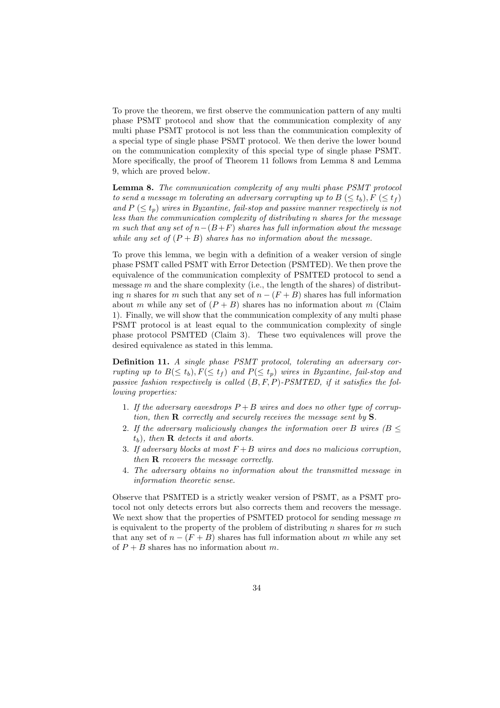To prove the theorem, we first observe the communication pattern of any multi phase PSMT protocol and show that the communication complexity of any multi phase PSMT protocol is not less than the communication complexity of a special type of single phase PSMT protocol. We then derive the lower bound on the communication complexity of this special type of single phase PSMT. More specifically, the proof of Theorem 11 follows from Lemma 8 and Lemma 9, which are proved below.

Lemma 8. *The communication complexity of any multi phase PSMT protocol to send a message* m *tolerating an adversary corrupting up to*  $B \leq t_b$ ,  $F \leq t_f$ and  $P \leq t_p$ ) wires in Byzantine, fail-stop and passive manner respectively is not *less than the communication complexity of distributing* n *shares for the message* m *such that any set of* n−(B+F) *shares has full information about the message while any set of*  $(P + B)$  *shares has no information about the message.* 

To prove this lemma, we begin with a definition of a weaker version of single phase PSMT called PSMT with Error Detection (PSMTED). We then prove the equivalence of the communication complexity of PSMTED protocol to send a message  $m$  and the share complexity (i.e., the length of the shares) of distributing n shares for m such that any set of  $n - (F + B)$  shares has full information about m while any set of  $(P + B)$  shares has no information about m (Claim 1). Finally, we will show that the communication complexity of any multi phase PSMT protocol is at least equal to the communication complexity of single phase protocol PSMTED (Claim 3). These two equivalences will prove the desired equivalence as stated in this lemma.

Definition 11. *A single phase PSMT protocol, tolerating an adversary corrupting up to*  $B(\leq t_b)$ ,  $F(\leq t_f)$  *and*  $P(\leq t_p)$  *wires in Byzantine, fail-stop and passive fashion respectively is called* (B, F, P)*-PSMTED, if it satisfies the following properties:*

- 1. *If the adversary eavesdrops* P + B *wires and does no other type of corruption, then* R *correctly and securely receives the message sent by* S*.*
- 2. If the adversary maliciously changes the information over B wires ( $B \leq$ tb)*, then* R *detects it and aborts.*
- 3. *If adversary blocks at most* F +B *wires and does no malicious corruption, then* R *recovers the message correctly.*
- 4. *The adversary obtains no information about the transmitted message in information theoretic sense.*

Observe that PSMTED is a strictly weaker version of PSMT, as a PSMT protocol not only detects errors but also corrects them and recovers the message. We next show that the properties of PSMTED protocol for sending message  $m$ is equivalent to the property of the problem of distributing n shares for  $m$  such that any set of  $n - (F + B)$  shares has full information about m while any set of  $P + B$  shares has no information about m.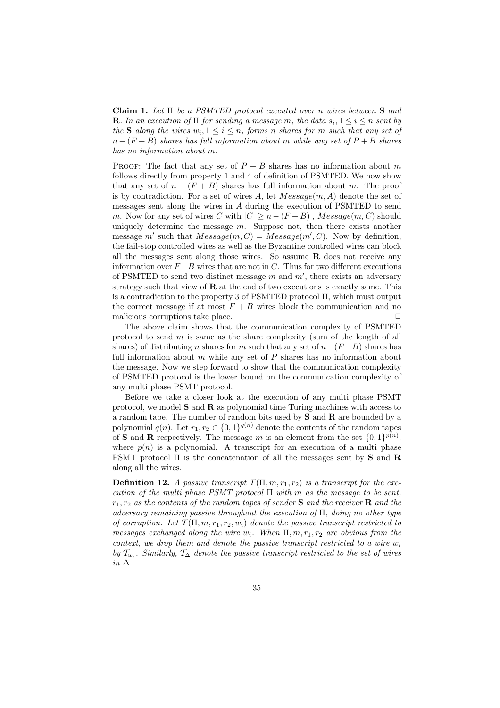Claim 1. *Let* Π *be a PSMTED protocol executed over* n *wires between* S *and* **R**. In an execution of  $\Pi$  for sending a message m, the data  $s_i, 1 \leq i \leq n$  sent by *the* **S** *along the wires*  $w_i, 1 \leq i \leq n$ *, forms n shares for m such that any set of* n − (F + B) *shares has full information about* m *while any set of* P + B *shares has no information about* m*.*

PROOF: The fact that any set of  $P + B$  shares has no information about m follows directly from property 1 and 4 of definition of PSMTED. We now show that any set of  $n - (F + B)$  shares has full information about m. The proof is by contradiction. For a set of wires A, let  $Message(m, A)$  denote the set of messages sent along the wires in A during the execution of PSMTED to send m. Now for any set of wires C with  $|C| \geq n - (F + B)$ , Message $(m, C)$  should uniquely determine the message  $m$ . Suppose not, then there exists another message m' such that  $Message(m, C) = Message(m', C)$ . Now by definition, the fail-stop controlled wires as well as the Byzantine controlled wires can block all the messages sent along those wires. So assume  $\bf R$  does not receive any information over  $F+B$  wires that are not in C. Thus for two different executions of PSMTED to send two distinct message  $m$  and  $m'$ , there exists an adversary strategy such that view of R at the end of two executions is exactly same. This is a contradiction to the property 3 of PSMTED protocol  $\Pi$ , which must output the correct message if at most  $F + B$  wires block the communication and no malicious corruptions take place.  $\Box$ 

The above claim shows that the communication complexity of PSMTED protocol to send  $m$  is same as the share complexity (sum of the length of all shares) of distributing n shares for m such that any set of  $n-(F+B)$  shares has full information about  $m$  while any set of  $P$  shares has no information about the message. Now we step forward to show that the communication complexity of PSMTED protocol is the lower bound on the communication complexity of any multi phase PSMT protocol.

Before we take a closer look at the execution of any multi phase PSMT protocol, we model  $S$  and  $R$  as polynomial time Turing machines with access to a random tape. The number of random bits used by S and R are bounded by a polynomial  $q(n)$ . Let  $r_1, r_2 \in \{0, 1\}^{q(n)}$  denote the contents of the random tapes of **S** and **R** respectively. The message m is an element from the set  $\{0,1\}^{p(n)}$ , where  $p(n)$  is a polynomial. A transcript for an execution of a multi phase PSMT protocol  $\Pi$  is the concatenation of all the messages sent by **S** and **R** along all the wires.

**Definition 12.** *A passive transcript*  $\mathcal{T}(\Pi, m, r_1, r_2)$  *is a transcript for the execution of the multi phase PSMT protocol* Π *with* m *as the message to be sent,* r1, r<sup>2</sup> *as the contents of the random tapes of sender* S *and the receiver* R *and the adversary remaining passive throughout the execution of* Π*, doing no other type of corruption.* Let  $\mathcal{T}(\Pi, m, r_1, r_2, w_i)$  denote the passive transcript restricted to *messages exchanged along the wire*  $w_i$ *. When*  $\Pi, m, r_1, r_2$  *are obvious from the context, we drop them and denote the passive transcript restricted to a wire*  $w_i$ *by*  $\mathcal{T}_{w_i}$ . Similarly,  $\mathcal{T}_{\Delta}$  *denote the passive transcript restricted to the set of wires in* ∆*.*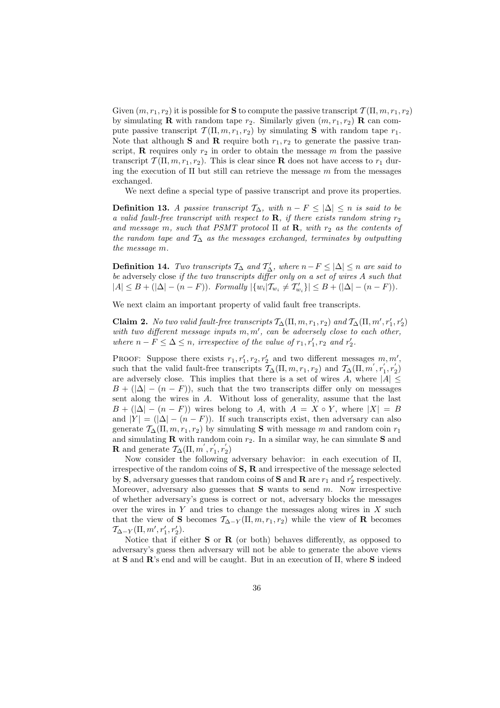Given  $(m, r_1, r_2)$  it is possible for **S** to compute the passive transcript  $\mathcal{T}(\Pi, m, r_1, r_2)$ by simulating **R** with random tape  $r_2$ . Similarly given  $(m, r_1, r_2)$  **R** can compute passive transcript  $\mathcal{T}(\Pi, m, r_1, r_2)$  by simulating **S** with random tape  $r_1$ . Note that although **S** and **R** require both  $r_1, r_2$  to generate the passive transcript, **R** requires only  $r_2$  in order to obtain the message m from the passive transcript  $\mathcal{T}(\Pi, m, r_1, r_2)$ . This is clear since **R** does not have access to  $r_1$  during the execution of  $\Pi$  but still can retrieve the message m from the messages exchanged.

We next define a special type of passive transcript and prove its properties.

Definition 13. *A passive transcript*  $\mathcal{T}_\Delta$ *, with*  $n - F \leq |\Delta| \leq n$  *is said to be a valid fault-free transcript with respect to*  $\bf{R}$ *, if there exists random string*  $r_2$ and message m, such that PSMT protocol  $\Pi$  at  $\mathbf{R}$ , with  $r_2$  as the contents of *the random tape and* T<sup>∆</sup> *as the messages exchanged, terminates by outputting the message* m*.*

**Definition 14.** *Two transcripts*  $\mathcal{T}_{\Delta}$  *and*  $\mathcal{T}'_{\Delta}$ *, where*  $n - F \leq |\Delta| \leq n$  *are said to be* adversely close *if the two transcripts differ only on a set of wires* A *such that*  $|A| \leq B + (|\Delta| - (n - F))$ . Formally  $|\{w_i | \mathcal{T}_{w_i} \neq \mathcal{T}'_{w_i}\}| \leq B + (|\Delta| - (n - F))$ .

We next claim an important property of valid fault free transcripts.

Claim 2. No two valid fault-free transcripts  $T_{\Delta}(\Pi, m, r_1, r_2)$  and  $T_{\Delta}(\Pi, m', r'_1, r'_2)$ *with two different message inputs* m, m′ *, can be adversely close to each other, where*  $n - F \leq \Delta \leq n$ , *irrespective of the value of*  $r_1, r'_1, r_2$  *and*  $r'_2$ .

PROOF: Suppose there exists  $r_1, r'_1, r_2, r'_2$  and two different messages  $m, m', m'$ such that the valid fault-free transcripts  $\mathcal{T}_{\Delta}(\Pi, m, r_1, r_2)$  and  $\mathcal{T}_{\Delta}(\Pi, m', r_1', r_2')$ are adversely close. This implies that there is a set of wires A, where  $|A| \leq$  $B + (|\Delta| - (n - F))$ , such that the two transcripts differ only on messages sent along the wires in A. Without loss of generality, assume that the last  $B + (|\Delta| - (n - F))$  wires belong to A, with  $A = X \circ Y$ , where  $|X| = B$ and  $|Y| = (|\Delta| - (n - F))$ . If such transcripts exist, then adversary can also generate  $\mathcal{T}_{\Delta}(\Pi, m, r_1, r_2)$  by simulating **S** with message m and random coin  $r_1$ and simulating **R** with random coin  $r_2$ . In a similar way, he can simulate **S** and **R** and generate  $\mathcal{T}_{\Delta}(\Pi, m', r_1', r_2')$ 

Now consider the following adversary behavior: in each execution of Π, irrespective of the random coins of S, R and irrespective of the message selected by **S**, adversary guesses that random coins of **S** and **R** are  $r_1$  and  $r'_2$  respectively. Moreover, adversary also guesses that  $S$  wants to send  $m$ . Now irrespective of whether adversary's guess is correct or not, adversary blocks the messages over the wires in  $Y$  and tries to change the messages along wires in  $X$  such that the view of S becomes  $\mathcal{T}_{\Delta-Y}(\Pi, m, r_1, r_2)$  while the view of R becomes  $\mathcal{T}_{\Delta-Y}(\Pi, m', r'_1, r'_2).$ 

Notice that if either  $S$  or  $R$  (or both) behaves differently, as opposed to adversary's guess then adversary will not be able to generate the above views at S and R's end and will be caught. But in an execution of Π, where S indeed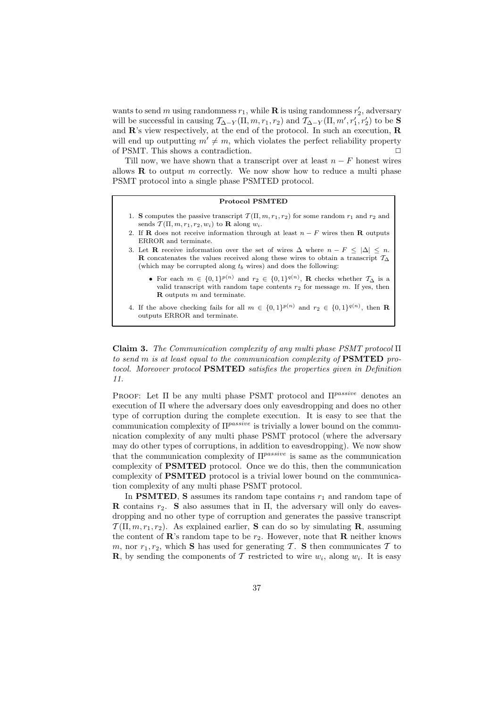wants to send m using randomness  $r_1$ , while **R** is using randomness  $r'_2$ , adversary will be successful in causing  $\mathcal{T}_{\Delta-Y}(\Pi,m,r_1,r_2)$  and  $\mathcal{T}_{\Delta-Y}(\Pi,m',r_1',r_2')$  to be S and R's view respectively, at the end of the protocol. In such an execution, R will end up outputting  $m' \neq m$ , which violates the perfect reliability property of PSMT. This shows a contradiction.  $\Box$ 

Till now, we have shown that a transcript over at least  $n - F$  honest wires allows  **to output m correctly. We now show how to reduce a multi phase** PSMT protocol into a single phase PSMTED protocol.

### Protocol PSMTED

- 1. S computes the passive transcript  $\mathcal{T}(\Pi, m, r_1, r_2)$  for some random  $r_1$  and  $r_2$  and sends  $\overline{\mathcal{T}}(\Pi, m, r_1, r_2, w_i)$  to **R** along  $w_i$ .
- 2. If **R** does not receive information through at least  $n F$  wires then **R** outputs ERROR and terminate.
- 3. Let **R** receive information over the set of wires  $\Delta$  where  $n F \leq |\Delta| \leq n$ . R concatenates the values received along these wires to obtain a transcript  $\mathcal{T}_{\Delta}$ (which may be corrupted along  $t<sub>b</sub>$  wires) and does the following:
	- For each  $m \in \{0,1\}^{p(n)}$  and  $r_2 \in \{0,1\}^{q(n)}$ , **R** checks whether  $\mathcal{T}_{\Delta}$  is a valid transcript with random tape contents  $r_2$  for message  $m$ . If yes, then  **outputs**  $m$  **and terminate.**
- 4. If the above checking fails for all  $m \in \{0,1\}^{p(n)}$  and  $r_2 \in \{0,1\}^{q(n)}$ , then **R** outputs ERROR and terminate.

Claim 3. *The Communication complexity of any multi phase PSMT protocol* Π *to send* m *is at least equal to the communication complexity of* PSMTED *protocol. Moreover protocol* PSMTED *satisfies the properties given in Definition 11.*

PROOF: Let  $\Pi$  be any multi phase PSMT protocol and  $\Pi^{passive}$  denotes an execution of Π where the adversary does only eavesdropping and does no other type of corruption during the complete execution. It is easy to see that the communication complexity of  $\Pi^{passive}$  is trivially a lower bound on the communication complexity of any multi phase PSMT protocol (where the adversary may do other types of corruptions, in addition to eavesdropping). We now show that the communication complexity of  $\Pi^{passive}$  is same as the communication complexity of PSMTED protocol. Once we do this, then the communication complexity of PSMTED protocol is a trivial lower bound on the communication complexity of any multi phase PSMT protocol.

In **PSMTED**, **S** assumes its random tape contains  $r_1$  and random tape of **R** contains  $r_2$ . S also assumes that in  $\Pi$ , the adversary will only do eavesdropping and no other type of corruption and generates the passive transcript  $\mathcal{T}(\Pi, m, r_1, r_2)$ . As explained earlier, **S** can do so by simulating **R**, assuming the content of  $\mathbb{R}$ 's random tape to be  $r_2$ . However, note that  $\mathbb{R}$  neither knows m, nor  $r_1, r_2$ , which S has used for generating T. S then communicates T to **R**, by sending the components of T restricted to wire  $w_i$ , along  $w_i$ . It is easy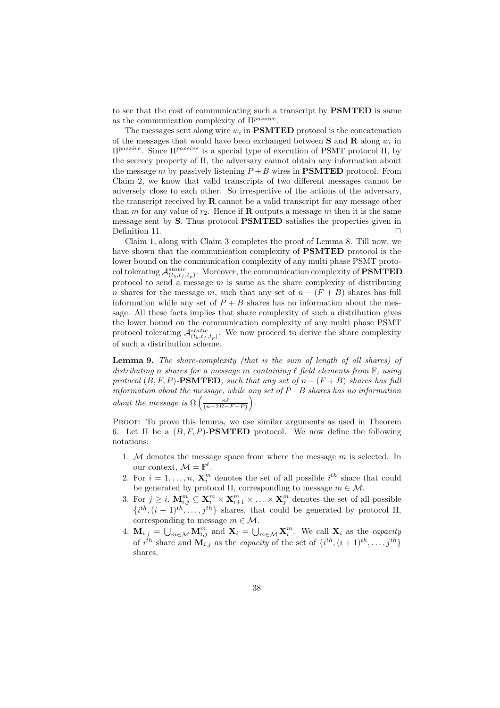to see that the cost of communicating such a transcript by PSMTED is same as the communication complexity of  $\Pi^{passive}$ .

The messages sent along wire  $w_i$  in **PSMTED** protocol is the concatenation of the messages that would have been exchanged between **S** and **R** along  $w_i$  in Πpassive. Since Πpassive is a special type of execution of PSMT protocol Π, by the secrecy property of Π, the adversary cannot obtain any information about the message m by passively listening  $P + B$  wires in **PSMTED** protocol. From Claim 2, we know that valid transcripts of two different messages cannot be adversely close to each other. So irrespective of the actions of the adversary, the transcript received by R cannot be a valid transcript for any message other than m for any value of  $r_2$ . Hence if **R** outputs a message m then it is the same message sent by S. Thus protocol PSMTED satisfies the properties given in Definition 11.  $\Box$ 

Claim 1, along with Claim 3 completes the proof of Lemma 8. Till now, we have shown that the communication complexity of PSMTED protocol is the lower bound on the communication complexity of any multi phase PSMT protocol tolerating  $\mathcal{A}^{static}_{(t_b,t_f,t_p)}.$  Moreover, the communication complexity of  $\textbf{PSMTED}$ protocol to send a message  $m$  is same as the share complexity of distributing n shares for the message m, such that any set of  $n - (F + B)$  shares has full information while any set of  $P + B$  shares has no information about the message. All these facts implies that share complexity of such a distribution gives the lower bound on the communication complexity of any multi phase PSMT protocol tolerating  $\mathcal{A}_{(t_b,t_f,t_p)}^{static}$ . We now proceed to derive the share complexity of such a distribution scheme.

Lemma 9. *The share-complexity (that is the sum of length of all shares) of distributing* n *shares for a message* m *containing* ℓ *field elements from* F*, using protocol*  $(B, F, P)$ **-PSMTED***, such that any set of*  $n - (F + B)$  *shares has full information about the message, while any set of* P +B *shares has no information about the message is*  $\Omega\left(\frac{n\ell}{(n-2B-F-P)}\right)$ .

Proof: To prove this lemma, we use similar arguments as used in Theorem 6. Let  $\Pi$  be a  $(B, F, P)$ -PSMTED protocol. We now define the following notations:

- 1. M denotes the message space from where the message  $m$  is selected. In our context,  $\mathcal{M} = \mathbb{F}^{\ell}$ .
- 2. For  $i = 1, \ldots, n$ ,  $\mathbf{X}_i^m$  denotes the set of all possible  $i^{th}$  share that could be generated by protocol  $\Pi$ , corresponding to message  $m \in \mathcal{M}$ .
- 3. For  $j \geq i$ ,  $\mathbf{M}_{i,j}^m \subseteq \mathbf{X}_i^m \times \mathbf{X}_{i+1}^m \times \ldots \times \mathbf{X}_j^m$  denotes the set of all possible  $\{i^{th}, (i+1)^{th}, \ldots, j^{th}\}$  shares, that could be generated by protocol  $\Pi$ , corresponding to message  $m \in \mathcal{M}$ .
- 4.  $\mathbf{M}_{i,j} = \bigcup_{m \in \mathcal{M}} \mathbf{M}_{i,j}^m$  and  $\mathbf{X}_i = \bigcup_{m \in \mathcal{M}} \mathbf{X}_i^m$ . We call  $\mathbf{X}_i$  as the *capacity* of  $i^{th}$  share and  $\mathbf{M}_{i,j}$  as the *capacity* of the set of  $\{i^{th}, (i+1)^{th}, \ldots, j^{th}\}$ shares.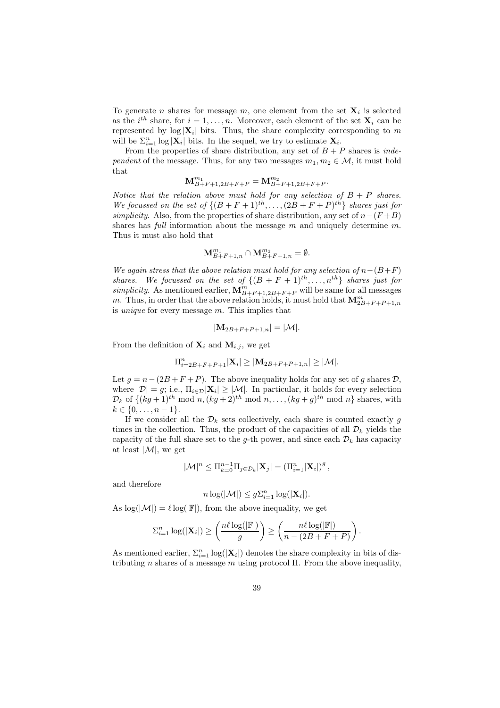To generate *n* shares for message *m*, one element from the set  $\mathbf{X}_i$  is selected as the  $i^{th}$  share, for  $i = 1, \ldots, n$ . Moreover, each element of the set  $\mathbf{X}_i$  can be represented by  $log |\mathbf{X}_i|$  bits. Thus, the share complexity corresponding to m will be  $\Sigma_{i=1}^n \log |\mathbf{X}_i|$  bits. In the sequel, we try to estimate  $\mathbf{X}_i$ .

From the properties of share distribution, any set of  $B + P$  shares is *independent* of the message. Thus, for any two messages  $m_1, m_2 \in \mathcal{M}$ , it must hold that

$$
\mathbf{M}_{B+F+1,2B+F+P}^{m_1} = \mathbf{M}_{B+F+1,2B+F+P}^{m_2}.
$$

*Notice that the relation above must hold for any selection of*  $B + P$  *shares.* We focussed on the set of  $\{(B+F+1)^{th}, \ldots, (2B+F+P)^{th}\}\$  *shares just for simplicity*. Also, from the properties of share distribution, any set of  $n-(F+B)$ shares has *full* information about the message m and uniquely determine m. Thus it must also hold that

$$
\mathbf{M}^{m_1}_{B+F+1,n} \cap \mathbf{M}^{m_2}_{B+F+1,n} = \emptyset.
$$

*We again stress that the above relation must hold for any selection of*  $n-(B+F)$ *shares.* We focussed on the set of  $\{(B + F + 1)$ <sup>th</sup>,...,  $n^{th}\}$  *shares just for* simplicity. As mentioned earlier,  $\mathbf{M}_{B+F+1,2B+F+P}^{m}$  will be same for all messages m. Thus, in order that the above relation holds, it must hold that  $\mathbf{M}_{2B+F+P+1,n}^{m}$ is *unique* for every message m. This implies that

$$
|\mathbf{M}_{2B+F+P+1,n}| = |\mathcal{M}|.
$$

From the definition of  $\mathbf{X}_i$  and  $\mathbf{M}_{i,j}$ , we get

$$
\Pi_{i=2B+F+P+1}^{n}|\mathbf{X}_{i}|\geq |\mathbf{M}_{2B+F+P+1,n}|\geq |\mathcal{M}|.
$$

Let  $g = n - (2B + F + P)$ . The above inequality holds for any set of g shares D, where  $|\mathcal{D}| = g$ ; i.e.,  $\Pi_{i \in \mathcal{D}} |\mathbf{X}_i| \geq |\mathcal{M}|$ . In particular, it holds for every selection  $\mathcal{D}_k$  of  $\{(kg+1)^{th} \mod n, (kg+2)^{th} \mod n, \ldots, (kg+g)^{th} \mod n\}$  shares, with  $k \in \{0, \ldots, n-1\}.$ 

If we consider all the  $\mathcal{D}_k$  sets collectively, each share is counted exactly g times in the collection. Thus, the product of the capacities of all  $\mathcal{D}_k$  yields the capacity of the full share set to the g-th power, and since each  $\mathcal{D}_k$  has capacity at least  $|\mathcal{M}|$ , we get

$$
|\mathcal{M}|^n \leq \Pi_{k=0}^{n-1} \Pi_{j \in \mathcal{D}_k} |\mathbf{X}_j| = (\Pi_{i=1}^n |\mathbf{X}_i|)^g,
$$

and therefore

$$
n\log(|\mathcal{M}|) \leq g\Sigma_{i=1}^n\log(|\mathbf{X}_i|).
$$

As  $\log(|\mathcal{M}|) = \ell \log(|\mathbb{F}|)$ , from the above inequality, we get

$$
\sum_{i=1}^n \log(|\mathbf{X}_i|) \ge \left(\frac{n\ell \log(|\mathbb{F}|)}{g}\right) \ge \left(\frac{n\ell \log(|\mathbb{F}|)}{n - (2B + F + P)}\right).
$$

As mentioned earlier,  $\Sigma_{i=1}^n \log(|\mathbf{X}_i|)$  denotes the share complexity in bits of distributing n shares of a message m using protocol  $\Pi$ . From the above inequality,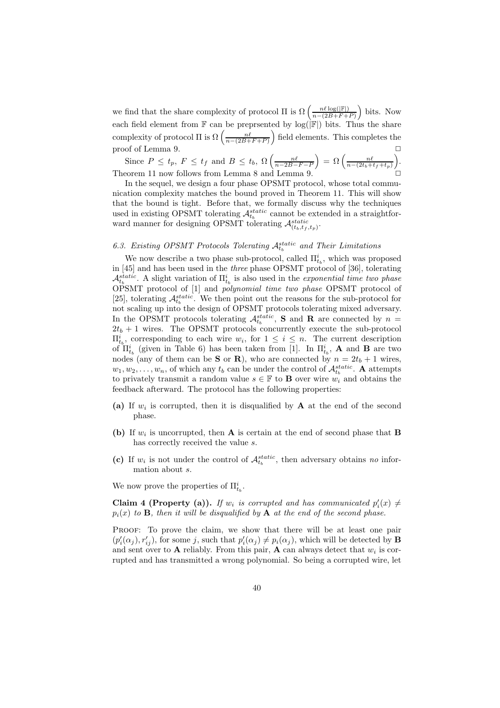we find that the share complexity of protocol  $\Pi$  is  $\Omega\left(\frac{n\ell\log(\mathbb{F}))}{n-(2B+F+)}\right)$  $\frac{n\ell\log(|\mathbb{F}|)}{n-(2B+F+P)}$  bits. Now each field element from  $\mathbb F$  can be preprsented by  $log(|\mathbb F|)$  bits. Thus the share complexity of protocol  $\Pi$  is  $\Omega\left(\frac{n\ell}{n-(2B+F+P)}\right)$  field elements. This completes the proof of Lemma 9.  $\Box$ 

Since  $P \le t_p$ ,  $F \le t_f$  and  $B \le t_b$ ,  $\Omega\left(\frac{n\ell}{n-2B-F-P}\right) = \Omega\left(\frac{n\ell}{n-(2t_b+t_f+t_p)}\right)$ . Theorem 11 now follows from Lemma 8 and Lemma 9.  $\Box$ 

In the sequel, we design a four phase OPSMT protocol, whose total communication complexity matches the bound proved in Theorem 11. This will show that the bound is tight. Before that, we formally discuss why the techniques used in existing OPSMT tolerating  $\mathcal{A}_{t_b}^{static}$  cannot be extended in a straightforward manner for designing OPSMT tolerating  $\mathcal{A}_{(t_b,t_f,t_p)}^{static}$ .

# 6.3. Existing OPSMT Protocols Tolerating  $A_{t_b}^{static}$  and Their Limitations

We now describe a two phase sub-protocol, called  $\Pi_{t_b}^i$ , which was proposed in [45] and has been used in the *three* phase OPSMT protocol of [36], tolerating  $\mathcal{A}_{t_b}^{static}$ . A slight variation of  $\Pi_{t_b}^i$  is also used in the *exponential time two phase* OPSMT protocol of [1] and *polynomial time two phase* OPSMT protocol of [25], tolerating  $\mathcal{A}_{t_b}^{static}$ . We then point out the reasons for the sub-protocol for not scaling up into the design of OPSMT protocols tolerating mixed adversary. In the OPSMT protocols tolerating  $\mathcal{A}_{t_b}^{static}$ , **S** and **R** are connected by  $n =$  $2t_b + 1$  wires. The OPSMT protocols concurrently execute the sub-protocol  $\Pi_{t_b}^i$ , corresponding to each wire  $w_i$ , for  $1 \leq i \leq n$ . The current description of  $\overline{\Pi}_{t_b}^i$  (given in Table 6) has been taken from [1]. In  $\Pi_{t_b}^i$ , **A** and **B** are two nodes (any of them can be **S** or **R**), who are connected by  $n = 2t_b + 1$  wires,  $w_1, w_2, \ldots, w_n$ , of which any  $t_b$  can be under the control of  $\mathcal{A}_{t_b}^{static}$ . **A** attempts to privately transmit a random value  $s \in \mathbb{F}$  to **B** over wire  $w_i$  and obtains the feedback afterward. The protocol has the following properties:

- (a) If  $w_i$  is corrupted, then it is disqualified by **A** at the end of the second phase.
- (b) If  $w_i$  is uncorrupted, then **A** is certain at the end of second phase that **B** has correctly received the value s.
- (c) If  $w_i$  is not under the control of  $\mathcal{A}_{t_b}^{static}$ , then adversary obtains *no* information about s.

We now prove the properties of  $\Pi^i_{t_b}$ .

Claim 4 (Property (a)). If  $w_i$  is corrupted and has communicated  $p'_i(x) \neq$  $p_i(x)$  to **B***, then it will be disqualified by* **A** *at the end of the second phase.* 

PROOF: To prove the claim, we show that there will be at least one pair  $(p'_i(\alpha_j), r'_{ij})$ , for some j, such that  $p'_i(\alpha_j) \neq p_i(\alpha_j)$ , which will be detected by **B** and sent over to **A** reliably. From this pair, **A** can always detect that  $w_i$  is corrupted and has transmitted a wrong polynomial. So being a corrupted wire, let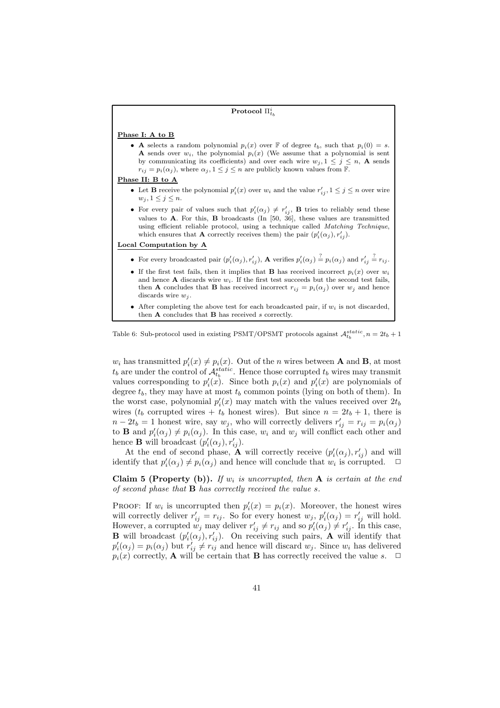| Protocol $\Pi_{t_k}^i$                                                                                                                                                                                                                                                                                                                                                                                |
|-------------------------------------------------------------------------------------------------------------------------------------------------------------------------------------------------------------------------------------------------------------------------------------------------------------------------------------------------------------------------------------------------------|
| Phase I: A to B                                                                                                                                                                                                                                                                                                                                                                                       |
| • A selects a random polynomial $p_i(x)$ over F of degree $t_b$ , such that $p_i(0) = s$ .<br><b>A</b> sends over $w_i$ , the polynomial $p_i(x)$ (We assume that a polynomial is sent<br>by communicating its coefficients) and over each wire $w_j$ , $1 \leq j \leq n$ , <b>A</b> sends<br>$r_{ij} = p_i(\alpha_j)$ , where $\alpha_j, 1 \leq j \leq n$ are publicly known values from F.          |
| Phase II: B to A                                                                                                                                                                                                                                                                                                                                                                                      |
| • Let <b>B</b> receive the polynomial $p'_i(x)$ over $w_i$ and the value $r'_{ij}$ , $1 \leq j \leq n$ over wire<br>$w_j, 1 \leq j \leq n$ .                                                                                                                                                                                                                                                          |
| • For every pair of values such that $p'_i(\alpha_j) \neq r'_{ij}$ , <b>B</b> tries to reliably send these<br>values to <b>A</b> . For this, <b>B</b> broadcasts (In [50, 36], these values are transmitted<br>using efficient reliable protocol, using a technique called <i>Matching Technique</i> ,<br>which ensures that <b>A</b> correctly receives them) the pair $(p'_i(\alpha_j), r'_{ij})$ . |
| Local Computation by A                                                                                                                                                                                                                                                                                                                                                                                |
| • For every broadcasted pair $(p'_i(\alpha_j), r'_{ij})$ , <b>A</b> verifies $p'_i(\alpha_j) \stackrel{?}{=} p_i(\alpha_j)$ and $r'_{ij} \stackrel{?}{=} r_{ij}$ .                                                                                                                                                                                                                                    |
| • If the first test fails, then it implies that <b>B</b> has received incorrect $p_i(x)$ over $w_i$<br>and hence <b>A</b> discards wire $w_i$ . If the first test succeeds but the second test fails,<br>then <b>A</b> concludes that <b>B</b> has received incorrect $r_{ij} = p_i(\alpha_j)$ over $w_j$ and hence<br>discards wire $w_i$ .                                                          |
| • After completing the above test for each broadcasted pair, if $w_i$ is not discarded,<br>then $A$ concludes that $B$ has received s correctly.                                                                                                                                                                                                                                                      |
|                                                                                                                                                                                                                                                                                                                                                                                                       |

## Table 6: Sub-protocol used in existing PSMT/OPSMT protocols against  $\mathcal{A}_{t_b}^{static}, n = 2t_b + 1$

 $w_i$  has transmitted  $p'_i(x) \neq p_i(x)$ . Out of the *n* wires between **A** and **B**, at most  $t_b$  are under the control of  $\mathcal{A}_{t_b}^{static}$ . Hence those corrupted  $t_b$  wires may transmit values corresponding to  $p'_i(x)$ . Since both  $p_i(x)$  and  $p'_i(x)$  are polynomials of degree  $t_b$ , they may have at most  $t_b$  common points (lying on both of them). In the worst case, polynomial  $p_i'(x)$  may match with the values received over  $2t_b$ wires ( $t_b$  corrupted wires +  $t_b$  honest wires). But since  $n = 2t_b + 1$ , there is  $n - 2t_b = 1$  honest wire, say  $w_j$ , who will correctly delivers  $r'_{ij} = r_{ij} = p_i(\alpha_j)$ to **B** and  $p'_i(\alpha_j) \neq p_i(\alpha_j)$ . In this case,  $w_i$  and  $w_j$  will conflict each other and hence **B** will broadcast  $(p'_i(\alpha_j), r'_{ij})$ .

At the end of second phase,  $\mathbf{\tilde{A}}$  will correctly receive  $(p'_i(\alpha_j), r'_{ij})$  and will identify that  $p'_i(\alpha_j) \neq p_i(\alpha_j)$  and hence will conclude that  $w_i$  is corrupted.  $\Box$ 

Claim 5 (Property (b)). If  $w_i$  is uncorrupted, then  $A$  is certain at the end *of second phase that* B *has correctly received the value* s*.*

PROOF: If  $w_i$  is uncorrupted then  $p'_i(x) = p_i(x)$ . Moreover, the honest wires will correctly deliver  $r'_{ij} = r_{ij}$ . So for every honest  $w_j$ ,  $p'_i(\alpha_j) = r'_{ij}$  will hold. However, a corrupted  $w_j$  may deliver  $r'_{ij} \neq r_{ij}$  and so  $p'_i(\alpha_j) \neq r'_{ij}$ . In this case, **B** will broadcast  $(p'_i(\alpha_j), r'_{ij})$ . On receiving such pairs, **A** will identify that  $p'_i(\alpha_j) = p_i(\alpha_j)$  but  $r'_{ij} \neq r'_{ij}$  and hence will discard  $w_j$ . Since  $w_i$  has delivered  $p_i(x)$  correctly, **A** will be certain that **B** has correctly received the value s.  $\Box$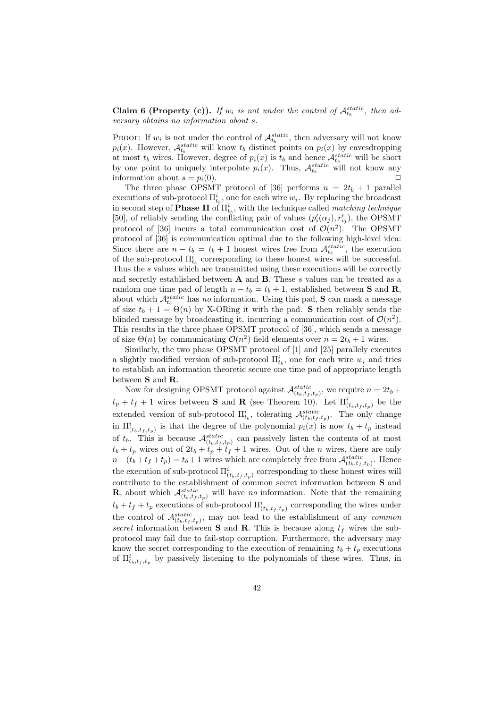Claim 6 (Property (c)). If  $w_i$  is not under the control of  $\mathcal{A}_{t_b}^{static}$ , then ad*versary obtains no information about* s*.*

PROOF: If  $w_i$  is not under the control of  $\mathcal{A}_{t_b}^{static}$ , then adversary will not know  $p_i(x)$ . However,  $\mathcal{A}_{t_b}^{static}$  will know  $t_b$  distinct points on  $p_i(x)$  by eavesdropping at most  $t_b$  wires. However, degree of  $p_i(x)$  is  $t_b$  and hence  $\mathcal{A}_{t_b}^{static}$  will be short by one point to uniquely interpolate  $p_i(x)$ . Thus,  $\mathcal{A}_{t_b}^{static}$  will not know any information about  $s = p_i(0)$ .

The three phase OPSMT protocol of [36] performs  $n = 2t_b + 1$  parallel executions of sub-protocol  $\Pi_{t_b}^i$ , one for each wire  $w_i$ . By replacing the broadcast in second step of **Phase II** of  $\Pi_{t_b}^i$ , with the technique called *matching technique* [50], of reliably sending the conflicting pair of values  $(p'_i(\alpha_j), r'_{ij})$ , the OPSMT protocol of [36] incurs a total communication cost of  $\mathcal{O}(n^2)$ . The OPSMT protocol of [36] is communication optimal due to the following high-level idea: Since there are  $n - t_b = t_b + 1$  honest wires free from  $\mathcal{A}_{t_b}^{static}$ , the execution of the sub-protocol  $\Pi_{t_b}^i$  corresponding to these honest wires will be successful. Thus the s values which are transmitted using these executions will be correctly and secretly established between  $A$  and  $B$ . These s values can be treated as a random one time pad of length  $n - t_b = t_b + 1$ , established between S and R, about which  $\mathcal{A}_{t_b}^{static}$  has *no* information. Using this pad, **S** can mask a message of size  $t_b + 1 = \Theta(n)$  by X-ORing it with the pad. S then reliably sends the blinded message by broadcasting it, incurring a communication cost of  $\mathcal{O}(n^2)$ . This results in the three phase OPSMT protocol of [36], which sends a message of size  $\Theta(n)$  by communicating  $\mathcal{O}(n^2)$  field elements over  $n = 2t_b + 1$  wires.

Similarly, the two phase OPSMT protocol of [1] and [25] parallely executes a slightly modified version of sub-protocol  $\Pi_{t_b}^i$ , one for each wire  $w_i$  and tries to establish an information theoretic secure one time pad of appropriate length between S and R.

Now for designing OPSMT protocol against  $\mathcal{A}^{static}_{(t_b,t_f,t_p)}$ , we require  $n=2t_b+$  $t_p + t_f + 1$  wires between **S** and **R** (see Theorem 10). Let  $\Pi_{(t_b,t_f,t_p)}^i$  be the extended version of sub-protocol  $\Pi_{t_b}^i$ , tolerating  $\mathcal{A}_{(t_b,t_f,t_p)}^{static}$ . The only change in  $\Pi_{(t_b,t_f,t_p)}^i$  is that the degree of the polynomial  $p_i(x)$  is now  $t_b + t_p$  instead of  $t_b$ . This is because  $\mathcal{A}_{(t_b,t_f,t_p)}^{static}$  can passively listen the contents of at most  $t_b + t_p$  wires out of  $2t_b + t_p + t_f + 1$  wires. Out of the *n* wires, there are only  $n-(t_b+t_f+t_p) = t_b+1$  wires which are completely free from  $\mathcal{A}_{(t_b,t_f,t_p)}^{static}$ . Hence the execution of sub-protocol  $\Pi^i_{(t_b,t_f,t_p)}$  corresponding to these honest wires will contribute to the establishment of common secret information between S and **R**, about which  $\mathcal{A}_{(t_b,t_f,t_p)}^{static}$  will have *no* information. Note that the remaining  $t_b + t_f + t_p$  executions of sub-protocol  $\Pi_{(t_b,t_f,t_p)}^i$  corresponding the wires under the control of  $\mathcal{A}_{(t_b,t_f,t_p)}^{static}$ , may not lead to the establishment of any *common secret* information between **S** and **R**. This is because along  $t_f$  wires the subprotocol may fail due to fail-stop corruption. Furthermore, the adversary may know the secret corresponding to the execution of remaining  $t_b + t_p$  executions of  $\Pi_{t_b,t_f,t_p}^i$  by passively listening to the polynomials of these wires. Thus, in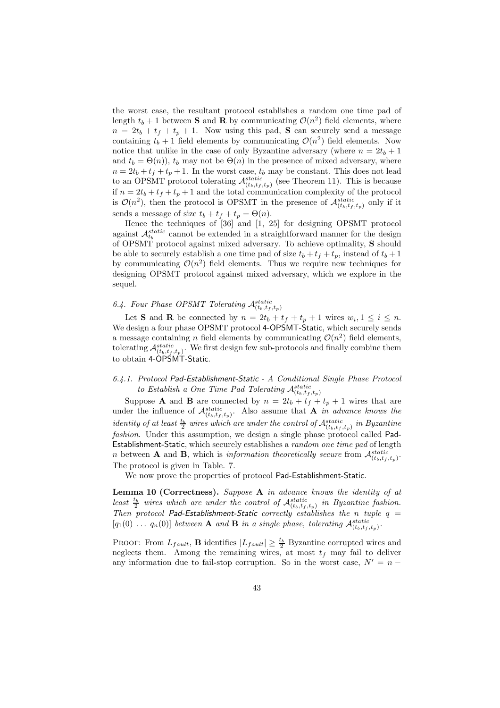the worst case, the resultant protocol establishes a random one time pad of length  $t_b + 1$  between **S** and **R** by communicating  $\mathcal{O}(n^2)$  field elements, where  $n = 2t_b + t_f + t_p + 1$ . Now using this pad, **S** can securely send a message containing  $t_b + 1$  field elements by communicating  $\mathcal{O}(n^2)$  field elements. Now notice that unlike in the case of only Byzantine adversary (where  $n = 2t_b + 1$ and  $t_b = \Theta(n)$ ,  $t_b$  may not be  $\Theta(n)$  in the presence of mixed adversary, where  $n = 2t_b + t_f + t_p + 1$ . In the worst case,  $t_b$  may be constant. This does not lead to an OPSMT protocol tolerating  $\mathcal{A}_{(t_b,t_f,t_p)}^{static}$  (see Theorem 11). This is because if  $n = 2t_b + t_f + t_p + 1$  and the total communication complexity of the protocol is  $\mathcal{O}(n^2)$ , then the protocol is OPSMT in the presence of  $\mathcal{A}_{(t_b,t_f,t_p)}^{static}$  only if it sends a message of size  $t_b + t_f + t_p = \Theta(n)$ .

Hence the techniques of [36] and [1, 25] for designing OPSMT protocol against  $\mathcal{A}_{t_b}^{static}$  cannot be extended in a straightforward manner for the design of OPSMT protocol against mixed adversary. To achieve optimality, S should be able to securely establish a one time pad of size  $t_b + t_f + t_p$ , instead of  $t_b + 1$ by communicating  $\mathcal{O}(n^2)$  field elements. Thus we require new techniques for designing OPSMT protocol against mixed adversary, which we explore in the sequel.

# 6.4. Four Phase OPSMT Tolerating  $\mathcal{A}_{(t_b,t_f,t_p)}^{static}$

Let **S** and **R** be connected by  $n = 2t_b + t_f + t_p + 1$  wires  $w_i, 1 \leq i \leq n$ . We design a four phase OPSMT protocol 4-OPSMT-Static, which securely sends a message containing *n* field elements by communicating  $\mathcal{O}(n^2)$  field elements, tolerating  $\mathcal{A}_{(t_b,t_f,t_p)}^{static}$ . We first design few sub-protocols and finally combine them to obtain 4-OPSMT-Static.

## *6.4.1. Protocol* Pad-Establishment-Static *- A Conditional Single Phase Protocol* to Establish a One Time Pad Tolerating  $\mathcal{A}_{(t_b,t_f,t_p)}^{static}$

Suppose **A** and **B** are connected by  $n = 2t_b + t_f + t_p + 1$  wires that are under the influence of  $\mathcal{A}_{(t_b,t_f,t_p)}^{static}$ . Also assume that **A** *in advance knows the identity of at least*  $\frac{t_b}{2}$  wires which are under the control of  $\mathcal{A}_{(t_b,t_f,t_p)}^{static}$  in Byzantine *fashion*. Under this assumption, we design a single phase protocol called Pad-Establishment-Static, which securely establishes a *random one time pad* of length *n* between **A** and **B**, which is *information theoretically secure* from  $\mathcal{A}_{(t_b,t_f,t_p)}^{static}$ . The protocol is given in Table. 7.

We now prove the properties of protocol Pad-Establishment-Static.

Lemma 10 (Correctness). *Suppose* A *in advance knows the identity of at* least  $\frac{t_b}{2}$  wires which are under the control of  $\mathcal{A}_{(t_b,t_f,t_p)}^{static}$  in Byzantine fashion. *Then protocol* Pad-Establishment-Static *correctly establishes the* n *tuple* q =  $[q_1(0) \ldots q_n(0)]$  *between* **A** and **B** *in a single phase, tolerating*  $\mathcal{A}_{(t_b,t_f,t_p)}^{static}$ .

PROOF: From  $L_{fault}$ , **B** identifies  $|L_{fault}| \geq \frac{t_b}{2}$  Byzantine corrupted wires and neglects them. Among the remaining wires, at most  $t_f$  may fail to deliver any information due to fail-stop corruption. So in the worst case,  $N' = n -$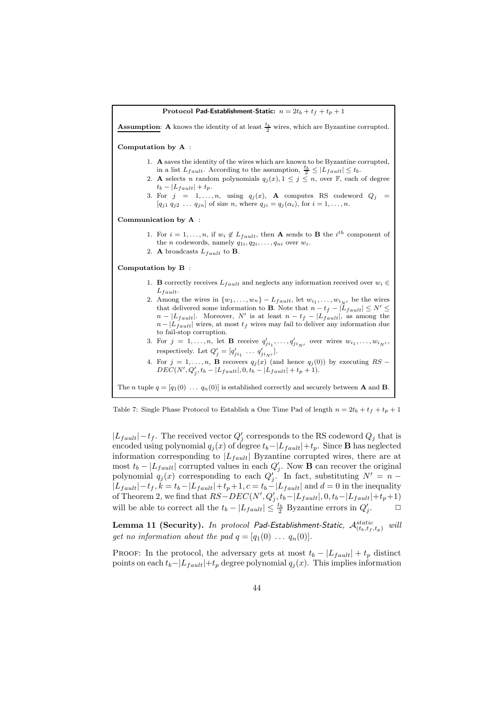Protocol Pad-Establishment-Static:  $n = 2t_b + t_f + t_p + 1$ **Assumption:** A knows the identity of at least  $\frac{t_b}{2}$  wires, which are Byzantine corrupted. Computation by A : 1. A saves the identity of the wires which are known to be Byzantine corrupted, in a list  $L_{fault}$ . According to the assumption,  $\frac{t_b}{2} \leq |L_{fault}| \leq t_b$ . 2. A selects n random polynomials  $q_j(x)$ ,  $1 \leq j \leq n$ , over  $\mathbb{F}$ , each of degree  $t_b - |L_{fault}| + t_p.$ 3. For  $j = 1, ..., n$ , using  $q_j(x)$ , **A** computes RS codeword  $Q_j =$  $[q_{j1} q_{j2} \dots q_{jn}]$  of size n, where  $q_{ji} = q_j(\alpha_i)$ , for  $i = 1, \dots, n$ . Communication by A : 1. For  $i = 1, \ldots, n$ , if  $w_i \notin L_{fault}$ , then **A** sends to **B** the  $i^{th}$  component of the *n* codewords, namely  $q_{1i}, q_{2i}, \ldots, q_{ni}$  over  $w_i$ . 2. A broadcasts  $L_{fault}$  to B. Computation by B : 1. **B** correctly receives  $L_{fault}$  and neglects any information received over  $w_i \in$  $L_{fault.}$ 2. Among the wires in  $\{w_1, \ldots, w_n\} - L_{fault}$ , let  $w_{i_1}, \ldots, w_{i_{N'}}$  be the wires that delivered some information to **B**. Note that  $n - t_f - |L_{fault}| \leq N' \leq$  $n - |L_{fault}|$ . Moreover, N' is at least  $n - t_f - |L_{fault}|$ , as among the  $n - |L_{fault}|$  wires, at most  $t_f$  wires may fail to deliver any information due to fail-stop corruption. 3. For  $j = 1, \ldots, n$ , let **B** receive  $q'_{ji_1}, \ldots, q'_{ji_{N'}}$  over wires  $w_{i_1}, \ldots, w_{i_{N'}}$ , respectively. Let  $Q'_{j} = [q'_{ji_1} \dots q'_{ji_N'}].$ 4. For  $j = 1, ..., n$ , **B** recovers  $q_j(x)$  (and hence  $q_j(0)$ ) by executing  $RS - DEC(N', Q'_j, t_b - |L_{fault}|, 0, t_b - |L_{fault}| + t_p + 1)$ . The *n* tuple  $q = [q_1(0) \dots q_n(0)]$  is established correctly and securely between **A** and **B**.

Table 7: Single Phase Protocol to Establish a One Time Pad of length  $n = 2t_b + t_f + t_p + 1$ 

 $|L_{fault}| - t_f$ . The received vector  $Q'_j$  corresponds to the RS codeword  $Q_j$  that is encoded using polynomial  $q_j(x)$  of degree  $t_b-|L_{fault}|+t_p$ . Since **B** has neglected information corresponding to  $|L_{fault}|$  Byzantine corrupted wires, there are at most  $t_b - |L_{fault}|$  corrupted values in each  $Q'_j$ . Now **B** can recover the original polynomial  $q_j(x)$  corresponding to each  $Q'_j$ . In fact, substituting  $N' = n |L_{fault}|-t_f, k=t_b-|L_{fault}|+t_p+1, c=t_b-|L_{fault}|$  and  $d=0$  in the inequality of Theorem 2, we find that  $RS - DEC(N', Q'_{j}, t_b-|L_{fault}|, 0, t_b-|L_{fault}|+t_p+1)$ will be able to correct all the  $t_b - |L_{fault}| \leq \frac{t_b}{2}$  Byzantine errors in  $Q'_j$  $\Box$ 

 $\bf{Lemma \ 11} \ (Security).$  *In protocol Pad-Establishment-Static,*  ${\cal A}^{static}_{(t_b,t_f,t_p)}$  *will get no information about the pad*  $q = [q_1(0) \dots q_n(0)].$ 

PROOF: In the protocol, the adversary gets at most  $t_b - |L_{fault}| + t_p$  distinct points on each  $t_b-|L_{fault}|+t_p$  degree polynomial  $q_i(x)$ . This implies information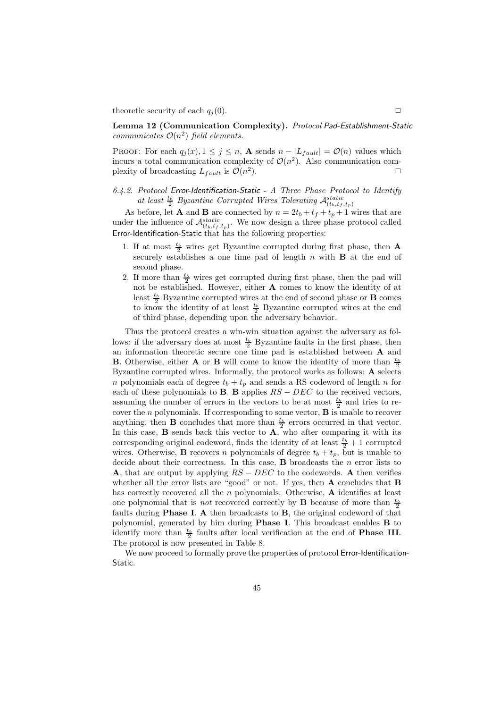theoretic security of each  $q_i(0)$ .

Lemma 12 (Communication Complexity). *Protocol* Pad-Establishment-Static *communicates*  $O(n^2)$  *field elements.* 

PROOF: For each  $q_i(x)$ ,  $1 \leq j \leq n$ , **A** sends  $n - |L_{fault}| = \mathcal{O}(n)$  values which incurs a total communication complexity of  $\mathcal{O}(n^2)$ . Also communication complexity of broadcasting  $L_{fault}$  is  $\mathcal{O}(n^2)$ ).  $\Box$ 

*6.4.2. Protocol* Error-Identification-Static *- A Three Phase Protocol to Identify* at least  $\frac{t_b}{2}$  *Byzantine Corrupted Wires Tolerating*  $\mathcal{A}_{(t_b,t_f,t_p)}^{static}$ 

As before, let **A** and **B** are connected by  $n = 2t_b + t_f + t_p + 1$  wires that are under the influence of  $\mathcal{A}_{(t_b,t_f,t_p)}^{static}$ . We now design a three phase protocol called Error-Identification-Static that has the following properties:

- 1. If at most  $\frac{t_b}{2}$  wires get Byzantine corrupted during first phase, then **A** securely establishes a one time pad of length  $n$  with **B** at the end of second phase.
- 2. If more than  $\frac{t_b}{2}$  wires get corrupted during first phase, then the pad will not be established. However, either A comes to know the identity of at least  $\frac{t_b}{2}$  Byzantine corrupted wires at the end of second phase or **B** comes to know the identity of at least  $\frac{t_b}{2}$  Byzantine corrupted wires at the end of third phase, depending upon the adversary behavior.

Thus the protocol creates a win-win situation against the adversary as follows: if the adversary does at most  $\frac{t_b}{2}$  Byzantine faults in the first phase, then an information theoretic secure one time pad is established between A and **B**. Otherwise, either **A** or **B** will come to know the identity of more than  $\frac{t_b}{2}$ Byzantine corrupted wires. Informally, the protocol works as follows: A selects n polynomials each of degree  $t_b + t_p$  and sends a RS codeword of length n for each of these polynomials to **B**. **B** applies  $RS - DEC$  to the received vectors, assuming the number of errors in the vectors to be at most  $\frac{t_b}{2}$  and tries to recover the  $n$  polynomials. If corresponding to some vector,  $\bf{B}$  is unable to recover anything, then **B** concludes that more than  $\frac{t_b}{2}$  errors occurred in that vector. In this case,  $\bf{B}$  sends back this vector to  $\bf{A}$ , who after comparing it with its corresponding original codeword, finds the identity of at least  $\frac{t_b}{2} + 1$  corrupted wires. Otherwise, **B** recovers *n* polynomials of degree  $t_b + t_p$ , but is unable to decide about their correctness. In this case,  $\bf{B}$  broadcasts the *n* error lists to **A**, that are output by applying  $RS - DEC$  to the codewords. A then verifies whether all the error lists are "good" or not. If yes, then A concludes that B has correctly recovered all the n polynomials. Otherwise,  $\bf{A}$  identifies at least one polynomial that is *not* recovered correctly by **B** because of more than  $\frac{t_b}{2}$ faults during Phase I. A then broadcasts to B, the original codeword of that polynomial, generated by him during Phase I. This broadcast enables B to identify more than  $\frac{t_b}{2}$  faults after local verification at the end of **Phase III**. The protocol is now presented in Table 8.

We now proceed to formally prove the properties of protocol Error-Identification-Static.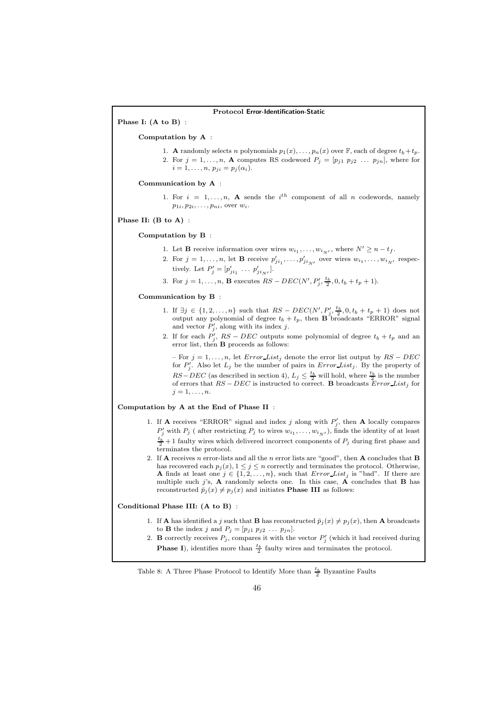### Protocol Error-Identification-Static

Phase I: (A to B) :

#### Computation by A :

1. A randomly selects n polynomials  $p_1(x), \ldots, p_n(x)$  over  $\mathbb{F}$ , each of degree  $t_b + t_p$ . 2. For  $j = 1, \ldots, n$ , **A** computes RS codeword  $P_j = [p_{j1} \ p_{j2} \ \ldots \ p_{jn}]$ , where for  $i = 1, ..., n, p_{ji} = p_j(\alpha_i).$ 

#### Communication by A :

1. For  $i = 1, ..., n$ , A sends the  $i<sup>th</sup>$  component of all n codewords, namely  $p_{1i}, p_{2i}, \ldots, p_{ni}$ , over  $w_i$ .

Phase II: (B to A) :

#### Computation by B :

- 1. Let **B** receive information over wires  $w_{i_1}, \ldots, w_{i_N}$ , where  $N' \ge n t_f$ .
- 2. For  $j = 1, ..., n$ , let **B** receive  $p'_{ji_1}, ..., p'_{ji_{N'}}$  over wires  $w_{i_1}, ..., w_{i_{N'}}$  respectively. Let  $P'_{j} = [p'_{ji_1} \dots p'_{ji_{N'}}].$
- 3. For  $j = 1, ..., n$ , **B** executes  $RS DEC(N', P'_j, \frac{t_b}{2}, 0, t_b + t_p + 1)$ .

#### Communication by B :

- 1. If  $\exists j \in \{1, 2, ..., n\}$  such that  $RS DEC(N', P'_{j}, \frac{t_b}{2}, 0, t_b + t_p + 1)$  does not output any polynomial of degree  $t_b + t_p$ , then **B** broadcasts "ERROR" signal and vector  $P'_j$ , along with its index j.
- 2. If for each  $P'_j$ ,  $RS DEC$  outputs some polynomial of degree  $t_b + t_p$  and an error list, then  $\bf{B}$  proceeds as follows:

– For  $j = 1, ..., n$ , let  $Error\_List_j$  denote the error list output by  $RS - DEC$ for  $P'_j$ . Also let  $L_j$  be the number of pairs in  $Error\_List_j$ . By the property of  $RS-DEC$  (as described in section 4),  $L_j \leq \frac{t_b}{2}$  will hold, where  $\frac{t_b}{2}$  is the number of errors that  $RS - DEC$  is instructed to correct. B broadcasts  $Error\_List_j$  for  $i = 1, \ldots, n$ .

## Computation by A at the End of Phase II :

- 1. If **A** receives "ERROR" signal and index j along with  $P'_j$ , then **A** locally compares  $P'_j$  with  $P_j$  (after restricting  $P_j$  to wires  $w_{i_1}, \ldots, w_{i_{N'}}$ ), finds the identity of at least  $\frac{t_b}{2} + 1$  faulty wires which delivered incorrect components of  $P_j$  during first phase and terminates the protocol.
- 2. If **A** receives n error-lists and all the n error lists are "good", then **A** concludes that **B** has recovered each  $p_i(x)$ ,  $1 \leq j \leq n$  correctly and terminates the protocol. Otherwise, A finds at least one  $j \in \{1, 2, \ldots, n\}$ , such that  $Error\_List_j$  is "bad". If there are multiple such j's,  $A$  randomly selects one. In this case,  $A$  concludes that  $B$  has reconstructed  $\bar{p}_j(x) \neq p_j(x)$  and initiates **Phase III** as follows:

#### Conditional Phase III: (A to B) :

- 1. If **A** has identified a j such that **B** has reconstructed  $\bar{p}_i(x) \neq p_i(x)$ , then **A** broadcasts to **B** the index j and  $P_j = [p_{j1} \ p_{j2} \ \dots \ p_{jn}].$
- 2. **B** correctly receives  $P_j$ , compares it with the vector  $P'_j$  (which it had received during **Phase I**), identifies more than  $\frac{t_b}{2}$  faulty wires and terminates the protocol.

# Table 8: A Three Phase Protocol to Identify More than  $\frac{t_b}{2}$  Byzantine Faults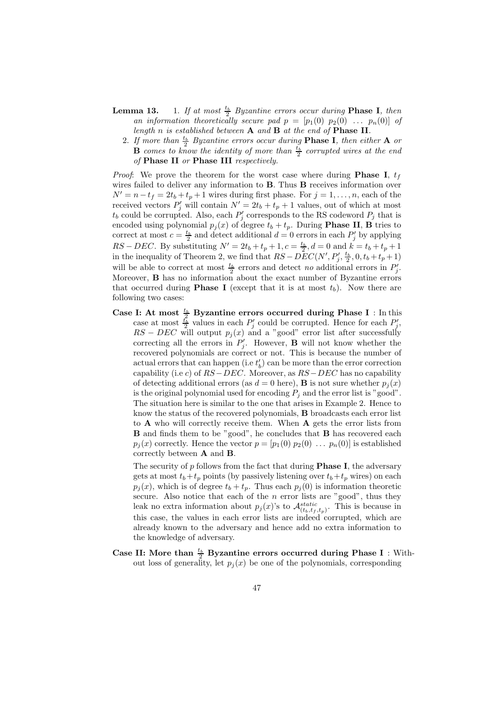- **Lemma 13.** 1. If at most  $\frac{t_b}{2}$  Byzantine errors occur during **Phase I**, then *an information theoretically secure pad*  $p = [p_1(0) \ p_2(0) \ \ldots \ p_n(0)]$  of *length* n *is established between* A *and* B *at the end of* Phase II*.*
	- 2. If more than  $\frac{t_b}{2}$  Byzantine errors occur during **Phase I**, then either **A** or  $\bf{B}$  *comes to know the identity of more than*  $\frac{t_b}{2}$  *corrupted wires at the end of* Phase II *or* Phase III *respectively.*

*Proof*: We prove the theorem for the worst case where during **Phase I**,  $t_f$ wires failed to deliver any information to B. Thus B receives information over  $N' = n - t_f = 2t_b + t_p + 1$  wires during first phase. For  $j = 1, \ldots, n$ , each of the received vectors  $P'_j$  will contain  $N' = 2t_b + t_p + 1$  values, out of which at most  $t_b$  could be corrupted. Also, each  $P'_j$  corresponds to the RS codeword  $P_j$  that is encoded using polynomial  $p_j(x)$  of degree  $t_b + t_p$ . During **Phase II**, **B** tries to correct at most  $c = \frac{t_b}{2}$  and detect additional  $d = 0$  errors in each  $P'_j$  by applying RS – DEC. By substituting  $N' = 2t_b + t_p + 1, c = \frac{t_b}{2}, d = 0$  and  $k = t_b + t_p + 1$ in the inequality of Theorem 2, we find that  $RS - DEC(N', P'_j, \frac{t_b}{2}, 0, t_b + t_p + 1)$ will be able to correct at most  $\frac{t_b}{2}$  errors and detect *no* additional errors in  $P'_j$ . Moreover, B has no information about the exact number of Byzantine errors that occurred during **Phase I** (except that it is at most  $t<sub>b</sub>$ ). Now there are following two cases:

Case I: At most  $\frac{t_b}{2}$  Byzantine errors occurred during Phase I : In this case at most  $\frac{t_b^2}{2}$  values in each  $P'_j$  could be corrupted. Hence for each  $P'_j$ ,  $RS - DEC$  will output  $p_j(x)$  and a "good" error list after successfully correcting all the errors in  $P'_j$ . However, **B** will not know whether the recovered polynomials are correct or not. This is because the number of actual errors that can happen (i.e  $t'_b$ ) can be more than the error correction capability (i.e c) of  $RS-DEC$ . Moreover, as  $RS-DEC$  has no capability of detecting additional errors (as  $d = 0$  here), **B** is not sure whether  $p_i(x)$ is the original polynomial used for encoding  $P_i$  and the error list is "good". The situation here is similar to the one that arises in Example 2. Hence to know the status of the recovered polynomials, B broadcasts each error list to A who will correctly receive them. When A gets the error lists from **B** and finds them to be "good", he concludes that **B** has recovered each  $p_j(x)$  correctly. Hence the vector  $p = [p_1(0) p_2(0) \dots p_n(0)]$  is established correctly between A and B.

The security of  $p$  follows from the fact that during **Phase I**, the adversary gets at most  $t_b+t_p$  points (by passively listening over  $t_b+t_p$  wires) on each  $p_j(x)$ , which is of degree  $t_b + t_p$ . Thus each  $p_j(0)$  is information theoretic secure. Also notice that each of the  $n$  error lists are "good", thus they leak no extra information about  $p_j(x)$ 's to  $\mathcal{A}_{(t_b,t_f,t_p)}^{static}$ . This is because in this case, the values in each error lists are indeed corrupted, which are already known to the adversary and hence add no extra information to the knowledge of adversary.

Case II: More than  $\frac{t_b}{2}$  Byzantine errors occurred during Phase I : Without loss of generality, let  $p_i(x)$  be one of the polynomials, corresponding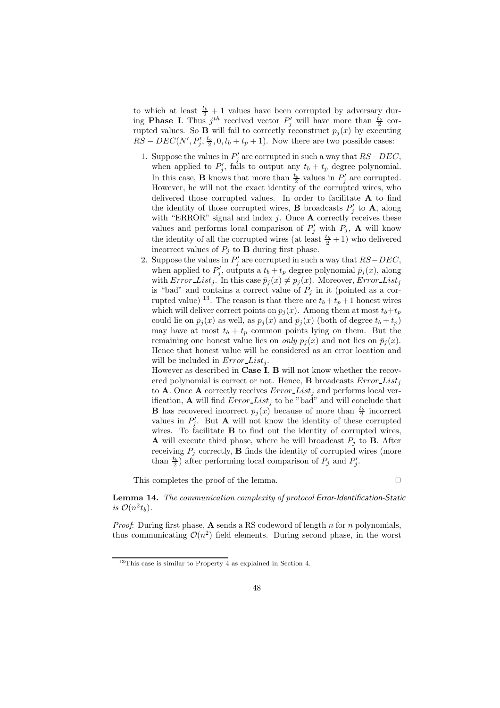to which at least  $\frac{t_b}{2} + 1$  values have been corrupted by adversary during **Phase I**. Thus  $j^{th}$  received vector  $P'_j$  will have more than  $\frac{t_b}{2}$  corrupted values. So **B** will fail to correctly reconstruct  $p_j(x)$  by executing  $RS - DEC(N', P'_j, \frac{t_b}{2}, 0, t_b + t_p + 1)$ . Now there are two possible cases:

- 1. Suppose the values in  $P'_j$  are corrupted in such a way that  $RS-DEC$ , when applied to  $P'_j$ , fails to output any  $t_b + t_p$  degree polynomial. In this case, **B** knows that more than  $\frac{t_b}{2}$  values in  $P'_j$  are corrupted. However, he will not the exact identity of the corrupted wires, who delivered those corrupted values. In order to facilitate A to find the identity of those corrupted wires, **B** broadcasts  $P'_j$  to **A**, along with "ERROR" signal and index  $j$ . Once **A** correctly receives these values and performs local comparison of  $P'_j$  with  $P_j$ , **A** will know the identity of all the corrupted wires (at least  $\frac{t_b}{2} + 1$ ) who delivered incorrect values of  $P_j$  to **B** during first phase.
- 2. Suppose the values in  $P'_j$  are corrupted in such a way that  $RS-DEC$ , when applied to  $P'_j$ , outputs a  $t_b + t_p$  degree polynomial  $\bar{p}_j(x)$ , along with  $Error\_List_j$ . In this case  $\bar{p}_j(x) \neq p_j(x)$ . Moreover,  $Error\_List_j$ is "bad" and contains a correct value of  $P_j$  in it (pointed as a corrupted value) <sup>13</sup>. The reason is that there are  $t_b + t_p + 1$  honest wires which will deliver correct points on  $p_j(x)$ . Among them at most  $t_b+t_p$ could lie on  $\bar{p}_j(x)$  as well, as  $p_j(x)$  and  $\bar{p}_j(x)$  (both of degree  $t_b + t_p$ ) may have at most  $t_b + t_p$  common points lying on them. But the remaining one honest value lies on *only*  $p_i(x)$  and not lies on  $\bar{p}_i(x)$ . Hence that honest value will be considered as an error location and will be included in  $Error\_List_i$ .

However as described in Case I, B will not know whether the recovered polynomial is correct or not. Hence, **B** broadcasts  $Error\_List_i$ to **A**. Once **A** correctly receives  $Error\_List_i$  and performs local verification, **A** will find  $Error\_List_j$  to be "bad" and will conclude that **B** has recovered incorrect  $p_j(x)$  because of more than  $\frac{t_b}{2}$  incorrect values in  $P'_j$ . But **A** will not know the identity of these corrupted wires. To facilitate **B** to find out the identity of corrupted wires, **A** will execute third phase, where he will broadcast  $P_j$  to **B**. After receiving  $P_j$  correctly, **B** finds the identity of corrupted wires (more than  $\frac{t_b}{2}$ ) after performing local comparison of  $P_j$  and  $P'_j$ .

This completes the proof of the lemma.  $\Box$ 

Lemma 14. *The communication complexity of protocol* Error-Identification-Static *is*  $\mathcal{O}(n^2 t_b)$ *.* 

*Proof*: During first phase, **A** sends a RS codeword of length n for n polynomials, thus communicating  $\mathcal{O}(n^2)$  field elements. During second phase, in the worst

<sup>13</sup>This case is similar to Property 4 as explained in Section 4.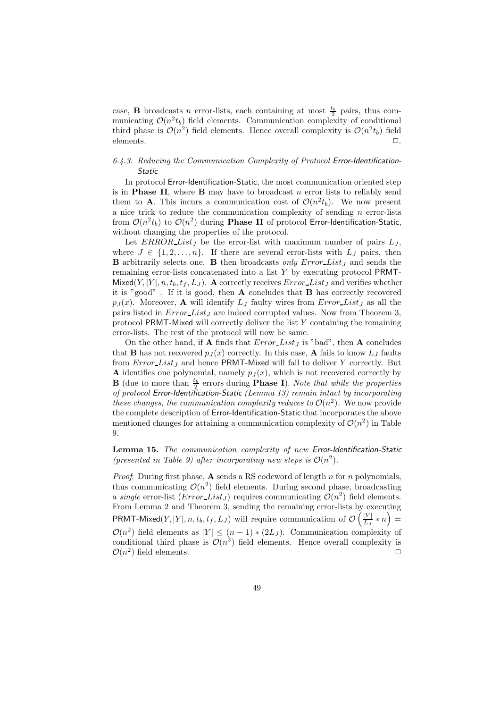case, **B** broadcasts *n* error-lists, each containing at most  $\frac{t_b}{2}$  pairs, thus communicating  $\mathcal{O}(n^2 t_b)$  field elements. Communication complexity of conditional third phase is  $\mathcal{O}(n^2)$  field elements. Hence overall complexity is  $\mathcal{O}(n^2 t_b)$  field elements.  $\square$ .

## *6.4.3. Reducing the Communication Complexity of Protocol* Error-Identification-Static

In protocol Error-Identification-Static, the most communication oriented step is in **Phase II**, where **B** may have to broadcast  $n$  error lists to reliably send them to **A**. This incurs a communication cost of  $\mathcal{O}(n^2 t_b)$ . We now present a nice trick to reduce the communication complexity of sending  $n$  error-lists from  $\mathcal{O}(n^2 t_b)$  to  $\mathcal{O}(n^2)$  during **Phase II** of protocol Error-Identification-Static, without changing the properties of the protocol.

Let  $ERROR\_List_J$  be the error-list with maximum number of pairs  $L_J$ , where  $J \in \{1, 2, ..., n\}$ . If there are several error-lists with  $L_J$  pairs, then **B** arbitrarily selects one. **B** then broadcasts *only* Error List<sub>I</sub> and sends the remaining error-lists concatenated into a list Y by executing protocol PRMT-Mixed $(Y, |Y|, n, t_b, t_f, L_J)$ . A correctly receives  $Error\_List_J$  and verifies whether it is "good" . If it is good, then A concludes that B has correctly recovered  $p_J(x)$ . Moreover, **A** will identify  $L_J$  faulty wires from Error List<sub>J</sub> as all the pairs listed in  $Error\_List_J$  are indeed corrupted values. Now from Theorem 3, protocol PRMT-Mixed will correctly deliver the list  $Y$  containing the remaining error-lists. The rest of the protocol will now be same.

On the other hand, if **A** finds that  $Error\_List_J$  is "bad", then **A** concludes that **B** has not recovered  $p_J(x)$  correctly. In this case, **A** fails to know  $L_J$  faults from  $Error\_List_J$  and hence PRMT-Mixed will fail to deliver Y correctly. But A identifies one polynomial, namely  $p_J(x)$ , which is not recovered correctly by  $\mathbf{B}$  (due to more than  $\frac{t_b}{2}$  errors during **Phase I**). *Note that while the properties of protocol* Error-Identification-Static *(Lemma 13) remain intact by incorporating these changes, the communication complexity reduces to*  $\mathcal{O}(n^2)$ . We now provide the complete description of Error-Identification-Static that incorporates the above mentioned changes for attaining a communication complexity of  $\mathcal{O}(n^2)$  in Table 9.

Lemma 15. *The communication complexity of new* Error-Identification-Static *(presented in Table 9) after incorporating new steps is*  $\mathcal{O}(n^2)$ *.* 

*Proof*: During first phase, **A** sends a RS codeword of length n for n polynomials, thus communicating  $\mathcal{O}(n^2)$  field elements. During second phase, broadcasting a *single* error-list  $(Error\_List_J)$  requires communicating  $O(n^2)$  field elements. From Lemma 2 and Theorem 3, sending the remaining error-lists by executing PRMT-Mixed $(Y, |Y|, n, t_b, t_f, L_J)$  will require communication of  $\mathcal{O}\left(\frac{|Y|}{L_J}\right)$  $\frac{|Y|}{L_J} * n =$  $\mathcal{O}(n^2)$  field elements as  $|Y| \leq (n-1) * (2L_J)$ . Communication complexity of conditional third phase is  $\mathcal{O}(n^2)$  field elements. Hence overall complexity is  $\mathcal{O}(n^2)$  field elements.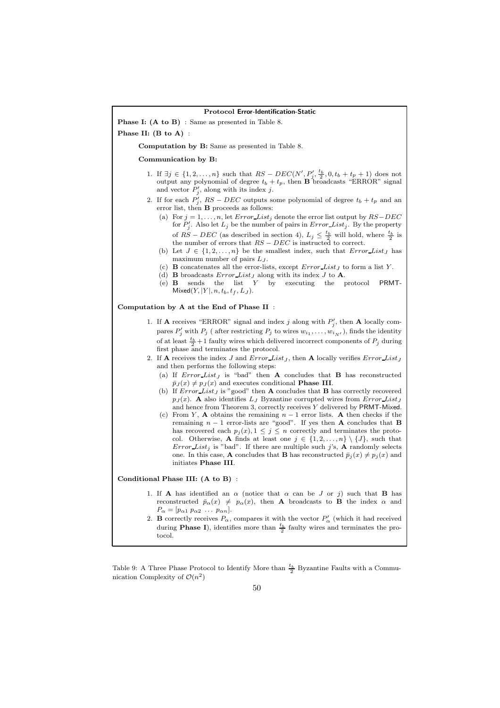#### Protocol Error-Identification-Static

Phase I: (A to B) : Same as presented in Table 8.

Phase II: (B to A) :

Computation by B: Same as presented in Table 8.

#### Communication by B:

- 1. If  $\exists j \in \{1, 2, ..., n\}$  such that  $RS DEC(N', \underline{P'_j}, \frac{t_b}{2}, 0, t_b + t_p + 1)$  does not output any polynomial of degree  $t_b + t_p$ , then **B** broadcasts "ERROR" signal and vector  $P'_j$ , along with its index j.
- 2. If for each  $P'_j$ ,  $RS DEC$  outputs some polynomial of degree  $t_b + t_p$  and an error list, then B proceeds as follows:
	- (a) For  $j = 1, \ldots, n$ , let  $Error\_List_j$  denote the error list output by  $RS-DEC$ for  $P'_j$ . Also let  $L_j$  be the number of pairs in  $Error\_List_j$ . By the property of RS – DEC (as described in section 4),  $L_j \leq \frac{t_b}{2}$  will hold, where  $\frac{t_b}{2}$  is the number of errors that  $RS - DEC$  is instructed to correct.
	- (b) Let  $J \in \{1, 2, ..., n\}$  be the smallest index, such that  $Error\_List_J$  has maximum number of pairs  $L_J$ .
	- (c) **B** concatenates all the error-lists, except  $Error$  List<sub>I</sub> to form a list Y.
	-
	- (d) **B** broadcasts  $Error\_List_J$  along with its index J to **A**.<br>(e) **B** sends the list Y by executing the p by executing the protocol PRMT- $Mixed(Y, |Y|, n, t_b, t_f, L_J).$

### Computation by A at the End of Phase II :

- 1. If **A** receives "ERROR" signal and index j along with  $P'_j$ , then **A** locally compares  $P'_j$  with  $P_j$  (after restricting  $P_j$  to wires  $w_{i_1}, \ldots, w_{i_{N'}}$ ), finds the identity of at least  $\frac{t_b}{2} + 1$  faulty wires which delivered incorrect components of  $P_j$  during first phase and terminates the protocol.
- 2. If **A** receives the index  $J$  and  $Error\_List_J$ , then **A** locally verifies  $Error\_List_J$ and then performs the following steps:
	- (a) If  $Error\_List_J$  is "bad" then **A** concludes that **B** has reconstructed  $\bar{p}_J(x) \neq p_J(x)$  and executes conditional **Phase III**.
	- (b) If  $Error\_List_J$  is "good" then A concludes that B has correctly recovered  $p_J(x)$ . A also identifies  $L_J$  Byzantine corrupted wires from Error List<sub>J</sub> and hence from Theorem 3, correctly receives Y delivered by PRMT-Mixed.
	- (c) From Y, **A** obtains the remaining  $n-1$  error lists. **A** then checks if the remaining  $n - 1$  error-lists are "good". If yes then **A** concludes that **B** has recovered each  $p_j(x)$ ,  $1 \leq j \leq n$  correctly and terminates the protocol. Otherwise, **A** finds at least one  $j \in \{1, 2, ..., n\} \setminus \{J\}$ , such that Error List<sub>j</sub> is "bad". If there are multiple such j's, **A** randomly selects one. In this case, **A** concludes that **B** has reconstructed  $\bar{p}_j(x) \neq p_j(x)$  and initiates Phase III.

#### Conditional Phase III: (A to B) :

- 1. If **A** has identified an  $\alpha$  (notice that  $\alpha$  can be J or j) such that **B** has reconstructed  $\bar{p}_{\alpha}(x) \neq p_{\alpha}(x)$ , then **A** broadcasts to **B** the index  $\alpha$  and  $P_{\alpha} = [p_{\alpha 1} p_{\alpha 2} \dots p_{\alpha n}].$
- 2. **B** correctly receives  $P_{\alpha}$ , compares it with the vector  $P'_{\alpha}$  (which it had received during **Phase I**), identifies more than  $\frac{t_b}{2}$  faulty wires and terminates the protocol.

Table 9: A Three Phase Protocol to Identify More than  $\frac{t_b}{2}$  Byzantine Faults with a Communication Complexity of  $\mathcal{O}(n^2)$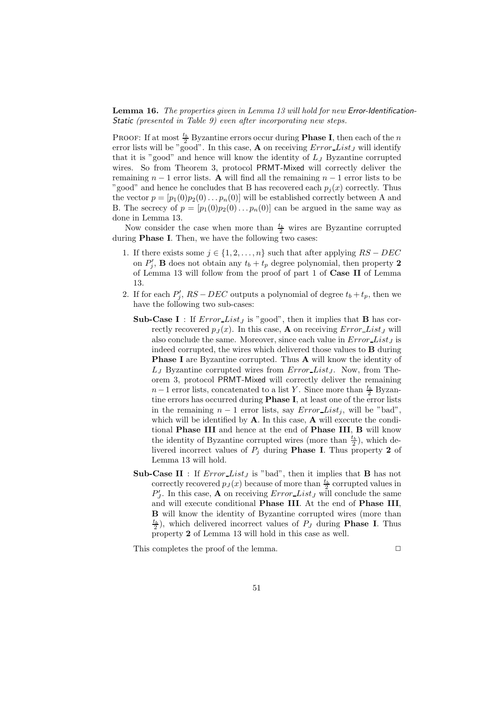Lemma 16. *The properties given in Lemma 13 will hold for new* Error-Identification-Static *(presented in Table 9) even after incorporating new steps.*

**PROOF:** If at most  $\frac{t_b}{2}$  Byzantine errors occur during **Phase I**, then each of the *n* error lists will be "good". In this case, **A** on receiving  $Error\_List_J$  will identify that it is "good" and hence will know the identity of  $L<sub>J</sub>$  Byzantine corrupted wires. So from Theorem 3, protocol PRMT-Mixed will correctly deliver the remaining  $n-1$  error lists. A will find all the remaining  $n-1$  error lists to be "good" and hence he concludes that B has recovered each  $p_i(x)$  correctly. Thus the vector  $p = [p_1(0)p_2(0)...p_n(0)]$  will be established correctly between A and B. The secrecy of  $p = [p_1(0)p_2(0)...p_n(0)]$  can be argued in the same way as done in Lemma 13.

Now consider the case when more than  $\frac{t_b}{2}$  wires are Byzantine corrupted during Phase I. Then, we have the following two cases:

- 1. If there exists some  $j \in \{1, 2, ..., n\}$  such that after applying  $RS DEC$ on  $P'_j$ , **B** does not obtain any  $t_b + t_p$  degree polynomial, then property 2 of Lemma 13 will follow from the proof of part 1 of Case II of Lemma 13.
- 2. If for each  $P'_j$ ,  $RS DEC$  outputs a polynomial of degree  $t_b + t_p$ , then we have the following two sub-cases:
	- Sub-Case I : If  $Error\_List_J$  is "good", then it implies that **B** has correctly recovered  $p_J(x)$ . In this case, **A** on receiving *Error\_List<sub>J</sub>* will also conclude the same. Moreover, since each value in  $Error\_List_J$  is indeed corrupted, the wires which delivered those values to B during Phase I are Byzantine corrupted. Thus **A** will know the identity of  $L_J$  Byzantine corrupted wires from  $Error\_List_J$ . Now, from Theorem 3, protocol PRMT-Mixed will correctly deliver the remaining  $n-1$  error lists, concatenated to a list Y. Since more than  $\frac{t_b}{2}$  Byzantine errors has occurred during Phase I, at least one of the error lists in the remaining  $n-1$  error lists, say *Error List<sub>i</sub>*, will be "bad". which will be identified by  $A$ . In this case,  $A$  will execute the conditional Phase III and hence at the end of Phase III, B will know the identity of Byzantine corrupted wires (more than  $\frac{t_b}{2}$ ), which delivered incorrect values of  $P_j$  during **Phase I**. Thus property 2 of Lemma 13 will hold.
	- Sub-Case II : If  $Error\_List_J$  is "bad", then it implies that **B** has not correctly recovered  $p_J(x)$  because of more than  $\frac{t_b}{2}$  corrupted values in  $P'_J$ . In this case, **A** on receiving  $Error\_List_J$  will conclude the same and will execute conditional Phase III. At the end of Phase III, B will know the identity of Byzantine corrupted wires (more than  $\frac{t_b}{2}$ ), which delivered incorrect values of  $P_J$  during **Phase I**. Thus property 2 of Lemma 13 will hold in this case as well.

This completes the proof of the lemma.  $\Box$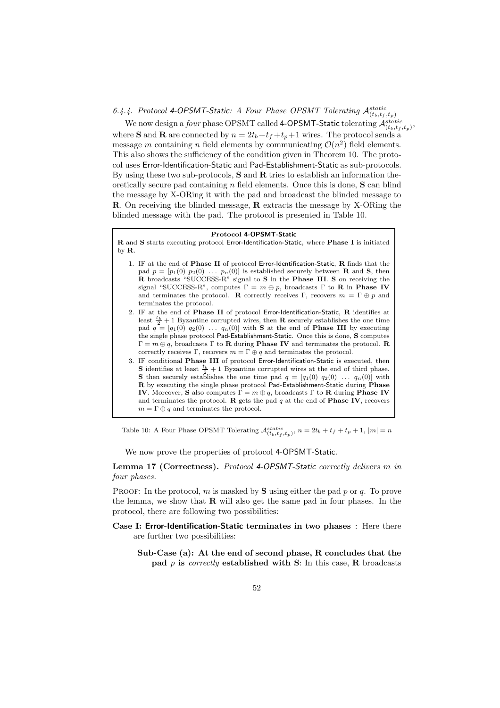# 6.4.4. Protocol 4-OPSMT-Static: A Four Phase OPSMT Tolerating  $\mathcal{A}_{(t_b,t_f,t_p)}^{static}$

We now design a *four* phase OPSMT called 4-OPSMT-Static tolerating  $\mathcal{A}^{static}_{(t_b,t_f,t_p)},$ where **S** and **R** are connected by  $n = 2t_b + t_f + t_p + 1$  wires. The protocol sends a message m containing n field elements by communicating  $\mathcal{O}(n^2)$  field elements. This also shows the sufficiency of the condition given in Theorem 10. The protocol uses Error-Identification-Static and Pad-Establishment-Static as sub-protocols. By using these two sub-protocols, S and R tries to establish an information theoretically secure pad containing  $n$  field elements. Once this is done,  $S$  can blind the message by X-ORing it with the pad and broadcast the blinded message to R. On receiving the blinded message, R extracts the message by X-ORing the blinded message with the pad. The protocol is presented in Table 10.

### Protocol 4-OPSMT-Static

R and S starts executing protocol Error-Identification-Static, where Phase I is initiated by R.

- 1. IF at the end of Phase II of protocol Error-Identification-Static, R finds that the pad  $p = [p_1(0) p_2(0) \dots p_n(0)]$  is established securely between **R** and **S**, then R broadcasts "SUCCESS-R" signal to S in the Phase III. S on receiving the signal "SUCCESS-R", computes  $\Gamma = m \oplus p$ , broadcasts  $\Gamma$  to **R** in **Phase IV** and terminates the protocol. R correctly receives  $\Gamma$ , recovers  $m = \Gamma \oplus p$  and terminates the protocol.
- 2. IF at the end of Phase II of protocol Error-Identification-Static, R identifies at least  $\frac{t_b}{2} + 1$  Byzantine corrupted wires, then **R** securely establishes the one time pad  $q = [q_1(0) q_2(0) \dots q_n(0)]$  with **S** at the end of **Phase III** by executing the single phase protocol Pad-Establishment-Static. Once this is done, S computes  $\Gamma = m \oplus q$ , broadcasts  $\Gamma$  to **R** during **Phase IV** and terminates the protocol. **R** correctly receives Γ, recovers  $m = \Gamma \oplus q$  and terminates the protocol.
- 3. IF conditional Phase III of protocol Error-Identification-Static is executed, then **S** identifies at least  $\frac{t_b}{2} + 1$  Byzantine corrupted wires at the end of third phase. **S** then securely establishes the one time pad  $q = [q_1(0) q_2(0) \ldots q_n(0)]$  with R by executing the single phase protocol Pad-Establishment-Static during Phase IV. Moreover, S also computes  $\Gamma = m \oplus q$ , broadcasts  $\Gamma$  to R during Phase IV and terminates the protocol. R gets the pad  $q$  at the end of **Phase IV**, recovers  $m = \Gamma \oplus q$  and terminates the protocol.

Table 10: A Four Phase OPSMT Tolerating  $\mathcal{A}_{(t_b,t_f,t_p)}^{static}$ ,  $n = 2t_b + t_f + t_p + 1$ ,  $|m| = n$ 

We now prove the properties of protocol 4-OPSMT-Static.

Lemma 17 (Correctness). *Protocol* 4-OPSMT-Static *correctly delivers* m *in four phases.*

PROOF: In the protocol, m is masked by  $S$  using either the pad p or q. To prove the lemma, we show that  **will also get the same pad in four phases. In the** protocol, there are following two possibilities:

Case I: Error-Identification-Static terminates in two phases : Here there are further two possibilities:

Sub-Case (a): At the end of second phase, R concludes that the pad p is *correctly* established with S: In this case, R broadcasts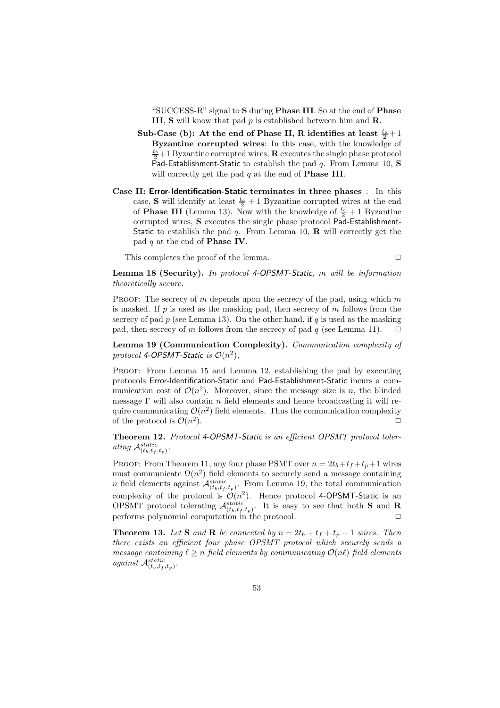"SUCCESS-R" signal to S during Phase III. So at the end of Phase **III, S** will know that pad  $p$  is established between him and **R**.

- Sub-Case (b): At the end of Phase II, R identifies at least  $\frac{t_b}{2} + 1$ Byzantine corrupted wires: In this case, with the knowledge of  $\frac{t_b}{2}+1$  Byzantine corrupted wires, **R** executes the single phase protocol Pad-Establishment-Static to establish the pad  $q$ . From Lemma 10, S will correctly get the pad  $q$  at the end of **Phase III**.
- Case II: Error-Identification-Static terminates in three phases : In this case, **S** will identify at least  $\frac{t_b}{2} + 1$  Byzantine corrupted wires at the end of **Phase III** (Lemma 13). Now with the knowledge of  $\frac{t_b}{2} + 1$  Byzantine corrupted wires, S executes the single phase protocol Pad-Establishment-Static to establish the pad q. From Lemma 10,  $\bf{R}$  will correctly get the pad  $q$  at the end of **Phase IV**.

This completes the proof of the lemma.

$$
\Box
$$

Lemma 18 (Security). *In protocol* 4-OPSMT-Static*,* m *will be information theoretically secure.*

PROOF: The secrecy of  $m$  depends upon the secrecy of the pad, using which  $m$ is masked. If  $p$  is used as the masking pad, then secrecy of  $m$  follows from the secrecy of pad  $p$  (see Lemma 13). On the other hand, if  $q$  is used as the masking pad, then secrecy of m follows from the secrecy of pad q (see Lemma 11).  $\Box$ 

Lemma 19 (Communication Complexity). *Communication complexity of* protocol 4-OPSMT-Static is  $\mathcal{O}(n^2)$ .

Proof: From Lemma 15 and Lemma 12, establishing the pad by executing protocols Error-Identification-Static and Pad-Establishment-Static incurs a communication cost of  $\mathcal{O}(n^2)$ . Moreover, since the message size is n, the blinded message  $\Gamma$  will also contain n field elements and hence broadcasting it will require communicating  $\mathcal{O}(n^2)$  field elements. Thus the communication complexity of the protocol is  $\mathcal{O}(n^2)$ ).  $\Box$ 

Theorem 12. *Protocol* 4-OPSMT-Static *is an efficient OPSMT protocol toler*ating  $\mathcal{A}_{(t_b,t_f,t_p)}^{static}$ .

PROOF: From Theorem 11, any four phase PSMT over  $n = 2t_b + t_f + t_p + 1$  wires must communicate  $\Omega(n^2)$  field elements to securely send a message containing *n* field elements against  $\mathcal{A}_{(t_b,t_f,t_p)}^{static}$ . From Lemma 19, the total communication complexity of the protocol is  $\mathcal{O}(n^2)$ . Hence protocol 4-OPSMT-Static is an OPSMT protocol tolerating  $\mathcal{A}_{(t_b,t_f,t_p)}^{static}$ . It is easy to see that both **S** and **R** performs polynomial computation in the protocol.

**Theorem 13.** Let **S** and **R** be connected by  $n = 2t_b + t_f + t_p + 1$  wires. Then *there exists an efficient four phase OPSMT protocol which securely sends a message containing*  $\ell \geq n$  *field elements by communicating*  $\mathcal{O}(n\ell)$  *field elements*  $against \mathcal{A}_{(t_b,t_f,t_p)}^{static}$ .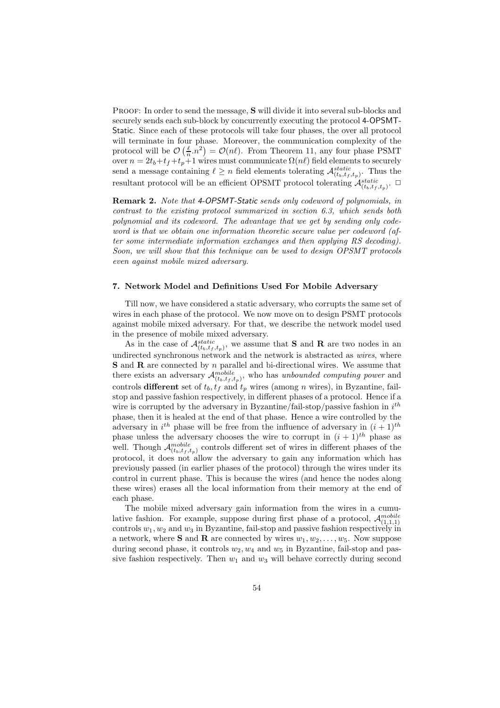PROOF: In order to send the message, S will divide it into several sub-blocks and securely sends each sub-block by concurrently executing the protocol 4-OPSMT-Static. Since each of these protocols will take four phases, the over all protocol will terminate in four phase. Moreover, the communication complexity of the protocol will be  $\mathcal{O}\left(\frac{\ell}{n} \cdot n^2\right) = \mathcal{O}(n\ell)$ . From Theorem 11, any four phase PSMT over  $n = 2t_b+t_f+t_p+1$  wires must communicate  $\Omega(n\ell)$  field elements to securely send a message containing  $\ell \geq n$  field elements tolerating  $\mathcal{A}_{(t_b,t_f,t_p)}^{static}$ . Thus the resultant protocol will be an efficient OPSMT protocol tolerating  $\mathcal{A}_{(t_b,t_f,t_p)}^{static}$ .

Remark 2. *Note that* 4-OPSMT-Static *sends only codeword of polynomials, in contrast to the existing protocol summarized in section 6.3, which sends both polynomial and its codeword. The advantage that we get by sending only codeword is that we obtain one information theoretic secure value per codeword (after some intermediate information exchanges and then applying RS decoding). Soon, we will show that this technique can be used to design OPSMT protocols even against mobile mixed adversary.*

#### 7. Network Model and Definitions Used For Mobile Adversary

Till now, we have considered a static adversary, who corrupts the same set of wires in each phase of the protocol. We now move on to design PSMT protocols against mobile mixed adversary. For that, we describe the network model used in the presence of mobile mixed adversary.

As in the case of  $\mathcal{A}_{(t_b,t_f,t_p)}^{static}$ , we assume that **S** and **R** are two nodes in an undirected synchronous network and the network is abstracted as *wires*, where S and R are connected by n parallel and bi-directional wires. We assume that there exists an adversary  $\mathcal{A}_{(t_b,t_f,t_p)}^{mobile}$ , who has *unbounded computing power* and controls different set of  $t_b$ ,  $t_f$  and  $t_p$  wires (among n wires), in Byzantine, failstop and passive fashion respectively, in different phases of a protocol. Hence if a wire is corrupted by the adversary in Byzantine/fail-stop/passive fashion in  $i^{th}$ phase, then it is healed at the end of that phase. Hence a wire controlled by the adversary in  $i^{th}$  phase will be free from the influence of adversary in  $(i + 1)^{th}$ phase unless the adversary chooses the wire to corrupt in  $(i + 1)$ <sup>th</sup> phase as well. Though  $\mathcal{A}_{(t_b,t_f,t_p)}^{mobile}$  controls different set of wires in different phases of the protocol, it does not allow the adversary to gain any information which has previously passed (in earlier phases of the protocol) through the wires under its control in current phase. This is because the wires (and hence the nodes along these wires) erases all the local information from their memory at the end of each phase.

The mobile mixed adversary gain information from the wires in a cumulative fashion. For example, suppose during first phase of a protocol,  $\mathcal{A}_{(1,1,1)}^{mobile}$ controls  $w_1, w_2$  and  $w_3$  in Byzantine, fail-stop and passive fashion respectively in a network, where **S** and **R** are connected by wires  $w_1, w_2, \ldots, w_5$ . Now suppose during second phase, it controls  $w_2, w_4$  and  $w_5$  in Byzantine, fail-stop and passive fashion respectively. Then  $w_1$  and  $w_3$  will behave correctly during second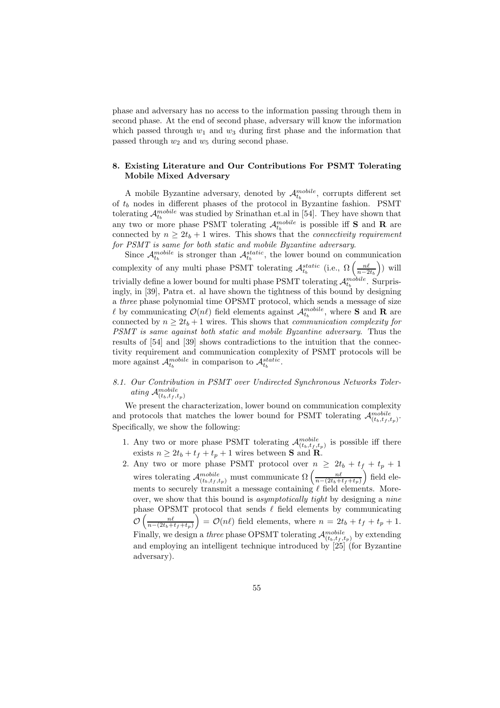phase and adversary has no access to the information passing through them in second phase. At the end of second phase, adversary will know the information which passed through  $w_1$  and  $w_3$  during first phase and the information that passed through  $w_2$  and  $w_5$  during second phase.

### 8. Existing Literature and Our Contributions For PSMT Tolerating Mobile Mixed Adversary

A mobile Byzantine adversary, denoted by  $\mathcal{A}_{t_b}^{mobile}$ , corrupts different set of  $t_b$  nodes in different phases of the protocol in Byzantine fashion. PSMT tolerating  $\mathcal{A}_{t_b}^{mobile}$  was studied by Srinathan et.al in [54]. They have shown that any two or more phase PSMT tolerating  $\mathcal{A}_{t_b}^{mobile}$  is possible iff **S** and **R** are connected by  $n \geq 2t_b + 1$  wires. This shows that the *connectivity requirement for PSMT is same for both static and mobile Byzantine adversary*.

Since  $\mathcal{A}_{t_b}^{mobile}$  is stronger than  $\mathcal{A}_{t_b}^{static}$ , the lower bound on communication complexity of any multi phase PSMT tolerating  $\mathcal{A}_{t_b}^{static}$  (i.e.,  $\Omega\left(\frac{n\ell}{n-2t_b}\right)$ ) will trivially define a lower bound for multi phase PSMT tolerating  $\mathcal{A}_{t_b}^{mobile}$ . Surprisingly, in [39], Patra et. al have shown the tightness of this bound by designing a *three* phase polynomial time OPSMT protocol, which sends a message of size  $\ell$  by communicating  $\mathcal{O}(n\ell)$  field elements against  $\mathcal{A}_{t_b}^{mobile}$ , where **S** and **R** are connected by  $n \geq 2t_b + 1$  wires. This shows that *communication complexity for PSMT is same against both static and mobile Byzantine adversary*. Thus the results of [54] and [39] shows contradictions to the intuition that the connectivity requirement and communication complexity of PSMT protocols will be more against  $\mathcal{A}_{t_b}^{mobile}$  in comparison to  $\mathcal{A}_{t_b}^{static}$ .

# *8.1. Our Contribution in PSMT over Undirected Synchronous Networks Toler*ating  $\mathcal{A}_{(t_b,t_f,t_p)}^{mobile}$

We present the characterization, lower bound on communication complexity and protocols that matches the lower bound for PSMT tolerating  $\mathcal{A}^{mobile}_{(t_b,t_f,t_p)}$ . Specifically, we show the following:

- 1. Any two or more phase PSMT tolerating  $\mathcal{A}_{(t_b,t_f,t_p)}^{mobile}$  is possible iff there exists  $n \geq 2t_b + t_f + t_p + 1$  wires between **S** and **R**.
- 2. Any two or more phase PSMT protocol over  $n \geq 2t_b + t_f + t_p + 1$ wires tolerating  $\mathcal{A}_{(t_b,t_f,t_p)}^{mobile}$  must communicate  $\Omega\left(\frac{n\ell}{n-(2t_b+t_f+t_p)}\right)$  field elements to securely transmit a message containing  $\ell$  field elements. Moreover, we show that this bound is *asymptotically tight* by designing a *nine* phase OPSMT protocol that sends  $\ell$  field elements by communicating  $\mathcal{O}\left(\frac{n\ell}{n-(2t_b+t_f+t_p)}\right) = \mathcal{O}(n\ell)$  field elements, where  $n = 2t_b + t_f + t_p + 1$ . Finally, we design a *three* phase OPSMT tolerating  $\mathcal{A}_{(t_b,t_f,t_p)}^{mobile}$  by extending and employing an intelligent technique introduced by [25] (for Byzantine adversary).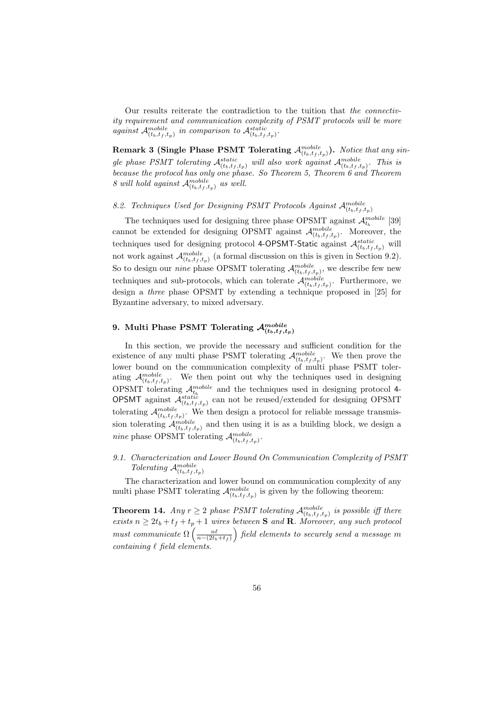Our results reiterate the contradiction to the tuition that *the connectivity requirement and communication complexity of PSMT protocols will be more against*  $\mathcal{A}_{(t_b,t_f,t_p)}^{mobile}$  *in comparison to*  $\mathcal{A}_{(t_b,t_f,t_p)}^{static}$ .

Remark 3 (Single Phase PSMT Tolerating  $\mathcal{A}^{mobile}_{(t_b,t_f,t_p)}$ ). *Notice that any sin*gle phase PSMT tolerating  $\mathcal{A}_{(t_b,t_f,t_p)}^{static}$  will also work against  $\mathcal{A}_{(t_b,t_f,t_p)}^{mobile}$ . This is *because the protocol has only one phase. So Theorem 5, Theorem 6 and Theorem 8 will hold against*  $\mathcal{A}_{(t_b,t_f,t_p)}^{mobile}$  *as well.* 

8.2. Techniques Used for Designing PSMT Protocols Against  $\mathcal{A}_{(t_b,t_f,t_p)}^{mobile}$ 

The techniques used for designing three phase OPSMT against  $\mathcal{A}^{mobile}_{t_b}$  [39] cannot be extended for designing OPSMT against  $\mathcal{A}_{(t_b,t_f,t_p)}^{mobile}$ . Moreover, the techniques used for designing protocol 4-OPSMT-Static against  $\mathcal{A}_{(t_b,t_f,t_p)}^{static}$  will not work against  $\mathcal{A}_{(t_b,t_f,t_p)}^{mobile}$  (a formal discussion on this is given in Section 9.2). So to design our *nine* phase OPSMT tolerating  $\mathcal{A}_{(t_b,t_f,t_p)}^{mobile}$ , we describe few new techniques and sub-protocols, which can tolerate  $\mathcal{A}^{\textit{mobile}}_{(t_b, t_f, t_p)}$ . Furthermore, we design a *three* phase OPSMT by extending a technique proposed in [25] for Byzantine adversary, to mixed adversary.

# 9. Multi Phase PSMT Tolerating  $\mathcal{A}^{mobile}_{(t_b,t_f,t_p)}$

In this section, we provide the necessary and sufficient condition for the existence of any multi phase PSMT tolerating  $\mathcal{A}_{(t_b,t_f,t_p)}^{mobile}$ . We then prove the lower bound on the communication complexity of multi phase PSMT tolerating  $\mathcal{A}_{(t_b,t_f,t_p)}^{mobile}$ . We then point out why the techniques used in designing OPSMT tolerating  $\mathcal{A}_{t_b}^{mobile}$  and the techniques used in designing protocol 4-**OPSMT** against  $\mathcal{A}_{(t_b,t_f,t_p)}^{static}$  can not be reused/extended for designing OPSMT tolerating  $\mathcal{A}_{(t_b,t_f,t_p)}^{mobile}$ . We then design a protocol for reliable message transmission tolerating  $\mathcal{A}_{(t_b,t_f,t_p)}^{mobile}$  and then using it is as a building block, we design a *nine* phase OPSMT tolerating  $\mathcal{A}_{(t_b,t_f,t_p)}^{mobile}$ .

# *9.1. Characterization and Lower Bound On Communication Complexity of PSMT Tolerating*  $\mathcal{A}_{(t_b,t_f,t_p)}^{mobile}$

The characterization and lower bound on communication complexity of any multi phase PSMT tolerating  $\mathcal{A}_{(t_b,t_f,t_p)}^{mobile}$  is given by the following theorem:

**Theorem 14.** *Any*  $r \geq 2$  *phase PSMT tolerating*  $\mathcal{A}_{(t_b,t_f,t_p)}^{mobile}$  *is possible iff there*  $exists n \geq 2t_b + t_f + t_p + 1$  *wires between* **S** *and* **R***. Moreover, any such protocol must communicate*  $\Omega\left(\frac{n\ell}{n-(2t_b+t_f)}\right)$  *field elements to securely send a message* m *containing* ℓ *field elements.*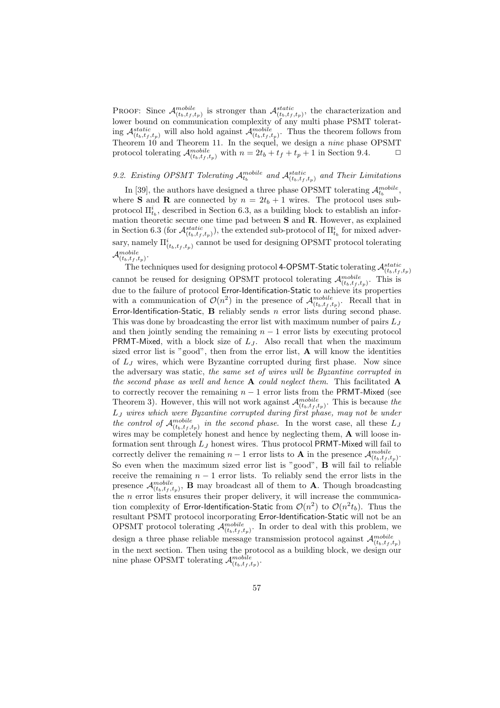PROOF: Since  $\mathcal{A}_{(t_b,t_f,t_p)}^{mobile}$  is stronger than  $\mathcal{A}_{(t_b,t_f,t_p)}^{static}$ , the characterization and lower bound on communication complexity of any multi phase PSMT tolerating  $\mathcal{A}_{(t_b,t_f,t_p)}^{static}$  will also hold against  $\mathcal{A}_{(t_b,t_f,t_p)}^{mobile}$ . Thus the theorem follows from Theorem 10 and Theorem 11. In the sequel, we design a *nine* phase OPSMT protocol tolerating  $\mathcal{A}_{(t_b,t_f,t_p)}^{mobile}$  with  $n = 2t_b + t_f + t_p + 1$  in Section 9.4.  $\Box$ 

# 9.2. Existing OPSMT Tolerating  $\mathcal{A}_{t_b}^{mobile}$  and  $\mathcal{A}_{(t_b, t_f, t_p)}^{static}$  and Their Limitations

In [39], the authors have designed a three phase OPSMT tolerating  $\mathcal{A}_{t_b}^{mobile}$ , where **S** and **R** are connected by  $n = 2t_b + 1$  wires. The protocol uses subprotocol  $\Pi_{t_b}^i$ , described in Section 6.3, as a building block to establish an information theoretic secure one time pad between S and R. However, as explained in Section 6.3 (for  $\mathcal{A}_{(t_b,t_f,t_p)}^{static}$ ), the extended sub-protocol of  $\Pi_{t_b}^{i}$  for mixed adversary, namely  $\Pi_{(t_b,t_f,t_p)}^i$  cannot be used for designing OPSMT protocol tolerating  $\mathcal{A}_{(t_b,t_f,t_p)}^{mobile}.$ 

The techniques used for designing protocol 4-OPSMT-Static tolerating  $\mathcal{A}_{(t_b,t_f,t_p)}^{static}$ cannot be reused for designing OPSMT protocol tolerating  $\mathcal{A}_{(t_b,t_f,t_p)}^{mobile}$ . This is due to the failure of protocol Error-Identification-Static to achieve its properties with a communication of  $\mathcal{O}(n^2)$  in the presence of  $\mathcal{A}_{(t_b,t_f,t_p)}^{mobile}$ . Recall that in Error-Identification-Static, B reliably sends n error lists during second phase. This was done by broadcasting the error list with maximum number of pairs  $L_J$ and then jointly sending the remaining  $n - 1$  error lists by executing protocol **PRMT-Mixed,** with a block size of  $L<sub>J</sub>$ . Also recall that when the maximum sized error list is "good", then from the error list, A will know the identities of  $L_J$  wires, which were Byzantine corrupted during first phase. Now since the adversary was static, *the same set of wires will be Byzantine corrupted in the second phase as well and hence* A *could neglect them*. This facilitated A to correctly recover the remaining  $n - 1$  error lists from the PRMT-Mixed (see Theorem 3). However, this will not work against  $\mathcal{A}_{(t_b,t_f,t_p)}^{mobile}$ . This is because the L<sup>J</sup> *wires which were Byzantine corrupted during first phase, may not be under* the control of  $\mathcal{A}_{(t_b,t_f,t_p)}^{mobile}$  in the second phase. In the worst case, all these  $L_J$ wires may be completely honest and hence by neglecting them, A will loose information sent through  $L_J$  honest wires. Thus protocol PRMT-Mixed will fail to correctly deliver the remaining  $n-1$  error lists to **A** in the presence  $\mathcal{A}_{(t_b,t_f,t_p)}^{mobile}$ . So even when the maximum sized error list is "good", B will fail to reliable receive the remaining  $n - 1$  error lists. To reliably send the error lists in the presence  $\mathcal{A}_{(t_b,t_f,t_p)}^{mobile}$ , **B** may broadcast all of them to **A**. Though broadcasting the  $n$  error lists ensures their proper delivery, it will increase the communication complexity of Error-Identification-Static from  $\mathcal{O}(n^2)$  to  $\mathcal{O}(n^2 t_b)$ . Thus the resultant PSMT protocol incorporating Error-Identification-Static will not be an OPSMT protocol tolerating  $\mathcal{A}_{(t_b,t_f,t_p)}^{mobile}$ . In order to deal with this problem, we design a three phase reliable message transmission protocol against  $\mathcal{A}^{\textit{mobile}}_{(t_b, t_f, t_p)}$ in the next section. Then using the protocol as a building block, we design our nine phase OPSMT tolerating  $\mathcal{A}_{(t_b,t_f,t_p)}^{mobile}$ .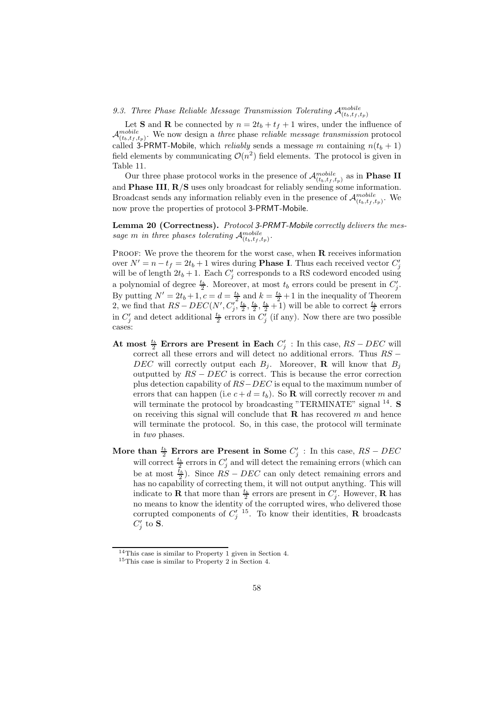9.3. Three Phase Reliable Message Transmission Tolerating  $\mathcal{A}_{(t_b,t_f,t_p)}^{mobile}$ 

Let **S** and **R** be connected by  $n = 2t_b + t_f + 1$  wires, under the influence of  $\mathcal{A}_{(t_b,t_f,t_p)}^{mobile}$ . We now design a *three* phase *reliable message transmission* protocol called 3-PRMT-Mobile, which *reliably* sends a message m containing  $n(t_b + 1)$ field elements by communicating  $\mathcal{O}(n^2)$  field elements. The protocol is given in Table 11.

Our three phase protocol works in the presence of  $\mathcal{A}^{{mobile}}_{(t_b,t_f,t_p)}$  as in **Phase II** and Phase III, R/S uses only broadcast for reliably sending some information. Broadcast sends any information reliably even in the presence of  $\mathcal{A}_{(t_b,t_f,t_p)}^{mobile}$ . We now prove the properties of protocol 3-PRMT-Mobile.

Lemma 20 (Correctness). *Protocol* 3-PRMT-Mobile *correctly delivers the mes*sage *m* in three phases tolerating  $\mathcal{A}_{(t_b,t_f,t_p)}^{mobile}$ .

PROOF: We prove the theorem for the worst case, when  $\bf{R}$  receives information over  $N' = n - t_f = 2t_b + 1$  wires during **Phase I**. Thus each received vector  $C'_j$ will be of length  $2t_b + 1$ . Each  $C'_j$  corresponds to a RS codeword encoded using a polynomial of degree  $\frac{t_b}{2}$ . Moreover, at most  $t_b$  errors could be present in  $C'_j$ . By putting  $N' = 2t_b + 1, c = d = \frac{t_b}{2}$  and  $k = \frac{t_b}{2} + 1$  in the inequality of Theorem 2, we find that  $RS - DEC(N', C'_j, \frac{t_b}{2}, \frac{t_b}{2}, \frac{t_b}{2} + 1)$  will be able to correct  $\frac{t_b}{2}$  errors in  $C'_j$  and detect additional  $\frac{t_b}{2}$  errors in  $C'_j$  (if any). Now there are two possible cases:

- At most  $\frac{t_b}{2}$  Errors are Present in Each  $C'_j$ : In this case,  $RS DEC$  will correct all these errors and will detect no additional errors. Thus RS − DEC will correctly output each  $B_j$ . Moreover, **R** will know that  $B_j$ outputted by  $RS - DEC$  is correct. This is because the error correction plus detection capability of  $RS-DEC$  is equal to the maximum number of errors that can happen (i.e  $c + d = t_b$ ). So **R** will correctly recover m and will terminate the protocol by broadcasting "TERMINATE" signal  $^{14}$ . S on receiving this signal will conclude that  $\bf{R}$  has recovered m and hence will terminate the protocol. So, in this case, the protocol will terminate in *two* phases.
- More than  $\frac{t_b}{2}$  Errors are Present in Some  $C'_j$ : In this case,  $RS DEC$ will correct  $\frac{t_b}{2}$  errors in  $C'_j$  and will detect the remaining errors (which can be at most  $\frac{t_b}{2}$ ). Since  $RS - DEC$  can only detect remaining errors and has no capability of correcting them, it will not output anything. This will indicate to **R** that more than  $\frac{t_b}{2}$  errors are present in  $C'_j$ . However, **R** has no means to know the identity of the corrupted wires, who delivered those corrupted components of  $C_j^{\prime}$  <sup>15</sup>. To know their identities, **R** broadcasts  $C_j'$  to  $S$ .

<sup>14</sup>This case is similar to Property 1 given in Section 4.

<sup>15</sup>This case is similar to Property 2 in Section 4.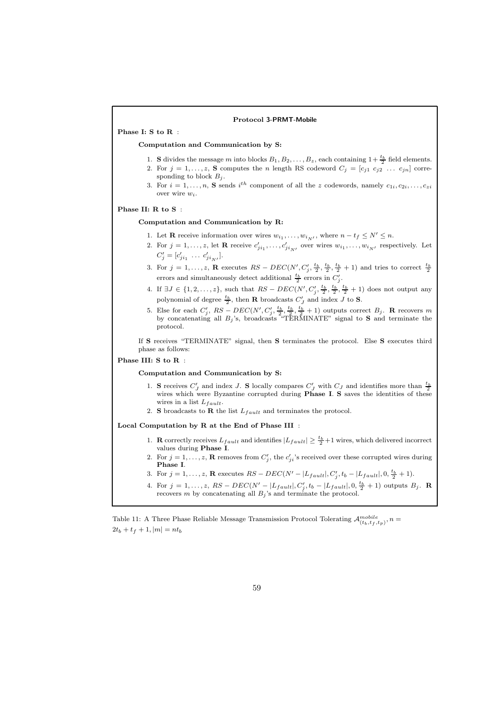#### Protocol 3-PRMT-Mobile

Phase I: S to R :

#### Computation and Communication by S:

- 1. **S** divides the message m into blocks  $B_1, B_2, \ldots, B_z$ , each containing  $1 + \frac{t_b}{2}$  field elements.
- 2. For  $j = 1, \ldots, z$ , S computes the n length RS codeword  $C_j = [c_{j1} \ c_{j2} \ \ldots \ c_{jn}]$  corresponding to block  $B_j$ .
- 3. For  $i = 1, \ldots, n$ , S sends  $i^{th}$  component of all the z codewords, namely  $c_{1i}, c_{2i}, \ldots, c_{zi}$ over wire  $w_i$ .

#### Phase II: R to S :

#### Computation and Communication by R:

- 1. Let **R** receive information over wires  $w_{i_1}, \ldots, w_{i_N}$ , where  $n t_f \leq N' \leq n$ .
- 2. For  $j = 1, ..., z$ , let **R** receive  $c'_{ji_1}, ..., c'_{ji_{N'}}$  over wires  $w_{i_1}, ..., w_{i_{N'}}$  respectively. Let  $C'_{j} = [c'_{ji_1} \dots c'_{ji_{N'}}].$
- 3. For  $j = 1, ..., z$ , **R** executes  $RS DEC(N', C'_j, \frac{t_b}{2}, \frac{t_b}{2}, \frac{t_b}{2} + 1)$  and tries to correct  $\frac{t_b}{2}$  errors and simultaneously detect additional  $\frac{t_b}{2}$  errors in  $C'_j$ .
- 4. If  $\exists J \in \{1, 2, ..., z\}$ , such that  $RS DEC(N', C'_j, \frac{t_b}{2}, \frac{t_b}{2}, \frac{t_b}{2} + 1)$  does not output any polynomial of degree  $\frac{t_b}{2}$ , then **R** broadcasts  $C'_J$  and index J to **S**.
- 5. Else for each  $C'_j$ ,  $RS DEC(N', C'_j, \frac{t_b}{2}, \frac{t_b}{2}, \frac{t_b}{2} + 1)$  outputs correct  $B_j$ . **R** recovers m by concatenating all  $B_j$ 's, broadcasts "TERMINATE" signal to **S** and terminate the protocol.

If S receives "TERMINATE" signal, then S terminates the protocol. Else S executes third phase as follows:

### Phase III: S to R :

#### Computation and Communication by S:

- 1. S receives  $C'_J$  and index J. S locally compares  $C'_J$  with  $C_J$  and identifies more than  $\frac{t_b}{2}$ wires which were Byzantine corrupted during **Phase I. S** saves the identities of these wires in a list  $L_{fault}$ .
- 2. S broadcasts to R the list  $L_{fault}$  and terminates the protocol.

Local Computation by R at the End of Phase III :

- 1. **R** correctly receives  $L_{fault}$  and identifies  $|L_{fault}| \geq \frac{t_b}{2} + 1$  wires, which delivered incorrect values during Phase I.
- 2. For  $j = 1, \ldots, z$ , R removes from  $C'_j$ , the  $c'_{ji}$ 's received over these corrupted wires during Phase I.
- 3. For  $j = 1, ..., z$ , **R** executes  $RS DEC(N' |L_{fault}|, C'_{j}, t_b |L_{fault}|, 0, \frac{t_b}{2} + 1)$ .
- 4. For  $j = 1, ..., z$ ,  $RS DEC(N' |L_{fault}|, C'_{j}, t_b |L_{fault}|, 0, \frac{t_b}{2} + 1)$  outputs  $B_j$ . **R** recovers m by concatenating all  $B_j$ 's and terminate the protocol.

Table 11: A Three Phase Reliable Message Transmission Protocol Tolerating  $\mathcal{A}^{mobile}_{(t_b,t_f,t_p)}, n =$  $2t_b + t_f + 1, |m| = nt_b$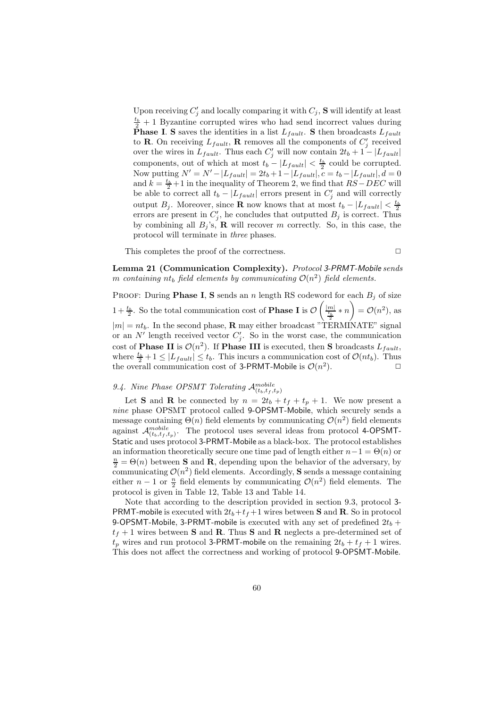Upon receiving  $C'_j$  and locally comparing it with  $C_j$ , **S** will identify at least  $\frac{t_b}{2}$  + 1 Byzantine corrupted wires who had send incorrect values during **Phase I. S** saves the identities in a list  $L_{fault}$ . S then broadcasts  $L_{fault}$ to **R**. On receiving  $L_{fault}$ , **R** removes all the components of  $C'_{j}$  received over the wires in  $L_{fault}$ . Thus each  $C'_{j}$  will now contain  $2t_b + 1 - |L_{fault}|$ components, out of which at most  $t_b - |L_{fault}| < \frac{t_b}{2}$  could be corrupted. Now putting  $N' = N' - |L_{fault}| = 2t_b + 1 - |L_{fault}|, c = t_b - |L_{fault}|, d = 0$ and  $k = \frac{t_b}{2} + 1$  in the inequality of Theorem 2, we find that  $RS - DEC$  will be able to correct all  $t_b - |L_{fault}|$  errors present in  $C'_j$  and will correctly output  $B_j$ . Moreover, since **R** now knows that at most  $t_b - |L_{fault}| < \frac{t_b}{2}$ errors are present in  $C'_j$ , he concludes that outputted  $B_j$  is correct. Thus by combining all  $B_i$ 's, R will recover m correctly. So, in this case, the protocol will terminate in *three* phases.

This completes the proof of the correctness.  $\Box$ 

Lemma 21 (Communication Complexity). *Protocol* 3-PRMT-Mobile *sends*  $m$  *containing*  $nt_b$  *field elements by communicating*  $\mathcal{O}(n^2)$  *field elements.* 

PROOF: During **Phase I, S** sends an n length RS codeword for each  $B_j$  of size  $1 + \frac{t_b}{2}$ . So the total communication cost of **Phase I** is  $\mathcal{O}\left(\frac{|m|}{\frac{t_b}{2}} * n\right) = \mathcal{O}(n^2)$ , as  $|m| = nt_b$ . In the second phase, **R** may either broadcast "TERMINATE" signal or an N' length received vector  $C'_j$ . So in the worst case, the communication cost of **Phase II** is  $\mathcal{O}(n^2)$ . If **Phase III** is executed, then **S** broadcasts  $L_{fault}$ , where  $\frac{t_b}{2} + 1 \leq |L_{fault}| \leq t_b$ . This incurs a communication cost of  $\mathcal{O}(nt_b)$ . Thus the overall communication cost of 3-PRMT-Mobile is  $\mathcal{O}(n^2)$ ).  $\qquad \qquad \Box$ 

# 9.4. Nine Phase OPSMT Tolerating  $\mathcal{A}_{(t_b,t_f,t_p)}^{mobile}$

Let **S** and **R** be connected by  $n = 2t_b + t_f + t_p + 1$ . We now present a *nine* phase OPSMT protocol called 9-OPSMT-Mobile, which securely sends a message containing  $\Theta(n)$  field elements by communicating  $\mathcal{O}(n^2)$  field elements against  $\mathcal{A}^{mobile}_{(t_b,t_f,t_p)}$ . The protocol uses several ideas from protocol 4-OPSMT-Static and uses protocol 3-PRMT-Mobile as a black-box. The protocol establishes an information theoretically secure one time pad of length either  $n-1 = \Theta(n)$  or  $\frac{n}{2} = \Theta(n)$  between **S** and **R**, depending upon the behavior of the adversary, by communicating  $\mathcal{O}(n^2)$  field elements. Accordingly, S sends a message containing either  $n-1$  or  $\frac{n}{2}$  field elements by communicating  $\mathcal{O}(n^2)$  field elements. The protocol is given in Table 12, Table 13 and Table 14.

Note that according to the description provided in section 9.3, protocol 3- **PRMT-mobile** is executed with  $2t_b+t_f+1$  wires between **S** and **R**. So in protocol 9-OPSMT-Mobile, 3-PRMT-mobile is executed with any set of predefined  $2t_b$  +  $t_f + 1$  wires between **S** and **R**. Thus **S** and **R** neglects a pre-determined set of  $t_p$  wires and run protocol 3-PRMT-mobile on the remaining  $2t_b + t_f + 1$  wires. This does not affect the correctness and working of protocol 9-OPSMT-Mobile.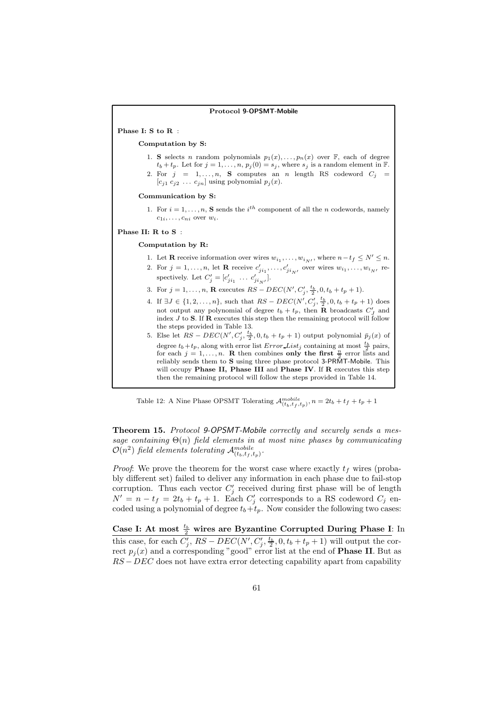#### Protocol 9-OPSMT-Mobile

Phase I: S to R :

Computation by S:

1. S selects n random polynomials  $p_1(x), \ldots, p_n(x)$  over  $\mathbb{F}$ , each of degree  $t_b + t_p$ . Let for  $j = 1, \ldots, n$ ,  $p_j(0) = s_j$ , where  $s_j$  is a random element in  $\mathbb{F}$ . 2. For  $j = 1, \ldots, n$ , S computes an n length RS codeword  $C_j =$  $[c_{j1} c_{j2} \ldots c_{jn}]$  using polynomial  $p_j(x)$ .

#### Communication by S:

1. For  $i = 1, \ldots, n$ , **S** sends the  $i^{th}$  component of all the *n* codewords, namely  $c_{1i}, \ldots, c_{ni}$  over  $w_i$ .

#### Phase II: R to S :

#### Computation by R:

- 1. Let **R** receive information over wires  $w_{i_1}, \ldots, w_{i_{N'}}$ , where  $n t_f \le N' \le n$ .
- 2. For  $j = 1, \ldots, n$ , let **R** receive  $c'_{ji_1}, \ldots, c'_{ji_{N'}}$  over wires  $w_{i_1}, \ldots, w_{i_{N'}}$  respectively. Let  $C'_{j} = [c'_{ji_1} \dots c'_{ji_N}].$
- 3. For  $j = 1, ..., n$ , **R** executes  $RS DEC(N', C'_j, \frac{t_b}{2}, 0, t_b + t_p + 1)$ .
- 4. If  $\exists J \in \{1, 2, ..., n\}$ , such that  $RS DEC(N', C'_{j}, \frac{t_b}{2}, 0, t_b + t_p + 1)$  does not output any polynomial of degree  $t_b + t_p$ , then **R** broadcasts  $C'_J$  and index  $J$  to  $S$ . If  $\mathbf{R}$  executes this step then the remaining protocol will follow the steps provided in Table 13.
- 5. Else let  $RS DEC(N', C'_j, \frac{t_b}{2}, 0, t_b + t_p + 1)$  output polynomial  $\bar{p}_j(x)$  of degree  $t_b + t_p$ , along with error list  $Error\_List_j$  containing at most  $\frac{t_b}{2}$  pairs, for each  $j = 1, \ldots, n$ . R then combines only the first  $\frac{n}{2}$  error lists and reliably sends them to **S** using three phase protocol 3-PRMT-Mobile. This will occupy Phase II, Phase III and Phase IV. If R executes this step then the remaining protocol will follow the steps provided in Table 14.

Table 12: A Nine Phase OPSMT Tolerating  $\mathcal{A}^{mobile}_{(t_b,t_f,t_p)}, n = 2t_b + t_f + t_p + 1$ 

Theorem 15. *Protocol* 9-OPSMT-Mobile *correctly and securely sends a message containing* Θ(n) *field elements in at most nine phases by communicating*  $\mathcal{O}(n^2)$  field elements tolerating  $\mathcal{A}^{mobile}_{(t_b,t_f,t_p)}$ .

*Proof*: We prove the theorem for the worst case where exactly  $t_f$  wires (probably different set) failed to deliver any information in each phase due to fail-stop corruption. Thus each vector  $C'_{j}$  received during first phase will be of length  $N' = n - t_f = 2t_b + t_p + 1$ . Each  $C'_j$  corresponds to a RS codeword  $C_j$  encoded using a polynomial of degree  $t_b+t_p$ . Now consider the following two cases:

Case I: At most  $\frac{t_b}{2}$  wires are Byzantine Corrupted During Phase I: In this case, for each  $C'_j$ ,  $RS - DEC(N', C'_j, \frac{t_b}{2}, 0, t_b + t_p + 1)$  will output the correct  $p_j(x)$  and a corresponding "good" error list at the end of **Phase II**. But as  $RS - DEC$  does not have extra error detecting capability apart from capability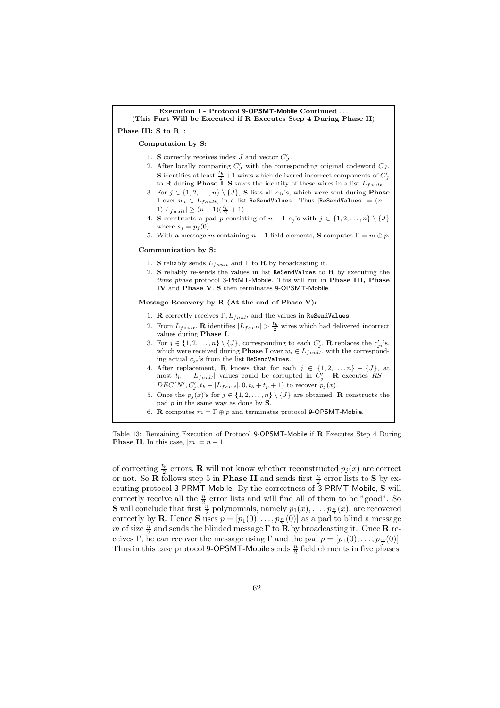| Execution I - Protocol 9-OPSMT-Mobile Continued<br>(This Part Will be Executed if R Executes Step 4 During Phase II)                                                                                                                                                                                                                                  |
|-------------------------------------------------------------------------------------------------------------------------------------------------------------------------------------------------------------------------------------------------------------------------------------------------------------------------------------------------------|
| Phase III: S to R:                                                                                                                                                                                                                                                                                                                                    |
| Computation by S:                                                                                                                                                                                                                                                                                                                                     |
| 1. S correctly receives index J and vector $C'_I$ .<br>2. After locally comparing $C'_J$ with the corresponding original codeword $C_J$ ,<br><b>S</b> identifies at least $\frac{t_b}{2} + 1$ wires which delivered incorrect components of $C'_J$<br>to <b>R</b> during <b>Phase I</b> . S saves the identity of these wires in a list $L_{fault}$ . |
| 3. For $j \in \{1, 2, , n\} \setminus \{J\}$ , S lists all $c_{ji}$ 's, which were sent during <b>Phase</b><br>I over $w_i \in L_{fault}$ , in a list ReSendValues. Thus ReSendValues $  = (n -$<br>$1) L_{fault}  \geq (n-1)(\frac{t_b}{2}+1).$                                                                                                      |
| 4. S constructs a pad p consisting of $n-1$ $s_j$ 's with $j \in \{1, 2, , n\} \setminus \{J\}$<br>where $s_j = p_j(0)$ .                                                                                                                                                                                                                             |
| 5. With a message m containing $n-1$ field elements, <b>S</b> computes $\Gamma = m \oplus p$ .                                                                                                                                                                                                                                                        |
| Communication by S:                                                                                                                                                                                                                                                                                                                                   |
| 1. S reliably sends $L_{fault}$ and $\Gamma$ to R by broadcasting it.<br>2. S reliably re-sends the values in list ReSendValues to $R$ by executing the<br><i>three phase</i> protocol 3-PRMT-Mobile. This will run in <b>Phase III</b> , <b>Phase</b><br>IV and Phase V. S then terminates 9-OPSMT-Mobile.                                           |
| Message Recovery by R $($ At the end of Phase V $)$ :                                                                                                                                                                                                                                                                                                 |
| 1. <b>R</b> correctly receives $\Gamma$ , $L_{fault}$ and the values in ReSendValues.                                                                                                                                                                                                                                                                 |
| 2. From $L_{fault}$ , <b>R</b> identifies $ L_{fault}  > \frac{t_b}{2}$ wires which had delivered incorrect<br>values during <b>Phase I</b> .                                                                                                                                                                                                         |
| 3. For $j \in \{1, 2, , n\} \setminus \{J\}$ , corresponding to each $C'_j$ , <b>R</b> replaces the $c'_{ji}$ 's,<br>which were received during <b>Phase I</b> over $w_i \in L_{fault}$ , with the correspond-<br>ing actual $c_{ji}$ 's from the list ReSendValues.                                                                                  |
| 4. After replacement, <b>R</b> knows that for each $j \in \{1, 2, , n\} - \{J\}$ , at<br>most $t_b -  L_{fault} $ values could be corrupted in $C'_j$ . <b>R</b> executes RS –<br>$DEC(N', C'_{j}, t_{b} -  L_{fault} , 0, t_{b} + t_{p} + 1)$ to recover $p_{j}(x)$ .                                                                                |
| 5. Once the $p_j(x)$ 's for $j \in \{1, 2, , n\} \setminus \{J\}$ are obtained, <b>R</b> constructs the<br>pad $p$ in the same way as done by $S$ .                                                                                                                                                                                                   |
| 6. R computes $m = \Gamma \oplus p$ and terminates protocol 9-OPSMT-Mobile.                                                                                                                                                                                                                                                                           |

Table 13: Remaining Execution of Protocol 9-OPSMT-Mobile if R Executes Step 4 During **Phase II**. In this case,  $|m| = n - 1$ 

of correcting  $\frac{t_b}{2}$  errors, **R** will not know whether reconstructed  $p_j(x)$  are correct or not. So **R** follows step 5 in **Phase II** and sends first  $\frac{n}{2}$  error lists to **S** by executing protocol 3-PRMT-Mobile. By the correctness of 3-PRMT-Mobile, S will correctly receive all the  $\frac{n}{2}$  error lists and will find all of them to be "good". So **S** will conclude that first  $\frac{n}{2}$  polynomials, namely  $p_1(x), \ldots, p_{\frac{n}{2}}(x)$ , are recovered correctly by **R**. Hence **S** uses  $p = [p_1(0), \ldots, p_{\frac{n}{2}}(0)]$  as a pad to blind a message m of size  $\frac{n}{2}$  and sends the blinded message  $\Gamma$  to  $\mathbf{\bar{R}}$  by broadcasting it. Once  $\mathbf{R}$  receives Γ, he can recover the message using Γ and the pad  $p = [p_1(0), \ldots, p_{\frac{n}{2}}(0)].$ Thus in this case protocol 9-OPSMT-Mobile sends  $\frac{n}{2}$  field elements in five phases.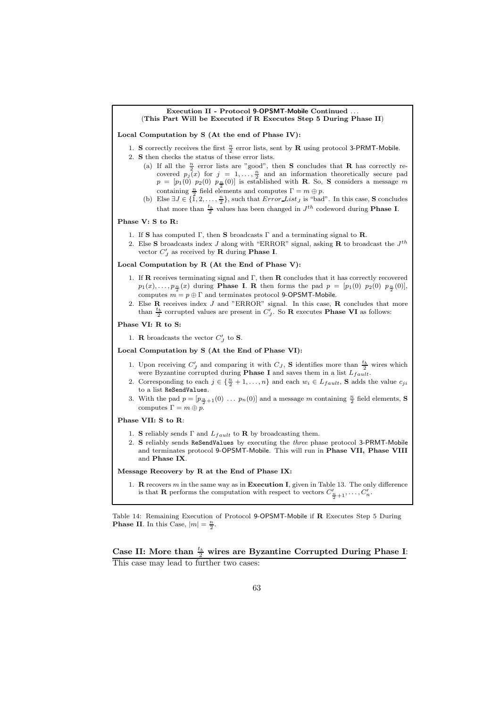#### Execution II - Protocol 9-OPSMT-Mobile Continued (This Part Will be Executed if R Executes Step 5 During Phase II)

Local Computation by S (At the end of Phase IV):

- 1. S correctly receives the first  $\frac{n}{2}$  error lists, sent by **R** using protocol 3-PRMT-Mobile.
- 2. S then checks the status of these error lists.
	- (a) If all the  $\frac{n}{2}$  error lists are "good", then **S** concludes that **R** has correctly recovered  $p_j(x)$  for  $j = 1, ..., \frac{n}{2}$  and an information theoretically secure pad  $p = [p_1(0) \ p_2(0) \ p_{\frac{n}{2}}(0)]$  is established with **R**. So, **S** considers a message m containing  $\frac{n}{2}$  field elements and computes  $\Gamma = m \oplus p$ .
	- (b) Else  $\exists J \in \{1, 2, ..., \frac{n}{2}\}$ , such that  $Error\_List_J$  is "bad". In this case, **S** concludes that more than  $\frac{t_b}{2}$  values has been changed in  $J^{th}$  codeword during **Phase I**.

#### Phase V: S to R:

- 1. If S has computed  $\Gamma$ , then S broadcasts  $\Gamma$  and a terminating signal to R.
- 2. Else S broadcasts index J along with "ERROR" signal, asking **R** to broadcast the  $J<sup>th</sup>$ vector  $C'_J$  as received by **R** during **Phase I**.

#### Local Computation by R (At the End of Phase V):

- 1. If **R** receives terminating signal and  $\Gamma$ , then **R** concludes that it has correctly recovered  $p_1(x), \ldots, p_{\frac{n}{2}}(x)$  during **Phase I. R** then forms the pad  $p = [p_1(0) \ p_2(0) \ p_{\frac{n}{2}}(0)]$ , computes  $m = p \oplus \Gamma$  and terminates protocol 9-OPSMT-Mobile.
- 2. Else  $\bf{R}$  receives index  $J$  and "ERROR" signal. In this case,  $\bf{R}$  concludes that more than  $\frac{t_b}{2}$  corrupted values are present in  $C'_J$ . So **R** executes **Phase VI** as follows:

#### Phase VI: R to S:

1. **R** broadcasts the vector  $C'_J$  to **S**.

#### Local Computation by S (At the End of Phase VI):

- 1. Upon receiving  $C'_J$  and comparing it with  $C_J$ , **S** identifies more than  $\frac{t_b}{2}$  wires which were Byzantine corrupted during **Phase I** and saves them in a list  $L_{fault}$ .
- 2. Corresponding to each  $j \in \{\frac{n}{2} + 1, \ldots, n\}$  and each  $w_i \in L_{fault}$ , S adds the value  $c_{ji}$ to a list ReSendValues.
- 3. With the pad  $p = [p_{\frac{n}{2}+1}(0) \dots p_n(0)]$  and a message m containing  $\frac{n}{2}$  field elements, **S** computes  $\Gamma = m \oplus p$ .

### Phase VII: S to R:

- 1. S reliably sends  $\Gamma$  and  $L_{fault}$  to R by broadcasting them.
- 2. S reliably sends ReSendValues by executing the three phase protocol 3-PRMT-Mobile and terminates protocol 9-OPSMT-Mobile. This will run in Phase VII, Phase VIII and Phase IX.

#### Message Recovery by R at the End of Phase IX:

1. **R** recovers  $m$  in the same way as in **Execution I**, given in Table 13. The only difference is that **R** performs the computation with respect to vectors  $C'_{\frac{n}{2}+1}, \ldots, C'_{n}$ .

Table 14: Remaining Execution of Protocol 9-OPSMT-Mobile if R Executes Step 5 During **Phase II.** In this Case,  $|m| = \frac{n}{2}$ .

Case II: More than  $\frac{t_b}{2}$  wires are Byzantine Corrupted During Phase I: This case may lead to further two cases: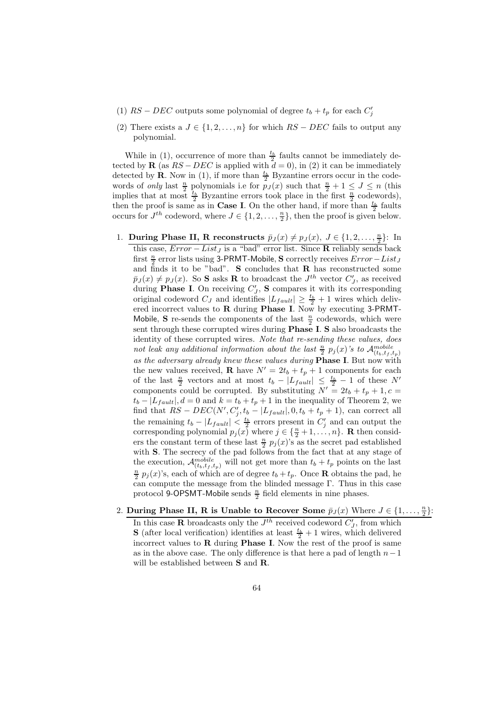- (1)  $RS DEC$  outputs some polynomial of degree  $t_b + t_p$  for each  $C'_j$
- (2) There exists a  $J \in \{1, 2, ..., n\}$  for which  $RS DEC$  fails to output any polynomial.

While in (1), occurrence of more than  $\frac{t_b}{2}$  faults cannot be immediately detected by **R** (as  $RS - DEC$  is applied with  $d = 0$ ), in (2) it can be immediately detected by **R**. Now in (1), if more than  $\frac{t_b}{2}$  Byzantine errors occur in the codewords of *only* last  $\frac{n}{2}$  polynomials i.e for  $p_J(x)$  such that  $\frac{n}{2} + 1 \leq J \leq n$  (this implies that at most  $\frac{t_b}{2}$  Byzantine errors took place in the first  $\frac{n}{2}$  codewords), then the proof is same as in **Case I**. On the other hand, if more than  $\frac{t_b}{2}$  faults occurs for  $J^{th}$  codeword, where  $J \in \{1, 2, \ldots, \frac{n}{2}\}\,$  then the proof is given below.

- 1. During Phase II, R reconstructs  $\bar{p}_J(x) \neq p_J(x), J \in \{1, 2, \ldots, \frac{n}{2}\}$ : In this case,  $Error - List_J$  is a "bad" error list. Since R reliably sends back first  $\frac{n}{2}$  error lists using 3-PRMT-Mobile, S correctly receives  $Error - List_J$ and finds it to be "bad". S concludes that  $R$  has reconstructed some  $\bar{p}_J(x) \neq p_J(x)$ . So **S** asks **R** to broadcast the  $J^{th}$  vector  $C'_J$ , as received during **Phase I**. On receiving  $C'_J$ , **S** compares it with its corresponding original codeword  $C_J$  and identifies  $|L_{fault}| \geq \frac{t_b}{2} + 1$  wires which delivered incorrect values to R during Phase I. Now by executing 3-PRMT-Mobile, S re-sends the components of the last  $\frac{n}{2}$  codewords, which were sent through these corrupted wires during Phase I. S also broadcasts the identity of these corrupted wires. *Note that re-sending these values, does* not leak any additional information about the last  $\frac{n}{2}$   $p_j(x)$ 's to  $\mathcal{A}_{(t_b,t_f,t_p)}^{mobile}$ *as the adversary already knew these values during* Phase I. But now with the new values received, **R** have  $N' = 2t_b + t_p + 1$  components for each of the last  $\frac{n}{2}$  vectors and at most  $t_b - |L_{fault}| \leq \frac{t_b}{2} - 1$  of these N' components could be corrupted. By substituting  $N' = 2t_b + t_p + 1, c =$  $t_b - |L_{fault}|$ ,  $d = 0$  and  $k = t_b + t_p + 1$  in the inequality of Theorem 2, we find that  $RS - DEC(N', C'_{j}, t_b - |L_{fault}|, 0, t_b + t_p + 1)$ , can correct all the remaining  $t_b - |L_{fault}| < \frac{t_b}{2}$  errors present in  $C'_j$  and can output the corresponding polynomial  $p_j(x)$  where  $j \in \{\frac{n}{2} + 1, \ldots, n\}$ . **R** then considers the constant term of these last  $\frac{n}{2}$   $p_j(x)$ 's as the secret pad established with **S**. The secrecy of the pad follows from the fact that at any stage of the execution,  $\mathcal{A}_{(t_b,t_f,t_p)}^{mobile}$  will not get more than  $t_b + t_p$  points on the last  $\frac{n}{2}$   $p_j(x)$ 's, each of which are of degree  $t_b + t_p$ . Once **R** obtains the pad, he can compute the message from the blinded message  $\Gamma$ . Thus in this case protocol 9-OPSMT-Mobile sends  $\frac{n}{2}$  field elements in nine phases.
- 2. During Phase II, R is Unable to Recover Some  $\bar{p}_J(x)$  Where  $J \in \{1, \ldots, \frac{n}{2}\}$ :

In this case **R** broadcasts only the  $J<sup>th</sup>$  received codeword  $C'_J$ , from which **S** (after local verification) identifies at least  $\frac{t_b}{2} + 1$  wires, which delivered incorrect values to  **during <b>Phase I**. Now the rest of the proof is same as in the above case. The only difference is that here a pad of length  $n-1$ will be established between S and R.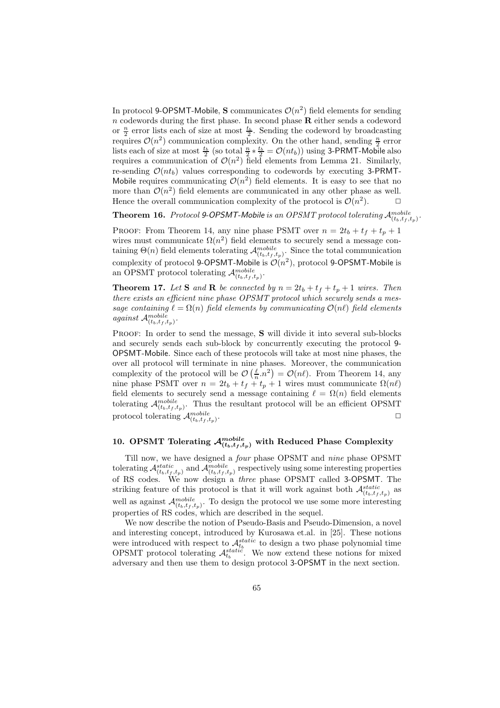In protocol 9-OPSMT-Mobile, S communicates  $\mathcal{O}(n^2)$  field elements for sending  $n$  codewords during the first phase. In second phase  **either sends a codeword** or  $\frac{n}{2}$  error lists each of size at most  $\frac{t_b}{2}$ . Sending the codeword by broadcasting requires  $\mathcal{O}(n^2)$  communication complexity. On the other hand, sending  $\frac{n}{2}$  error lists each of size at most  $\frac{t_b}{2}$  (so total  $\frac{n}{2} * \frac{t_b}{2} = \mathcal{O}(nt_b)$ ) using 3-PRMT-Mobile also requires a communication of  $\mathcal{O}(n^2)$  field elements from Lemma 21. Similarly, re-sending  $\mathcal{O}(nt_b)$  values corresponding to codewords by executing 3-PRMT-Mobile requires communicating  $\mathcal{O}(n^2)$  field elements. It is easy to see that no more than  $\mathcal{O}(n^2)$  field elements are communicated in any other phase as well. Hence the overall communication complexity of the protocol is  $\mathcal{O}(n^2)$ .

**Theorem 16.** Protocol 9-OPSMT-Mobile is an OPSMT protocol tolerating  $\mathcal{A}_{(t_b,t_f,t_p)}^{mobile}$ .

PROOF: From Theorem 14, any nine phase PSMT over  $n = 2t_b + t_f + t_p + 1$ wires must communicate  $\Omega(n^2)$  field elements to securely send a message containing  $\Theta(n)$  field elements tolerating  $\mathcal{A}_{(t_b,t_f,t_p)}^{mobile}$ . Since the total communication complexity of protocol 9-OPSMT-Mobile is  $\mathcal{O}(n^2)$ , protocol 9-OPSMT-Mobile is an OPSMT protocol tolerating  $\mathcal{A}_{(t_b,t_f,t_p)}^{mobile}$ .

**Theorem 17.** Let **S** and **R** be connected by  $n = 2t_b + t_f + t_p + 1$  wires. Then *there exists an efficient nine phase OPSMT protocol which securely sends a message containing*  $\ell = \Omega(n)$  *field elements by communicating*  $\mathcal{O}(n\ell)$  *field elements against*  $\mathcal{A}_{(t_b,t_f,t_p)}^{mobile}$ *.*

Proof: In order to send the message, S will divide it into several sub-blocks and securely sends each sub-block by concurrently executing the protocol 9- OPSMT-Mobile. Since each of these protocols will take at most nine phases, the over all protocol will terminate in nine phases. Moreover, the communication complexity of the protocol will be  $\mathcal{O}\left(\frac{\ell}{n} \cdot n^2\right) = \mathcal{O}(n\ell)$ . From Theorem 14, any nine phase PSMT over  $n = 2t_b + t_f + t_p + 1$  wires must communicate  $\Omega(n\ell)$ field elements to securely send a message containing  $\ell = \Omega(n)$  field elements tolerating  $\mathcal{A}_{(t_b,t_f,t_p)}^{mobile}$ . Thus the resultant protocol will be an efficient OPSMT protocol tolerating  $\mathcal{A}_{(t_b,t_f,t_p)}^{mobile}$ . ✷

# 10. OPSMT Tolerating  $\mathcal{A}^{mobile}_{(t_b,t_f,t_p)}$  with Reduced Phase Complexity

Till now, we have designed a *four* phase OPSMT and *nine* phase OPSMT tolerating  $\mathcal{A}_{(t_b,t_f,t_p)}^{static}$  and  $\mathcal{A}_{(t_b,t_f,t_p)}^{mobile}$  respectively using some interesting properties of RS codes. We now design a *three* phase OPSMT called 3-OPSMT. The striking feature of this protocol is that it will work against both  $\mathcal{A}^{static}_{(t, t, t, t)}$  as well as against  $\mathcal{A}_{(t_b,t_f,t_p)}^{mobile}$ . To design the protocol we use some more interesting properties of RS codes, which are described in the sequel.

We now describe the notion of Pseudo-Basis and Pseudo-Dimension, a novel and interesting concept, introduced by Kurosawa et.al. in [25]. These notions were introduced with respect to  $\mathcal{A}_{t_b}^{static}$  to design a two phase polynomial time OPSMT protocol tolerating  $\mathcal{A}_{t_b}^{static}$ . We now extend these notions for mixed adversary and then use them to design protocol 3-OPSMT in the next section.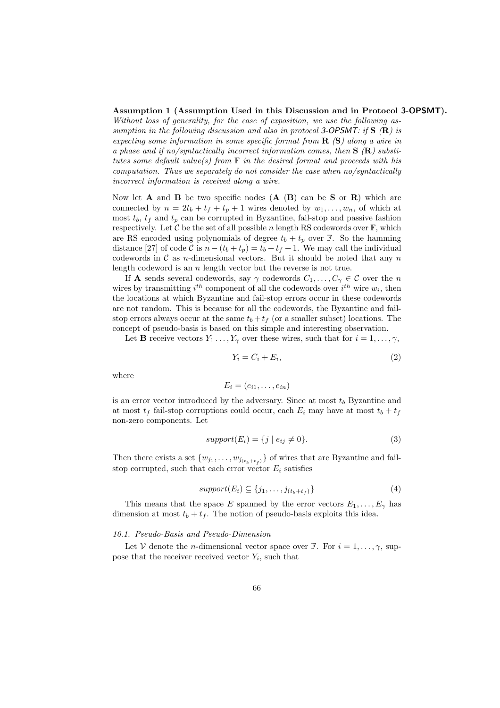#### Assumption 1 (Assumption Used in this Discussion and in Protocol 3-OPSMT).

*Without loss of generality, for the ease of exposition, we use the following assumption in the following discussion and also in protocol* 3-OPSMT*: if* S *(*R*) is expecting some information in some specific format from* R *(*S*) along a wire in a phase and if no/syntactically incorrect information comes, then* S *(*R*) substitutes some default value(s) from* F *in the desired format and proceeds with his computation. Thus we separately do not consider the case when no/syntactically incorrect information is received along a wire.*

Now let **A** and **B** be two specific nodes  $(A \ (B)$  can be **S** or **R**) which are connected by  $n = 2t_b + t_f + t_p + 1$  wires denoted by  $w_1, \ldots, w_n$ , of which at most  $t_b$ ,  $t_f$  and  $t_p$  can be corrupted in Byzantine, fail-stop and passive fashion respectively. Let  $\mathcal C$  be the set of all possible n length RS codewords over  $\mathbb F$ , which are RS encoded using polynomials of degree  $t_b + t_p$  over F. So the hamming distance [27] of code C is  $n - (t_b + t_p) = t_b + t_f + 1$ . We may call the individual codewords in  $\mathcal C$  as *n*-dimensional vectors. But it should be noted that any  $n$ length codeword is an  $n$  length vector but the reverse is not true.

If **A** sends several codewords, say  $\gamma$  codewords  $C_1, \ldots, C_{\gamma} \in \mathcal{C}$  over the n wires by transmitting  $i^{th}$  component of all the codewords over  $i^{th}$  wire  $w_i$ , then the locations at which Byzantine and fail-stop errors occur in these codewords are not random. This is because for all the codewords, the Byzantine and failstop errors always occur at the same  $t_b + t_f$  (or a smaller subset) locations. The concept of pseudo-basis is based on this simple and interesting observation.

Let **B** receive vectors  $Y_1 \ldots, Y_\gamma$  over these wires, such that for  $i = 1, \ldots, \gamma$ ,

$$
Y_i = C_i + E_i,\tag{2}
$$

where

$$
E_i = (e_{i1}, \ldots, e_{in})
$$

is an error vector introduced by the adversary. Since at most  $t_b$  Byzantine and at most  $t_f$  fail-stop corruptions could occur, each  $E_i$  may have at most  $t_b + t_f$ non-zero components. Let

$$
support(E_i) = \{j \mid e_{ij} \neq 0\}.
$$
\n
$$
(3)
$$

Then there exists a set  $\{w_{j_1}, \ldots, w_{j_{(t_b+t_f)}}\}$  of wires that are Byzantine and failstop corrupted, such that each error vector  $E_i$  satisfies

$$
support(E_i) \subseteq \{j_1, \ldots, j_{(t_b+t_f)}\} \tag{4}
$$

This means that the space E spanned by the error vectors  $E_1, \ldots, E_{\gamma}$  has dimension at most  $t_b + t_f$ . The notion of pseudo-basis exploits this idea.

#### *10.1. Pseudo-Basis and Pseudo-Dimension*

Let V denote the *n*-dimensional vector space over  $\mathbb{F}$ . For  $i = 1, \ldots, \gamma$ , suppose that the receiver received vector  $Y_i$ , such that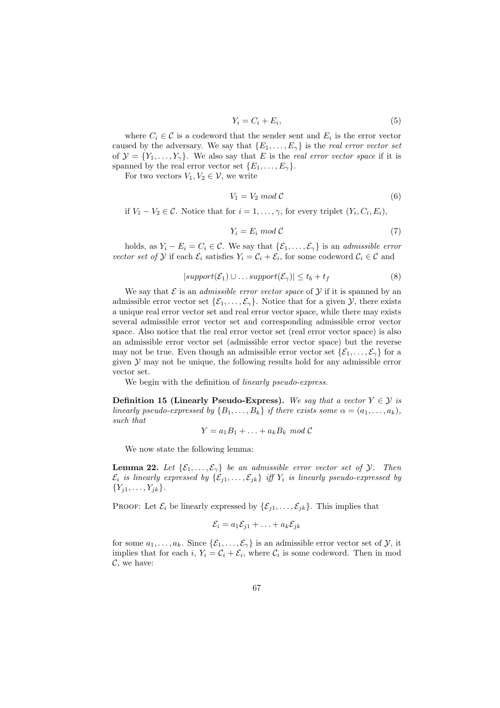$$
Y_i = C_i + E_i,\tag{5}
$$

where  $C_i \in \mathcal{C}$  is a codeword that the sender sent and  $E_i$  is the error vector caused by the adversary. We say that  $\{E_1, \ldots, E_{\gamma}\}\)$  is the *real error vector set* of  $\mathcal{Y} = \{Y_1, \ldots, Y_{\gamma}\}.$  We also say that E is the *real error vector space* if it is spanned by the real error vector set  $\{E_1, \ldots, E_{\gamma}\}.$ 

For two vectors  $V_1, V_2 \in \mathcal{V}$ , we write

$$
V_1 = V_2 \mod \mathcal{C} \tag{6}
$$

if  $V_1 - V_2 \in \mathcal{C}$ . Notice that for  $i = 1, \ldots, \gamma$ , for every triplet  $(Y_i, C_i, E_i)$ ,

$$
Y_i = E_i \mod \mathcal{C} \tag{7}
$$

holds, as  $Y_i - E_i = C_i \in \mathcal{C}$ . We say that  $\{\mathcal{E}_1, \ldots, \mathcal{E}_{\gamma}\}\$ is an *admissible error vector set of*  $Y$  if each  $\mathcal{E}_i$  satisfies  $Y_i = \mathcal{C}_i + \mathcal{E}_i$ , for some codeword  $\mathcal{C}_i \in \mathcal{C}$  and

$$
|support(\mathcal{E}_1) \cup ... support(\mathcal{E}_\gamma)| \le t_b + t_f \tag{8}
$$

We say that  $\mathcal E$  is an *admissible error vector space* of  $\mathcal Y$  if it is spanned by an admissible error vector set  $\{\mathcal{E}_1,\ldots,\mathcal{E}_\gamma\}$ . Notice that for a given  $\mathcal{Y}$ , there exists a unique real error vector set and real error vector space, while there may exists several admissible error vector set and corresponding admissible error vector space. Also notice that the real error vector set (real error vector space) is also an admissible error vector set (admissible error vector space) but the reverse may not be true. Even though an admissible error vector set  $\{\mathcal{E}_1, \ldots, \mathcal{E}_\gamma\}$  for a given  $Y$  may not be unique, the following results hold for any admissible error vector set.

We begin with the definition of *linearly pseudo-express*.

Definition 15 (Linearly Pseudo-Express). We say that a vector  $Y \in \mathcal{Y}$  is *linearly pseudo-expressed by*  $\{B_1, \ldots, B_k\}$  *if there exists some*  $\alpha = (a_1, \ldots, a_k)$ *, such that*

$$
Y = a_1 B_1 + \ldots + a_k B_k \mod \mathcal{C}
$$

We now state the following lemma:

**Lemma 22.** Let  $\{\mathcal{E}_1, \ldots, \mathcal{E}_\gamma\}$  be an admissible error vector set of  $\mathcal{Y}$ . Then  $\mathcal{E}_i$  *is linearly expressed by*  $\{\mathcal{E}_{i1}, \ldots, \mathcal{E}_{jk}\}$  *iff*  $Y_i$  *is linearly pseudo-expressed by*  ${Y_{j1}, \ldots, Y_{jk}}.$ 

PROOF: Let  $\mathcal{E}_i$  be linearly expressed by  $\{\mathcal{E}_{i1}, \ldots, \mathcal{E}_{ik}\}\$ . This implies that

$$
\mathcal{E}_i = a_1 \mathcal{E}_{j1} + \ldots + a_k \mathcal{E}_{jk}
$$

for some  $a_1, \ldots, a_k$ . Since  $\{\mathcal{E}_1, \ldots, \mathcal{E}_{\gamma}\}\$  is an admissible error vector set of  $\mathcal{Y}$ , it implies that for each i,  $Y_i = C_i + \mathcal{E}_i$ , where  $C_i$  is some codeword. Then in mod  $\mathcal{C}$ , we have: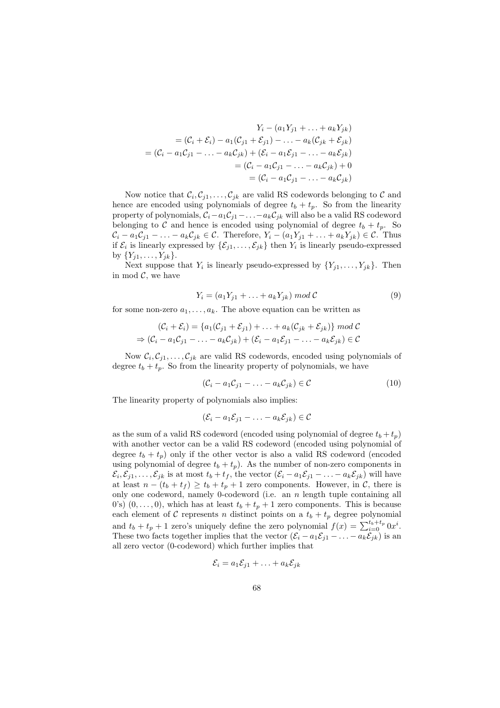$$
Y_i - (a_1 Y_{j1} + \dots + a_k Y_{jk})
$$
  
=  $(C_i + \mathcal{E}_i) - a_1(C_{j1} + \mathcal{E}_{j1}) - \dots - a_k(C_{jk} + \mathcal{E}_{jk})$   
=  $(C_i - a_1 C_{j1} - \dots - a_k C_{jk}) + (\mathcal{E}_i - a_1 \mathcal{E}_{j1} - \dots - a_k \mathcal{E}_{jk})$   
=  $(C_i - a_1 C_{j1} - \dots - a_k C_{jk}) + 0$   
=  $(C_i - a_1 C_{j1} - \dots - a_k C_{jk})$ 

Now notice that  $\mathcal{C}_i, \mathcal{C}_{j1}, \ldots, \mathcal{C}_{jk}$  are valid RS codewords belonging to  $\mathcal C$  and hence are encoded using polynomials of degree  $t_b + t_p$ . So from the linearity property of polynomials,  $C_i - a_1C_{j1} - \ldots - a_kC_{jk}$  will also be a valid RS codeword belonging to C and hence is encoded using polynomial of degree  $t_b + t_p$ . So  $\mathcal{C}_i - a_1 \mathcal{C}_{j1} - \ldots - a_k \mathcal{C}_{jk} \in \mathcal{C}$ . Therefore,  $Y_i - (a_1 Y_{j1} + \ldots + a_k Y_{jk}) \in \mathcal{C}$ . Thus if  $\mathcal{E}_i$  is linearly expressed by  $\{\mathcal{E}_{j1}, \ldots, \mathcal{E}_{jk}\}\)$  then  $Y_i$  is linearly pseudo-expressed by  $\{Y_{i1}, \ldots, Y_{ik}\}.$ 

Next suppose that  $Y_i$  is linearly pseudo-expressed by  $\{Y_{j1}, \ldots, Y_{jk}\}.$  Then in mod  $C$ , we have

$$
Y_i = (a_1 Y_{j1} + \ldots + a_k Y_{jk}) \bmod \mathcal{C}
$$
\n<sup>(9)</sup>

for some non-zero  $a_1, \ldots, a_k$ . The above equation can be written as

$$
(\mathcal{C}_i + \mathcal{E}_i) = \{a_1(\mathcal{C}_{j1} + \mathcal{E}_{j1}) + \ldots + a_k(\mathcal{C}_{jk} + \mathcal{E}_{jk})\} \mod \mathcal{C}
$$
  
\n
$$
\Rightarrow (\mathcal{C}_i - a_1\mathcal{C}_{j1} - \ldots - a_k\mathcal{C}_{jk}) + (\mathcal{E}_i - a_1\mathcal{E}_{j1} - \ldots - a_k\mathcal{E}_{jk}) \in \mathcal{C}
$$

Now  $\mathcal{C}_i, \mathcal{C}_{j1}, \ldots, \mathcal{C}_{jk}$  are valid RS codewords, encoded using polynomials of degree  $t_b + t_p$ . So from the linearity property of polynomials, we have

$$
(\mathcal{C}_i - a_1 \mathcal{C}_{j1} - \ldots - a_k \mathcal{C}_{jk}) \in \mathcal{C}
$$
\n
$$
(10)
$$

The linearity property of polynomials also implies:

$$
(\mathcal{E}_i - a_1 \mathcal{E}_{j1} - \ldots - a_k \mathcal{E}_{jk}) \in \mathcal{C}
$$

as the sum of a valid RS codeword (encoded using polynomial of degree  $t_b + t_p$ ) with another vector can be a valid RS codeword (encoded using polynomial of degree  $t_b + t_p$ ) only if the other vector is also a valid RS codeword (encoded using polynomial of degree  $t_b + t_p$ ). As the number of non-zero components in  $\mathcal{E}_i, \mathcal{E}_{j1}, \ldots, \mathcal{E}_{jk}$  is at most  $t_b + t_f$ , the vector  $(\mathcal{E}_i - a_1 \mathcal{E}_{j1} - \ldots - a_k \mathcal{E}_{jk})$  will have at least  $n - (t_b + t_f) \ge t_b + t_p + 1$  zero components. However, in C, there is only one codeword, namely 0-codeword (i.e. an  $n$  length tuple containing all 0's)  $(0, \ldots, 0)$ , which has at least  $t_b + t_p + 1$  zero components. This is because each element of C represents n distinct points on a  $t_b + t_p$  degree polynomial and  $t_b + t_p + 1$  zero's uniquely define the zero polynomial  $f(x) = \sum_{i=0}^{t_b + t_p} 0x^i$ . These two facts together implies that the vector  $(\mathcal{E}_i - a_1 \mathcal{E}_{j1} - \ldots - a_k \mathcal{E}_{jk})$  is an all zero vector (0-codeword) which further implies that

$$
\mathcal{E}_i = a_1 \mathcal{E}_{j1} + \ldots + a_k \mathcal{E}_{jk}
$$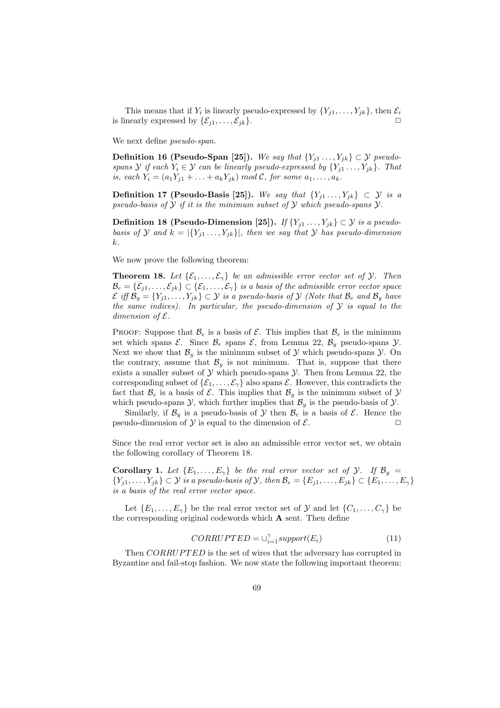This means that if  $Y_i$  is linearly pseudo-expressed by  $\{Y_{j1}, \ldots, Y_{jk}\},\$  then  $\mathcal{E}_i$ is linearly expressed by  $\{\mathcal{E}_{j1}, \ldots, \mathcal{E}_{jk}\}.$ 

We next define *pseudo-span*.

Definition 16 (Pseudo-Span [25]). *We say that*  $\{Y_{j1},...,Y_{jk}\}\subset\mathcal{Y}$  *pseudospans*  $\mathcal{Y}$  *if each*  $Y_i \in \mathcal{Y}$  *can be linearly pseudo-expressed by*  $\{Y_{j1}, \ldots, Y_{jk}\}$ *. That is, each*  $Y_i = (a_1 Y_{j1} + ... + a_k Y_{jk}) \text{ mod } C$ , for some  $a_1, ..., a_k$ .

Definition 17 (Pseudo-Basis [25]). *We say that*  ${Y_{i1},...,Y_{jk}} \subset \mathcal{Y}$  *is a pseudo-basis of* Y *if it is the minimum subset of* Y *which pseudo-spans* Y*.*

Definition 18 (Pseudo-Dimension [25]). *If*  $\{Y_{j1} \ldots, Y_{jk}\} \subset \mathcal{Y}$  *is a pseudobasis of*  $\mathcal{Y}$  *and*  $k = |{Y_{i1} \dots, Y_{ik}}|$ *, then we say that*  $\mathcal{Y}$  *has pseudo-dimension* k*.*

We now prove the following theorem:

**Theorem 18.** Let  $\{\mathcal{E}_1, \ldots, \mathcal{E}_\gamma\}$  be an admissible error vector set of  $\mathcal{Y}$ . Then  $\mathcal{B}_e = \{\mathcal{E}_{i1}, \ldots, \mathcal{E}_{jk}\} \subset \{\mathcal{E}_1, \ldots, \mathcal{E}_\gamma\}$  *is a basis of the admissible error vector space*  $\mathcal{E}$  *iff*  $\mathcal{B}_y = \{Y_{j1}, \ldots, Y_{jk}\} \subset \mathcal{Y}$  *is a pseudo-basis of*  $\mathcal{Y}$  *(Note that*  $\mathcal{B}_e$  *and*  $\mathcal{B}_y$  *have the same indices). In particular, the pseudo-dimension of* Y *is equal to the dimension of*  $\mathcal{E}$ *.* 

PROOF: Suppose that  $\mathcal{B}_e$  is a basis of  $\mathcal{E}$ . This implies that  $\mathcal{B}_e$  is the minimum set which spans  $\mathcal{E}$ . Since  $\mathcal{B}_e$  spans  $\mathcal{E}$ , from Lemma 22,  $\mathcal{B}_y$  pseudo-spans  $\mathcal{Y}$ . Next we show that  $\mathcal{B}_y$  is the minimum subset of  $\mathcal Y$  which pseudo-spans  $\mathcal Y$ . On the contrary, assume that  $\mathcal{B}_y$  is not minimum. That is, suppose that there exists a smaller subset of  $Y$  which pseudo-spans  $Y$ . Then from Lemma 22, the corresponding subset of  $\{\mathcal{E}_1,\ldots,\mathcal{E}_\gamma\}$  also spans  $\mathcal{E}$ . However, this contradicts the fact that  $\mathcal{B}_e$  is a basis of  $\mathcal{E}$ . This implies that  $\mathcal{B}_y$  is the minimum subset of  $\mathcal{Y}$ which pseudo-spans  $\mathcal{Y}$ , which further implies that  $\mathcal{B}_y$  is the pseudo-basis of  $\mathcal{Y}$ .

Similarly, if  $\mathcal{B}_y$  is a pseudo-basis of  $\mathcal Y$  then  $\mathcal{B}_e$  is a basis of  $\mathcal E$ . Hence the pseudo-dimension of  $\mathcal Y$  is equal to the dimension of  $\mathcal E$ .

Since the real error vector set is also an admissible error vector set, we obtain the following corollary of Theorem 18.

**Corollary 1.** Let  $\{E_1, \ldots, E_{\gamma}\}\$ be the real error vector set of  $\mathcal{Y}$ . If  $\mathcal{B}_y$  =  $\{Y_{j1},\ldots,Y_{jk}\}\subset\mathcal{Y}$  *is a pseudo-basis of*  $\mathcal{Y}$ *, then*  $\mathcal{B}_e=\{E_{j1},\ldots,E_{jk}\}\subset\{E_1,\ldots,E_\gamma\}$ *is a basis of the real error vector space.*

Let  $\{E_1, \ldots, E_{\gamma}\}\)$  be the real error vector set of  $\mathcal Y$  and let  $\{C_1, \ldots, C_{\gamma}\}\)$ the corresponding original codewords which A sent. Then define

$$
CORRUPTED = \cup_{i=1}^{\gamma} support(E_i)
$$
\n(11)

Then CORRUPTED is the set of wires that the adversary has corrupted in Byzantine and fail-stop fashion. We now state the following important theorem: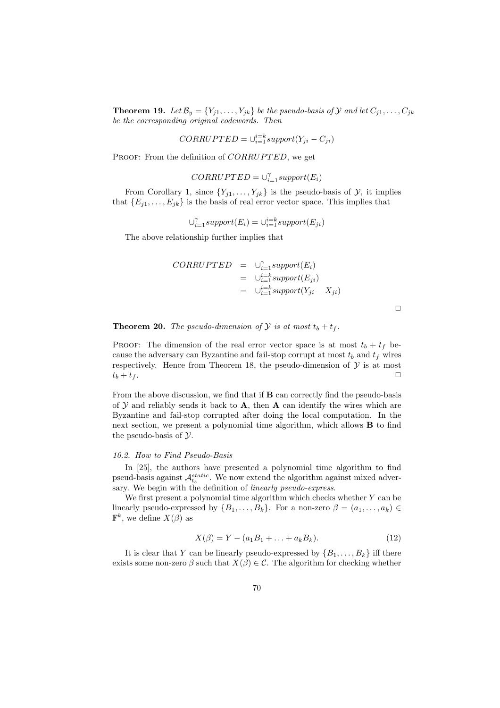**Theorem 19.** Let  $\mathcal{B}_y = \{Y_{j1}, \ldots, Y_{jk}\}$  be the pseudo-basis of  $\mathcal{Y}$  and let  $C_{j1}, \ldots, C_{jk}$ *be the corresponding original codewords. Then*

$$
CORRUPTED = \cup_{i=1}^{i=k} support(Y_{ji} - C_{ji})
$$

PROOF: From the definition of CORRUPTED, we get

$$
CORRUPTED = \cup_{i=1}^{\gamma} support(E_i)
$$

From Corollary 1, since  $\{Y_{j1}, \ldots, Y_{jk}\}\$ is the pseudo-basis of  $\mathcal{Y}$ , it implies that  ${E_{i1}, \ldots, E_{ik}}$  is the basis of real error vector space. This implies that

 $\cup_{i=1}^{\gamma} support(E_i) = \cup_{i=1}^{i=k} support(E_{ji})$ 

The above relationship further implies that

CORRUPTED = 
$$
\bigcup_{i=1}^{\infty} support(E_i)
$$
  
 =  $\bigcup_{i=1}^{i=k} support(E_{ji})$   
 =  $\bigcup_{i=1}^{i=k} support(Y_{ji} - X_{ji})$ 

**Theorem 20.** *The pseudo-dimension of*  $\mathcal{Y}$  *is at most*  $t_b + t_f$ .

PROOF: The dimension of the real error vector space is at most  $t_b + t_f$  because the adversary can Byzantine and fail-stop corrupt at most  $t_b$  and  $t_f$  wires respectively. Hence from Theorem 18, the pseudo-dimension of  $\mathcal Y$  is at most  $t_b + t_f.$ 

From the above discussion, we find that if B can correctly find the pseudo-basis of  $Y$  and reliably sends it back to  $A$ , then  $A$  can identify the wires which are Byzantine and fail-stop corrupted after doing the local computation. In the next section, we present a polynomial time algorithm, which allows B to find the pseudo-basis of  $\mathcal Y$ .

### *10.2. How to Find Pseudo-Basis*

In [25], the authors have presented a polynomial time algorithm to find pseud-basis against  $\mathcal{A}_{t_b}^{static}$ . We now extend the algorithm against mixed adversary. We begin with the definition of *linearly pseudo-express*.

We first present a polynomial time algorithm which checks whether  $Y$  can be linearly pseudo-expressed by  $\{B_1, \ldots, B_k\}$ . For a non-zero  $\beta = (a_1, \ldots, a_k) \in$  $\mathbb{F}^k$ , we define  $X(\beta)$  as

$$
X(\beta) = Y - (a_1 B_1 + \dots + a_k B_k). \tag{12}
$$

It is clear that Y can be linearly pseudo-expressed by  $\{B_1, \ldots, B_k\}$  iff there exists some non-zero  $\beta$  such that  $X(\beta) \in \mathcal{C}$ . The algorithm for checking whether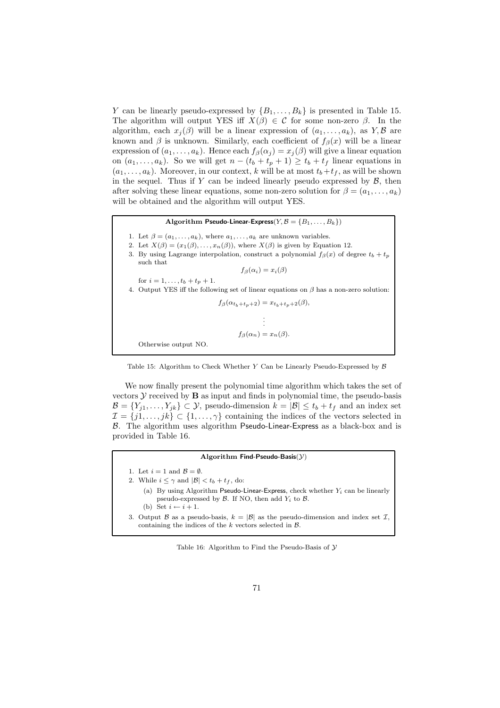Y can be linearly pseudo-expressed by  $\{B_1, \ldots, B_k\}$  is presented in Table 15. The algorithm will output YES iff  $X(\beta) \in \mathcal{C}$  for some non-zero  $\beta$ . In the algorithm, each  $x_j(\beta)$  will be a linear expression of  $(a_1, \ldots, a_k)$ , as  $Y, \beta$  are known and  $\beta$  is unknown. Similarly, each coefficient of  $f_{\beta}(x)$  will be a linear expression of  $(a_1, \ldots, a_k)$ . Hence each  $f_\beta(\alpha_j) = x_j(\beta)$  will give a linear equation on  $(a_1, \ldots, a_k)$ . So we will get  $n - (t_b + t_p + 1) \ge t_b + t_f$  linear equations in  $(a_1, \ldots, a_k)$ . Moreover, in our context, k will be at most  $t_b+t_f$ , as will be shown in the sequel. Thus if Y can be indeed linearly pseudo expressed by  $\mathcal{B}$ , then after solving these linear equations, some non-zero solution for  $\beta = (a_1, \ldots, a_k)$ will be obtained and the algorithm will output YES.

Algorithm Pseudo-Linear-Express( $Y, B = \{B_1, \ldots, B_k\}$ )

- 1. Let  $\beta = (a_1, \ldots, a_k)$ , where  $a_1, \ldots, a_k$  are unknown variables.
- 2. Let  $X(\beta) = (x_1(\beta), \ldots, x_n(\beta))$ , where  $X(\beta)$  is given by Equation 12.
- 3. By using Lagrange interpolation, construct a polynomial  $f_{\beta}(x)$  of degree  $t_b + t_p$ such that

 $f_\beta(\alpha_i) = x_i(\beta)$ 

- for  $i = 1, ..., t_b + t_p + 1$ .
- 4. Output YES iff the following set of linear equations on  $\beta$  has a non-zero solution:

 $f_\beta(\alpha_{t_b+t_p+2}) = x_{t_b+t_p+2}(\beta),$ . .

.  $f_\beta(\alpha_n) = x_n(\beta).$ 

Otherwise output NO.



We now finally present the polynomial time algorithm which takes the set of vectors  $\mathcal Y$  received by  $\mathbf B$  as input and finds in polynomial time, the pseudo-basis  $\mathcal{B} = \{Y_{j1}, \ldots, Y_{jk}\} \subset \mathcal{Y}$ , pseudo-dimension  $k = |\mathcal{B}| \le t_b + t_f$  and an index set  $\mathcal{I} = \{j1, \ldots, jk\} \subset \{1, \ldots, \gamma\}$  containing the indices of the vectors selected in B. The algorithm uses algorithm Pseudo-Linear-Express as a black-box and is provided in Table 16.

#### Algorithm Find-Pseudo-Basis $(Y)$

- 1. Let  $i = 1$  and  $\mathcal{B} = \emptyset$ .
- 2. While  $i \leq \gamma$  and  $|\mathcal{B}| < t_b + t_f$ , do:
	- (a) By using Algorithm Pseudo-Linear-Express, check whether  $Y_i$  can be linearly pseudo-expressed by  $\mathcal B$ . If NO, then add  $Y_i$  to  $\mathcal B$ . (b) Set  $i \leftarrow i + 1$ .
	-
- 3. Output B as a pseudo-basis,  $k = |\mathcal{B}|$  as the pseudo-dimension and index set  $\mathcal{I}$ , containing the indices of the  $k$  vectors selected in  $\beta$ .

Table 16: Algorithm to Find the Pseudo-Basis of  $\mathcal Y$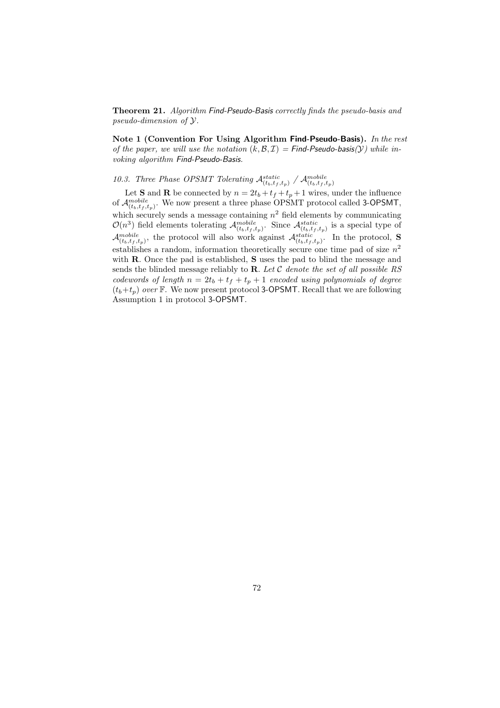Theorem 21. *Algorithm* Find-Pseudo-Basis *correctly finds the pseudo-basis and pseudo-dimension of* Y*.*

Note 1 (Convention For Using Algorithm Find-Pseudo-Basis). *In the rest of the paper, we will use the notation*  $(k, \mathcal{B}, \mathcal{I}) =$  Find-Pseudo-basis( $\mathcal{Y}$ *) while invoking algorithm* Find-Pseudo-Basis*.*

# 10.3. Three Phase OPSMT Tolerating  $\mathcal{A}_{(t_b,t_f,t_p)}^{static}$  /  $\mathcal{A}_{(t_b,t_f,t_p)}^{mobile}$

Let **S** and **R** be connected by  $n = 2t_b + t_f + t_p + 1$  wires, under the influence of  $\mathcal{A}_{(t_b,t_f,t_p)}^{mobile}$ . We now present a three phase OPSMT protocol called 3-OPSMT, which securely sends a message containing  $n^2$  field elements by communicating  $\mathcal{O}(n^3)$  field elements tolerating  $\mathcal{A}_{(t_b,t_f,t_p)}^{mobile}$ . Since  $\mathcal{A}_{(t_b,t_f,t_p)}^{static}$  is a special type of  $\mathcal{A}_{(t_b,t_f,t_p)}^{mobile}$ , the protocol will also work against  $\mathcal{A}_{(t_b,t_f,t_p)}^{static}$ . In the protocol, **S** establishes a random, information theoretically secure one time pad of size  $n^2$ with **R**. Once the pad is established, **S** uses the pad to blind the message and sends the blinded message reliably to R. *Let* C *denote the set of all possible RS codewords of length*  $n = 2t_b + t_f + t_p + 1$  *encoded using polynomials of degree*  $(t_b+t_p)$  *over* F. We now present protocol 3-OPSMT. Recall that we are following Assumption 1 in protocol 3-OPSMT.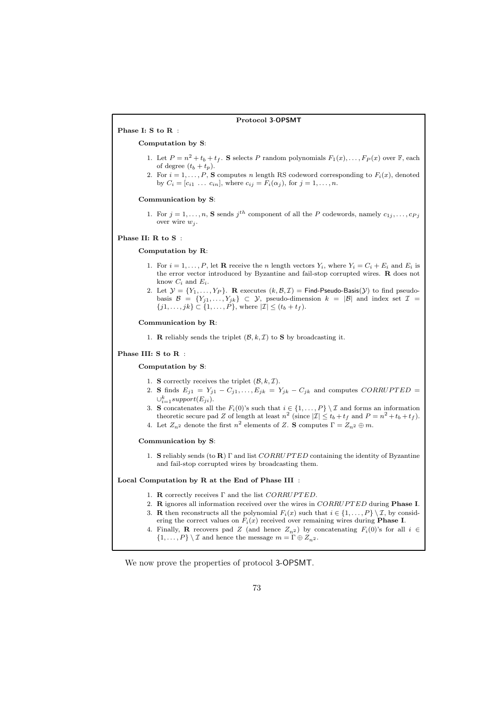# Protocol 3-OPSMT

Computation by S:

Phase I: S to R :

- 1. Let  $P = n^2 + t_b + t_f$ . S selects P random polynomials  $F_1(x), \ldots, F_P(x)$  over  $\mathbb{F}$ , each of degree  $(t_b + t_p)$ .
- 2. For  $i = 1, \ldots, P$ , S computes n length RS codeword corresponding to  $F_i(x)$ , denoted by  $C_i = [c_{i1} \ldots c_{in}],$  where  $c_{ij} = F_i(\alpha_j)$ , for  $j = 1, \ldots, n$ .

#### Communication by S:

1. For  $j = 1, ..., n$ , S sends  $j^{th}$  component of all the P codewords, namely  $c_{1j}, ..., c_{Pj}$ over wire  $w_i$ .

#### Phase II: R to S :

## Computation by R:

- 1. For  $i = 1, \ldots, P$ , let **R** receive the *n* length vectors  $Y_i$ , where  $Y_i = C_i + E_i$  and  $E_i$  is the error vector introduced by Byzantine and fail-stop corrupted wires. R does not know  $C_i$  and  $E_i$ .
- 2. Let  $\mathcal{Y} = \{Y_1, \ldots, Y_P\}$ . R executes  $(k, \mathcal{B}, \mathcal{I}) = \mathsf{Find}\text{-}\mathsf{Pseudo}\text{-}\mathsf{Basis}(\mathcal{Y})$  to find pseudobasis  $\mathcal{B} = \{Y_{j1}, \ldots, Y_{jk}\} \subset \mathcal{Y}$ , pseudo-dimension  $k = |\mathcal{B}|$  and index set  $\mathcal{I} =$  $\{j1,\ldots,jk\} \subset \{1,\ldots,\check{P}\},\,$  where  $|\mathcal{I}| \leq (t_b + t_f).$

## Communication by R:

1. **R** reliably sends the triplet  $(\mathcal{B}, k, \mathcal{I})$  to **S** by broadcasting it.

#### Phase III: S to R :

## Computation by S:

- 1. S correctly receives the triplet  $(\mathcal{B}, k, \mathcal{I})$ .
- 2. S finds  $E_{j1} = Y_{j1} C_{j1}, \ldots, E_{jk} = Y_{jk} C_{jk}$  and computes  $CORRUPTED$  =  $\cup_{i=1}^k support(E_{ji}).$
- 3. S concatenates all the  $F_i(0)$ 's such that  $i \in \{1, ..., P\} \setminus \mathcal{I}$  and forms an information theoretic secure pad Z of length at least  $n^2$  (since  $|\mathcal{I}| \le t_b + t_f$  and  $P = n^2 + t_b + t_f$ ).
- 4. Let  $Z_{n^2}$  denote the first  $n^2$  elements of Z. S computes  $\Gamma = Z_{n^2} \oplus m$ .

#### Communication by S:

1. S reliably sends (to R)  $\Gamma$  and list CORRUPTED containing the identity of Byzantine and fail-stop corrupted wires by broadcasting them.

#### Local Computation by R at the End of Phase III :

- 1. **R** correctly receives  $\Gamma$  and the list  $CORRUPTED$ .
- 2. R ignores all information received over the wires in  $CORRUPTED$  during Phase I.
- 3. **R** then reconstructs all the polynomial  $F_i(x)$  such that  $i \in \{1, ..., P\} \setminus \mathcal{I}$ , by considering the correct values on  $F_i(x)$  received over remaining wires during **Phase I**.
- 4. Finally, **R** recovers pad Z (and hence  $Z_{n^2}$ ) by concatenating  $F_i(0)$ 's for all  $i \in$  $\{1,\ldots,P\}\setminus\mathcal{I}$  and hence the message  $m=\Gamma\oplus Z_{n^2}$ .

We now prove the properties of protocol 3-OPSMT.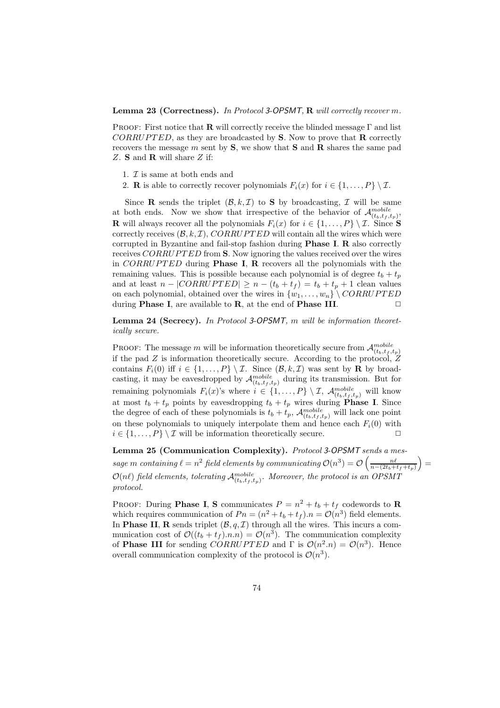Proof: First notice that R will correctly receive the blinded message Γ and list  $CORRUPTED$ , as they are broadcasted by S. Now to prove that **R** correctly recovers the message  $m$  sent by  $S$ , we show that  $S$  and  $R$  shares the same pad Z. S and R will share Z if:

- 1.  $\mathcal I$  is same at both ends and
- 2. **R** is able to correctly recover polynomials  $F_i(x)$  for  $i \in \{1, ..., P\} \setminus \mathcal{I}$ .

Since **R** sends the triplet  $(\mathcal{B}, k, \mathcal{I})$  to **S** by broadcasting,  $\mathcal{I}$  will be same at both ends. Now we show that irrespective of the behavior of  $\mathcal{A}_{(t_b,t_f,t_p)}^{mobile}$ , **R** will always recover all the polynomials  $F_i(x)$  for  $i \in \{1, ..., P\} \setminus \mathcal{I}$ . Since S correctly receives  $(\mathcal{B}, k, \mathcal{I})$ , CORRUPTED will contain all the wires which were corrupted in Byzantine and fail-stop fashion during Phase I. R also correctly receives CORRUPTED from S. Now ignoring the values received over the wires in  $CORRUPTED$  during **Phase I, R** recovers all the polynomials with the remaining values. This is possible because each polynomial is of degree  $t_b + t_p$ and at least  $n - |CORRUPTED| \ge n - (t_b + t_f) = t_b + t_p + 1$  clean values on each polynomial, obtained over the wires in  $\{w_1, \ldots, w_n\} \setminus CORRUPTED$ during **Phase I**, are available to **R**, at the end of **Phase III**.  $\Box$ 

Lemma 24 (Secrecy). *In Protocol* 3-OPSMT*,* m *will be information theoretically secure.*

PROOF: The message m will be information theoretically secure from  $\mathcal{A}_{(t_b,t_f,t_p)}^{mobile}$ if the pad  $Z$  is information theoretically secure. According to the protocol,  $Z$ contains  $F_i(0)$  iff  $i \in \{1, ..., P\} \setminus \mathcal{I}$ . Since  $(\mathcal{B}, k, \mathcal{I})$  was sent by **R** by broadcasting, it may be eavesdropped by  $\mathcal{A}_{(t_b,t_f,t_p)}^{mobile}$  during its transmission. But for remaining polynomials  $F_i(x)$ 's where  $i \in \{1, ..., P\} \setminus \mathcal{I}$ ,  $\mathcal{A}_{(t_b, t_f, t_p)}^{mobile}$  will know at most  $t_b + t_p$  points by eavesdropping  $t_b + t_p$  wires during **Phase I**. Since the degree of each of these polynomials is  $t_b + t_p$ ,  $\mathcal{A}_{(t_b,t_f,t_p)}^{mobile}$  will lack one point on these polynomials to uniquely interpolate them and hence each  $F_i(0)$  with  $i \in \{1, \ldots, P\} \setminus \mathcal{I}$  will be information theoretically secure.

Lemma 25 (Communication Complexity). *Protocol* 3-OPSMT *sends a message* m containing  $\ell = n^2$  field elements by communicating  $\mathcal{O}(n^3) = \mathcal{O}\left(\frac{n\ell}{n-(2t_b+t_f+t_p)}\right)$  $\mathcal{O}(n\ell)$  field elements, tolerating  $\mathcal{A}^{mobile}_{(t_b,t_f,t_p)}$ . Moreover, the protocol is an OPSMT *protocol.*

PROOF: During **Phase I**, S communicates  $P = n^2 + t_b + t_f$  codewords to **R** which requires communication of  $P_n = (n^2 + t_b + t_f) \cdot n = \mathcal{O}(n^3)$  field elements. In **Phase II, R** sends triplet  $(\mathcal{B}, q, \mathcal{I})$  through all the wires. This incurs a communication cost of  $\mathcal{O}((t_b + t_f) \cdot n.n) = \mathcal{O}(n^3)$ . The communication complexity of **Phase III** for sending *CORRUPTED* and  $\Gamma$  is  $\mathcal{O}(n^2 \cdot n) = \mathcal{O}(n^3)$ . Hence overall communication complexity of the protocol is  $\mathcal{O}(n^3)$ .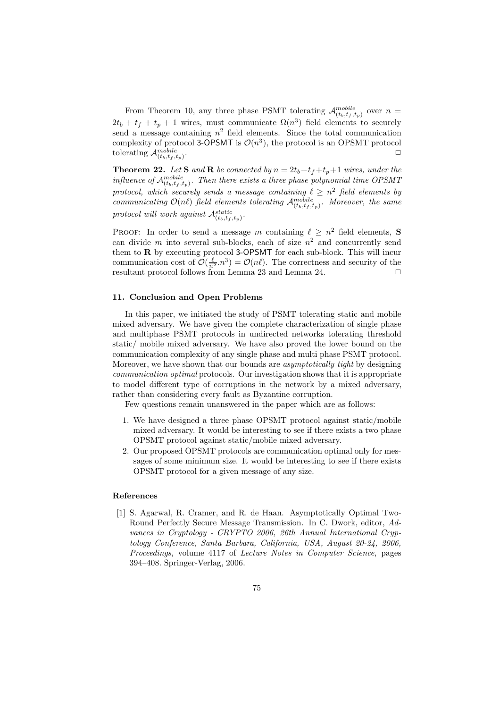From Theorem 10, any three phase PSMT tolerating  $\mathcal{A}_{(t_b,t_f,t_p)}^{mobile}$  over  $n =$  $2t_b + t_f + t_p + 1$  wires, must communicate  $\Omega(n^3)$  field elements to securely send a message containing  $n^2$  field elements. Since the total communication complexity of protocol 3-OPSMT is  $\mathcal{O}(n^3)$ , the protocol is an OPSMT protocol tolerating  $\mathcal{A}_{(t_b,t_f,t_p)}^{mobile}$ .  $\Box$ 

**Theorem 22.** Let **S** and **R** be connected by  $n = 2t_b + t_f + t_p + 1$  wires, under the *influence of*  $\mathcal{A}_{(t_b,t_f,t_p)}^{mobile}$ . Then there exists a three phase polynomial time OPSMT protocol, which securely sends a message containing  $\ell \geq n^2$  field elements by *communicating*  $\mathcal{O}(n\ell)$  *field elements tolerating*  $\mathcal{A}_{(t_b,t_f,t_p)}^{mobile}$ *. Moreover, the same*  $\text{protocol will work against } \mathcal{A}^{\text{static}}_{(t_b,t_f,t_p)}.$ 

PROOF: In order to send a message m containing  $\ell \geq n^2$  field elements, S can divide  $m$  into several sub-blocks, each of size  $n^2$  and concurrently send them to  $\bf{R}$  by executing protocol 3-OPSMT for each sub-block. This will incur communication cost of  $\mathcal{O}(\frac{\ell}{n^2}n^3) = \mathcal{O}(n\ell)$ . The correctness and security of the resultant protocol follows from Lemma 23 and Lemma 24.  $\Box$ 

## 11. Conclusion and Open Problems

In this paper, we initiated the study of PSMT tolerating static and mobile mixed adversary. We have given the complete characterization of single phase and multiphase PSMT protocols in undirected networks tolerating threshold static/ mobile mixed adversary. We have also proved the lower bound on the communication complexity of any single phase and multi phase PSMT protocol. Moreover, we have shown that our bounds are *asymptotically tight* by designing *communication optimal* protocols. Our investigation shows that it is appropriate to model different type of corruptions in the network by a mixed adversary, rather than considering every fault as Byzantine corruption.

Few questions remain unanswered in the paper which are as follows:

- 1. We have designed a three phase OPSMT protocol against static/mobile mixed adversary. It would be interesting to see if there exists a two phase OPSMT protocol against static/mobile mixed adversary.
- 2. Our proposed OPSMT protocols are communication optimal only for messages of some minimum size. It would be interesting to see if there exists OPSMT protocol for a given message of any size.

# References

[1] S. Agarwal, R. Cramer, and R. de Haan. Asymptotically Optimal Two-Round Perfectly Secure Message Transmission. In C. Dwork, editor, *Advances in Cryptology - CRYPTO 2006, 26th Annual International Cryptology Conference, Santa Barbara, California, USA, August 20-24, 2006, Proceedings*, volume 4117 of *Lecture Notes in Computer Science*, pages 394–408. Springer-Verlag, 2006.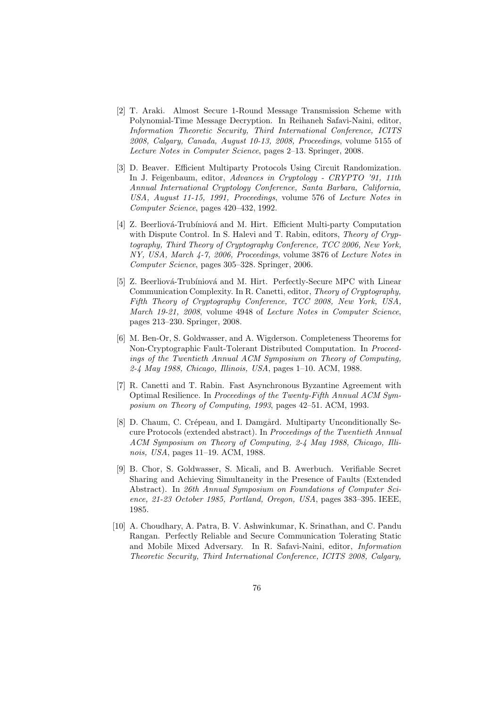- [2] T. Araki. Almost Secure 1-Round Message Transmission Scheme with Polynomial-Time Message Decryption. In Reihaneh Safavi-Naini, editor, *Information Theoretic Security, Third International Conference, ICITS 2008, Calgary, Canada, August 10-13, 2008, Proceedings*, volume 5155 of *Lecture Notes in Computer Science*, pages 2–13. Springer, 2008.
- [3] D. Beaver. Efficient Multiparty Protocols Using Circuit Randomization. In J. Feigenbaum, editor, *Advances in Cryptology - CRYPTO '91, 11th Annual International Cryptology Conference, Santa Barbara, California, USA, August 11-15, 1991, Proceedings*, volume 576 of *Lecture Notes in Computer Science*, pages 420–432, 1992.
- [4] Z. Beerliová-Trubíniová and M. Hirt. Efficient Multi-party Computation with Dispute Control. In S. Halevi and T. Rabin, editors, *Theory of Cryptography, Third Theory of Cryptography Conference, TCC 2006, New York, NY, USA, March 4-7, 2006, Proceedings*, volume 3876 of *Lecture Notes in Computer Science*, pages 305–328. Springer, 2006.
- [5] Z. Beerliová-Trubíniová and M. Hirt. Perfectly-Secure MPC with Linear Communication Complexity. In R. Canetti, editor, *Theory of Cryptography, Fifth Theory of Cryptography Conference, TCC 2008, New York, USA, March 19-21, 2008*, volume 4948 of *Lecture Notes in Computer Science*, pages 213–230. Springer, 2008.
- [6] M. Ben-Or, S. Goldwasser, and A. Wigderson. Completeness Theorems for Non-Cryptographic Fault-Tolerant Distributed Computation. In *Proceedings of the Twentieth Annual ACM Symposium on Theory of Computing, 2-4 May 1988, Chicago, Illinois, USA*, pages 1–10. ACM, 1988.
- [7] R. Canetti and T. Rabin. Fast Asynchronous Byzantine Agreement with Optimal Resilience. In *Proceedings of the Twenty-Fifth Annual ACM Symposium on Theory of Computing, 1993*, pages 42–51. ACM, 1993.
- [8] D. Chaum, C. Crépeau, and I. Damgård. Multiparty Unconditionally Secure Protocols (extended abstract). In *Proceedings of the Twentieth Annual ACM Symposium on Theory of Computing, 2-4 May 1988, Chicago, Illinois, USA*, pages 11–19. ACM, 1988.
- [9] B. Chor, S. Goldwasser, S. Micali, and B. Awerbuch. Verifiable Secret Sharing and Achieving Simultaneity in the Presence of Faults (Extended Abstract). In *26th Annual Symposium on Foundations of Computer Science, 21-23 October 1985, Portland, Oregon, USA*, pages 383–395. IEEE, 1985.
- [10] A. Choudhary, A. Patra, B. V. Ashwinkumar, K. Srinathan, and C. Pandu Rangan. Perfectly Reliable and Secure Communication Tolerating Static and Mobile Mixed Adversary. In R. Safavi-Naini, editor, *Information Theoretic Security, Third International Conference, ICITS 2008, Calgary,*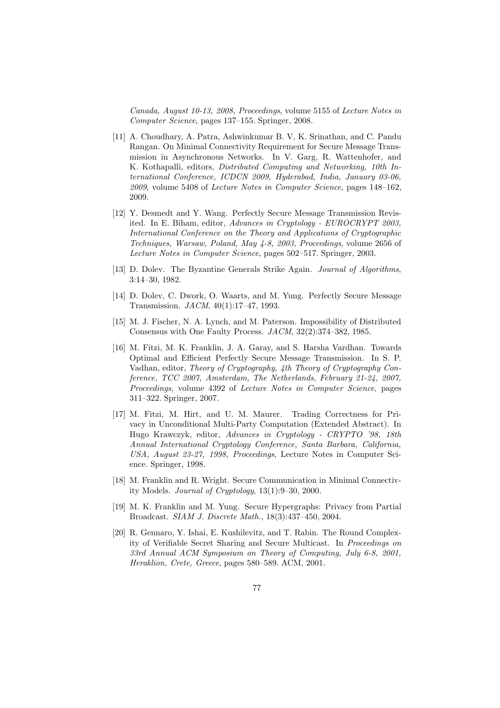*Canada, August 10-13, 2008, Proceedings*, volume 5155 of *Lecture Notes in Computer Science*, pages 137–155. Springer, 2008.

- [11] A. Choudhary, A. Patra, Ashwinkumar B. V, K. Srinathan, and C. Pandu Rangan. On Minimal Connectivity Requirement for Secure Message Transmission in Asynchronous Networks. In V. Garg, R. Wattenhofer, and K. Kothapalli, editors, *Distributed Computing and Networking, 10th International Conference, ICDCN 2009, Hyderabad, India, January 03-06, 2009*, volume 5408 of *Lecture Notes in Computer Science*, pages 148–162, 2009.
- [12] Y. Desmedt and Y. Wang. Perfectly Secure Message Transmission Revisited. In E. Biham, editor, *Advances in Cryptology - EUROCRYPT 2003, International Conference on the Theory and Applications of Cryptographic Techniques, Warsaw, Poland, May 4-8, 2003, Proceedings*, volume 2656 of *Lecture Notes in Computer Science*, pages 502–517. Springer, 2003.
- [13] D. Dolev. The Byzantine Generals Strike Again. *Journal of Algorithms*, 3:14–30, 1982.
- [14] D. Dolev, C. Dwork, O. Waarts, and M. Yung. Perfectly Secure Message Transmission. *JACM*, 40(1):17–47, 1993.
- [15] M. J. Fischer, N. A. Lynch, and M. Paterson. Impossibility of Distributed Consensus with One Faulty Process. *JACM*, 32(2):374–382, 1985.
- [16] M. Fitzi, M. K. Franklin, J. A. Garay, and S. Harsha Vardhan. Towards Optimal and Efficient Perfectly Secure Message Transmission. In S. P. Vadhan, editor, *Theory of Cryptography, 4th Theory of Cryptography Conference, TCC 2007, Amsterdam, The Netherlands, February 21-24, 2007, Proceedings*, volume 4392 of *Lecture Notes in Computer Science*, pages 311–322. Springer, 2007.
- [17] M. Fitzi, M. Hirt, and U. M. Maurer. Trading Correctness for Privacy in Unconditional Multi-Party Computation (Extended Abstract). In Hugo Krawczyk, editor, *Advances in Cryptology - CRYPTO '98, 18th Annual International Cryptology Conference, Santa Barbara, California, USA, August 23-27, 1998, Proceedings*, Lecture Notes in Computer Science. Springer, 1998.
- [18] M. Franklin and R. Wright. Secure Communication in Minimal Connectivity Models. *Journal of Cryptology*, 13(1):9–30, 2000.
- [19] M. K. Franklin and M. Yung. Secure Hypergraphs: Privacy from Partial Broadcast. *SIAM J. Discrete Math.*, 18(3):437–450, 2004.
- [20] R. Gennaro, Y. Ishai, E. Kushilevitz, and T. Rabin. The Round Complexity of Verifiable Secret Sharing and Secure Multicast. In *Proceedings on 33rd Annual ACM Symposium on Theory of Computing, July 6-8, 2001, Heraklion, Crete, Greece*, pages 580–589. ACM, 2001.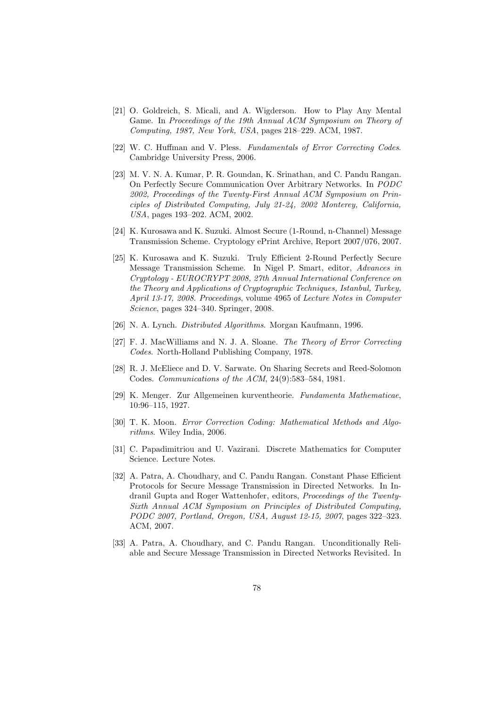- [21] O. Goldreich, S. Micali, and A. Wigderson. How to Play Any Mental Game. In *Proceedings of the 19th Annual ACM Symposium on Theory of Computing, 1987, New York, USA*, pages 218–229. ACM, 1987.
- [22] W. C. Huffman and V. Pless. *Fundamentals of Error Correcting Codes*. Cambridge University Press, 2006.
- [23] M. V. N. A. Kumar, P. R. Goundan, K. Srinathan, and C. Pandu Rangan. On Perfectly Secure Communication Over Arbitrary Networks. In *PODC 2002, Proceedings of the Twenty-First Annual ACM Symposium on Principles of Distributed Computing, July 21-24, 2002 Monterey, California, USA*, pages 193–202. ACM, 2002.
- [24] K. Kurosawa and K. Suzuki. Almost Secure (1-Round, n-Channel) Message Transmission Scheme. Cryptology ePrint Archive, Report 2007/076, 2007.
- [25] K. Kurosawa and K. Suzuki. Truly Efficient 2-Round Perfectly Secure Message Transmission Scheme. In Nigel P. Smart, editor, *Advances in Cryptology - EUROCRYPT 2008, 27th Annual International Conference on the Theory and Applications of Cryptographic Techniques, Istanbul, Turkey, April 13-17, 2008. Proceedings*, volume 4965 of *Lecture Notes in Computer Science*, pages 324–340. Springer, 2008.
- [26] N. A. Lynch. *Distributed Algorithms*. Morgan Kaufmann, 1996.
- [27] F. J. MacWilliams and N. J. A. Sloane. *The Theory of Error Correcting Codes*. North-Holland Publishing Company, 1978.
- [28] R. J. McEliece and D. V. Sarwate. On Sharing Secrets and Reed-Solomon Codes. *Communications of the ACM*, 24(9):583–584, 1981.
- [29] K. Menger. Zur Allgemeinen kurventheorie. *Fundamenta Mathematicae*, 10:96–115, 1927.
- [30] T. K. Moon. *Error Correction Coding: Mathematical Methods and Algorithms*. Wiley India, 2006.
- [31] C. Papadimitriou and U. Vazirani. Discrete Mathematics for Computer Science. Lecture Notes.
- [32] A. Patra, A. Choudhary, and C. Pandu Rangan. Constant Phase Efficient Protocols for Secure Message Transmission in Directed Networks. In Indranil Gupta and Roger Wattenhofer, editors, *Proceedings of the Twenty-Sixth Annual ACM Symposium on Principles of Distributed Computing, PODC 2007, Portland, Oregon, USA, August 12-15, 2007*, pages 322–323. ACM, 2007.
- [33] A. Patra, A. Choudhary, and C. Pandu Rangan. Unconditionally Reliable and Secure Message Transmission in Directed Networks Revisited. In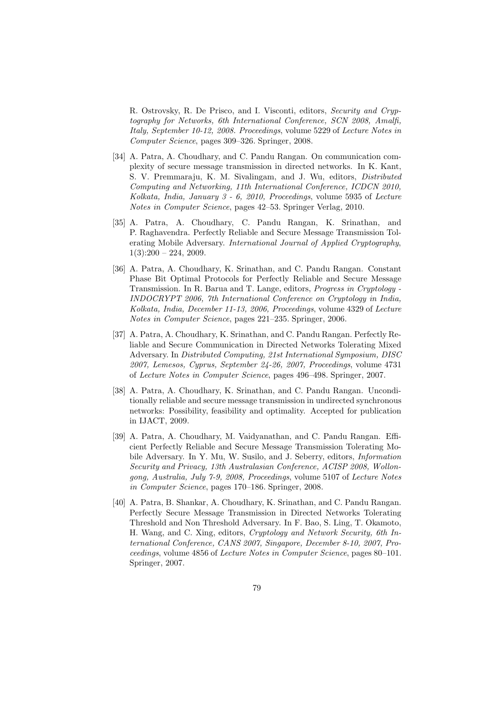R. Ostrovsky, R. De Prisco, and I. Visconti, editors, *Security and Cryptography for Networks, 6th International Conference, SCN 2008, Amalfi, Italy, September 10-12, 2008. Proceedings*, volume 5229 of *Lecture Notes in Computer Science*, pages 309–326. Springer, 2008.

- [34] A. Patra, A. Choudhary, and C. Pandu Rangan. On communication complexity of secure message transmission in directed networks. In K. Kant, S. V. Premmaraju, K. M. Sivalingam, and J. Wu, editors, *Distributed Computing and Networking, 11th International Conference, ICDCN 2010, Kolkata, India, January 3 - 6, 2010, Proceedings*, volume 5935 of *Lecture Notes in Computer Science*, pages 42–53. Springer Verlag, 2010.
- [35] A. Patra, A. Choudhary, C. Pandu Rangan, K. Srinathan, and P. Raghavendra. Perfectly Reliable and Secure Message Transmission Tolerating Mobile Adversary. *International Journal of Applied Cryptography*,  $1(3):200 - 224, 2009.$
- [36] A. Patra, A. Choudhary, K. Srinathan, and C. Pandu Rangan. Constant Phase Bit Optimal Protocols for Perfectly Reliable and Secure Message Transmission. In R. Barua and T. Lange, editors, *Progress in Cryptology - INDOCRYPT 2006, 7th International Conference on Cryptology in India, Kolkata, India, December 11-13, 2006, Proceedings*, volume 4329 of *Lecture Notes in Computer Science*, pages 221–235. Springer, 2006.
- [37] A. Patra, A. Choudhary, K. Srinathan, and C. Pandu Rangan. Perfectly Reliable and Secure Communication in Directed Networks Tolerating Mixed Adversary. In *Distributed Computing, 21st International Symposium, DISC 2007, Lemesos, Cyprus, September 24-26, 2007, Proceedings*, volume 4731 of *Lecture Notes in Computer Science*, pages 496–498. Springer, 2007.
- [38] A. Patra, A. Choudhary, K. Srinathan, and C. Pandu Rangan. Unconditionally reliable and secure message transmission in undirected synchronous networks: Possibility, feasibility and optimality. Accepted for publication in IJACT, 2009.
- [39] A. Patra, A. Choudhary, M. Vaidyanathan, and C. Pandu Rangan. Efficient Perfectly Reliable and Secure Message Transmission Tolerating Mobile Adversary. In Y. Mu, W. Susilo, and J. Seberry, editors, *Information Security and Privacy, 13th Australasian Conference, ACISP 2008, Wollongong, Australia, July 7-9, 2008, Proceedings*, volume 5107 of *Lecture Notes in Computer Science*, pages 170–186. Springer, 2008.
- [40] A. Patra, B. Shankar, A. Choudhary, K. Srinathan, and C. Pandu Rangan. Perfectly Secure Message Transmission in Directed Networks Tolerating Threshold and Non Threshold Adversary. In F. Bao, S. Ling, T. Okamoto, H. Wang, and C. Xing, editors, *Cryptology and Network Security, 6th International Conference, CANS 2007, Singapore, December 8-10, 2007, Proceedings*, volume 4856 of *Lecture Notes in Computer Science*, pages 80–101. Springer, 2007.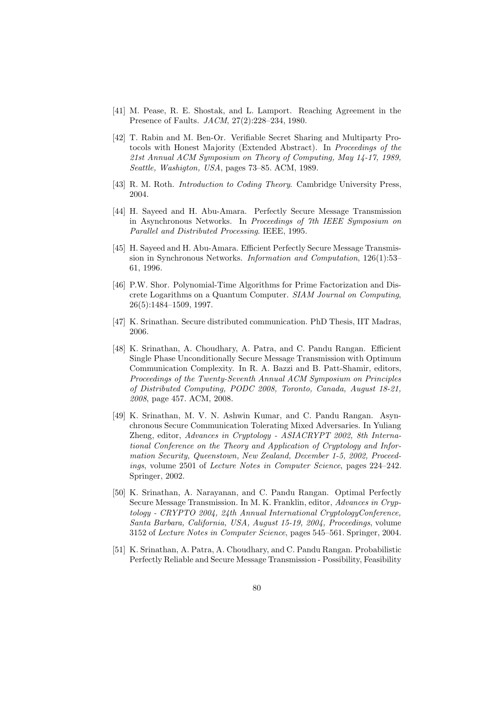- [41] M. Pease, R. E. Shostak, and L. Lamport. Reaching Agreement in the Presence of Faults. *JACM*, 27(2):228–234, 1980.
- [42] T. Rabin and M. Ben-Or. Verifiable Secret Sharing and Multiparty Protocols with Honest Majority (Extended Abstract). In *Proceedings of the 21st Annual ACM Symposium on Theory of Computing, May 14-17, 1989, Seattle, Washigton, USA*, pages 73–85. ACM, 1989.
- [43] R. M. Roth. *Introduction to Coding Theory*. Cambridge University Press, 2004.
- [44] H. Sayeed and H. Abu-Amara. Perfectly Secure Message Transmission in Asynchronous Networks. In *Proceedings of 7th IEEE Symposium on Parallel and Distributed Processing*. IEEE, 1995.
- [45] H. Sayeed and H. Abu-Amara. Efficient Perfectly Secure Message Transmission in Synchronous Networks. *Information and Computation*, 126(1):53– 61, 1996.
- [46] P.W. Shor. Polynomial-Time Algorithms for Prime Factorization and Discrete Logarithms on a Quantum Computer. *SIAM Journal on Computing*, 26(5):1484–1509, 1997.
- [47] K. Srinathan. Secure distributed communication. PhD Thesis, IIT Madras, 2006.
- [48] K. Srinathan, A. Choudhary, A. Patra, and C. Pandu Rangan. Efficient Single Phase Unconditionally Secure Message Transmission with Optimum Communication Complexity. In R. A. Bazzi and B. Patt-Shamir, editors, *Proceedings of the Twenty-Seventh Annual ACM Symposium on Principles of Distributed Computing, PODC 2008, Toronto, Canada, August 18-21, 2008*, page 457. ACM, 2008.
- [49] K. Srinathan, M. V. N. Ashwin Kumar, and C. Pandu Rangan. Asynchronous Secure Communication Tolerating Mixed Adversaries. In Yuliang Zheng, editor, *Advances in Cryptology - ASIACRYPT 2002, 8th International Conference on the Theory and Application of Cryptology and Information Security, Queenstown, New Zealand, December 1-5, 2002, Proceedings*, volume 2501 of *Lecture Notes in Computer Science*, pages 224–242. Springer, 2002.
- [50] K. Srinathan, A. Narayanan, and C. Pandu Rangan. Optimal Perfectly Secure Message Transmission. In M. K. Franklin, editor, *Advances in Cryptology - CRYPTO 2004, 24th Annual International CryptologyConference, Santa Barbara, California, USA, August 15-19, 2004, Proceedings*, volume 3152 of *Lecture Notes in Computer Science*, pages 545–561. Springer, 2004.
- [51] K. Srinathan, A. Patra, A. Choudhary, and C. Pandu Rangan. Probabilistic Perfectly Reliable and Secure Message Transmission - Possibility, Feasibility